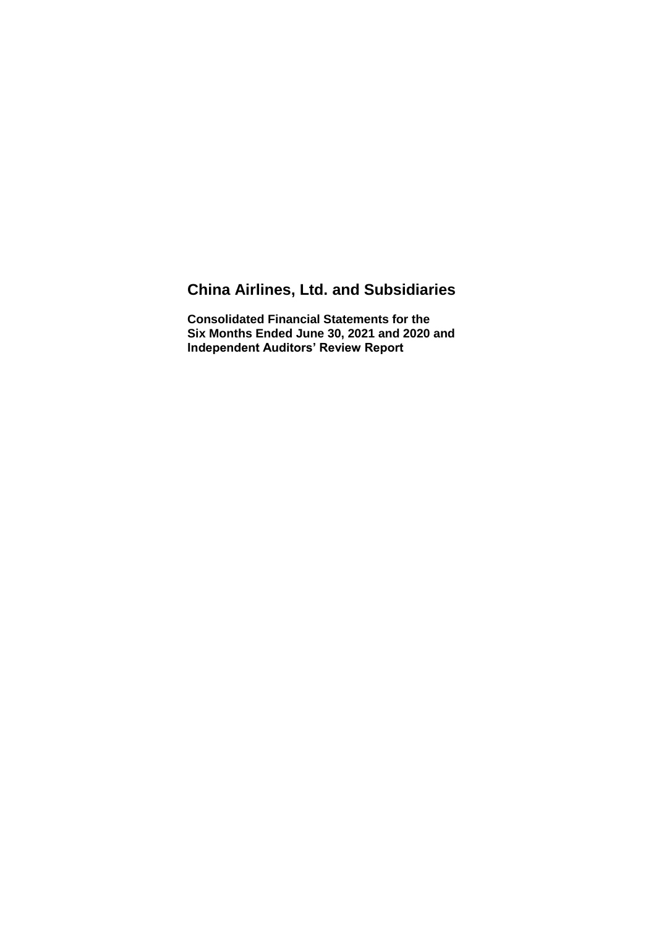# **China Airlines, Ltd. and Subsidiaries**

**Consolidated Financial Statements for the Six Months Ended June 30, 2021 and 2020 and Independent Auditors' Review Report**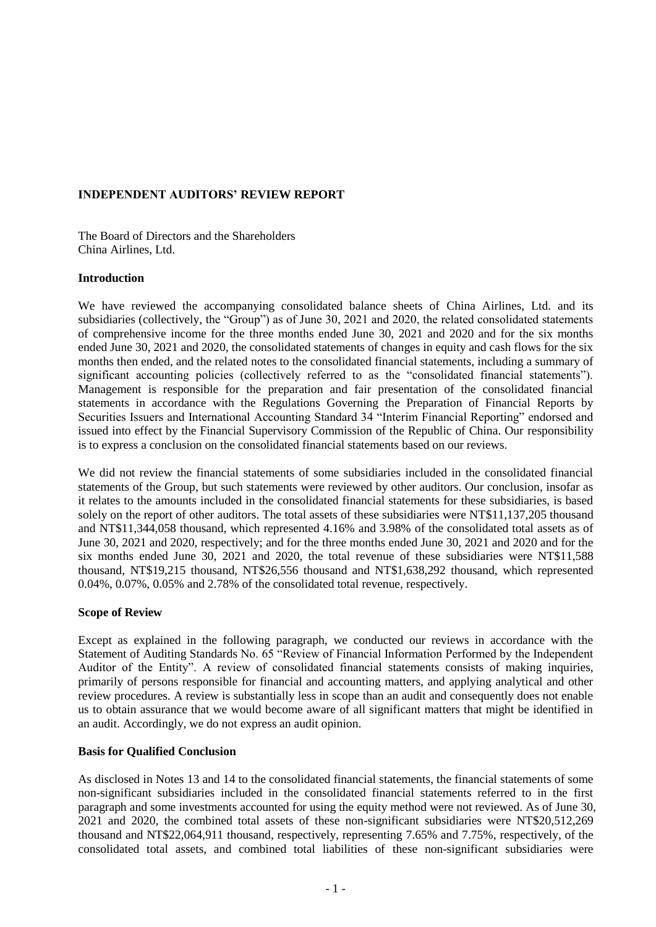## **INDEPENDENT AUDITORS' REVIEW REPORT**

The Board of Directors and the Shareholders China Airlines, Ltd.

#### **Introduction**

We have reviewed the accompanying consolidated balance sheets of China Airlines, Ltd. and its subsidiaries (collectively, the "Group") as of June 30, 2021 and 2020, the related consolidated statements of comprehensive income for the three months ended June 30, 2021 and 2020 and for the six months ended June 30, 2021 and 2020, the consolidated statements of changes in equity and cash flows for the six months then ended, and the related notes to the consolidated financial statements, including a summary of significant accounting policies (collectively referred to as the "consolidated financial statements"). Management is responsible for the preparation and fair presentation of the consolidated financial statements in accordance with the Regulations Governing the Preparation of Financial Reports by Securities Issuers and International Accounting Standard 34 "Interim Financial Reporting" endorsed and issued into effect by the Financial Supervisory Commission of the Republic of China. Our responsibility is to express a conclusion on the consolidated financial statements based on our reviews.

We did not review the financial statements of some subsidiaries included in the consolidated financial statements of the Group, but such statements were reviewed by other auditors. Our conclusion, insofar as it relates to the amounts included in the consolidated financial statements for these subsidiaries, is based solely on the report of other auditors. The total assets of these subsidiaries were NT\$11,137,205 thousand and NT\$11,344,058 thousand, which represented 4.16% and 3.98% of the consolidated total assets as of June 30, 2021 and 2020, respectively; and for the three months ended June 30, 2021 and 2020 and for the six months ended June 30, 2021 and 2020, the total revenue of these subsidiaries were NT\$11,588 thousand, NT\$19,215 thousand, NT\$26,556 thousand and NT\$1,638,292 thousand, which represented 0.04%, 0.07%, 0.05% and 2.78% of the consolidated total revenue, respectively.

### **Scope of Review**

Except as explained in the following paragraph, we conducted our reviews in accordance with the Statement of Auditing Standards No. 65 "Review of Financial Information Performed by the Independent Auditor of the Entity". A review of consolidated financial statements consists of making inquiries, primarily of persons responsible for financial and accounting matters, and applying analytical and other review procedures. A review is substantially less in scope than an audit and consequently does not enable us to obtain assurance that we would become aware of all significant matters that might be identified in an audit. Accordingly, we do not express an audit opinion.

### **Basis for Qualified Conclusion**

As disclosed in Notes 13 and 14 to the consolidated financial statements, the financial statements of some non-significant subsidiaries included in the consolidated financial statements referred to in the first paragraph and some investments accounted for using the equity method were not reviewed. As of June 30, 2021 and 2020, the combined total assets of these non-significant subsidiaries were NT\$20,512,269 thousand and NT\$22,064,911 thousand, respectively, representing 7.65% and 7.75%, respectively, of the consolidated total assets, and combined total liabilities of these non-significant subsidiaries were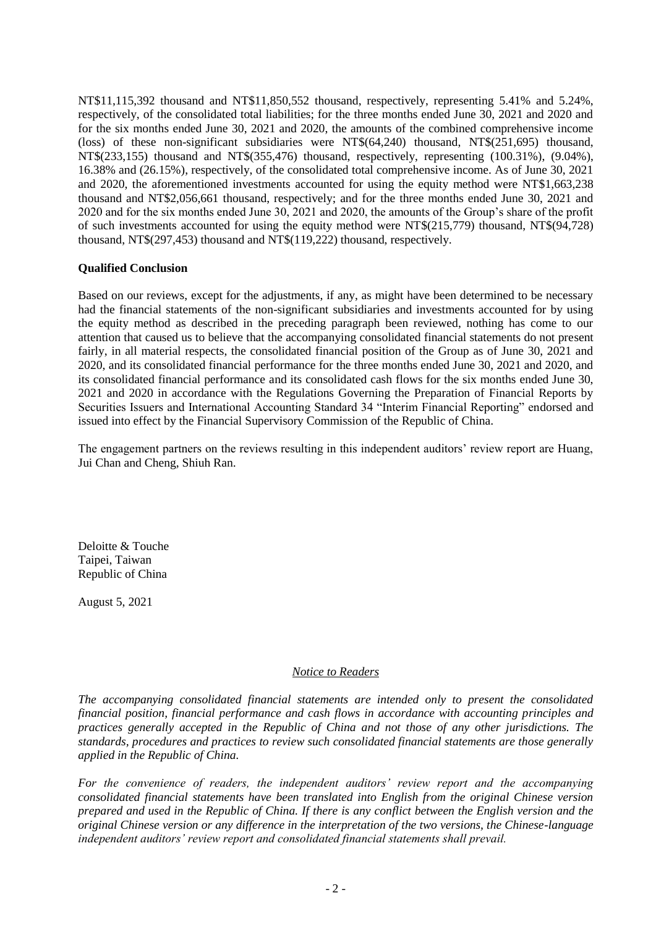NT\$11,115,392 thousand and NT\$11,850,552 thousand, respectively, representing 5.41% and 5.24%, respectively, of the consolidated total liabilities; for the three months ended June 30, 2021 and 2020 and for the six months ended June 30, 2021 and 2020, the amounts of the combined comprehensive income (loss) of these non-significant subsidiaries were NT\$(64,240) thousand, NT\$(251,695) thousand, NT\$(233,155) thousand and NT\$(355,476) thousand, respectively, representing (100.31%), (9.04%), 16.38% and (26.15%), respectively, of the consolidated total comprehensive income. As of June 30, 2021 and 2020, the aforementioned investments accounted for using the equity method were NT\$1,663,238 thousand and NT\$2,056,661 thousand, respectively; and for the three months ended June 30, 2021 and 2020 and for the six months ended June 30, 2021 and 2020, the amounts of the Group's share of the profit of such investments accounted for using the equity method were NT\$(215,779) thousand, NT\$(94,728) thousand, NT\$(297,453) thousand and NT\$(119,222) thousand, respectively.

## **Qualified Conclusion**

Based on our reviews, except for the adjustments, if any, as might have been determined to be necessary had the financial statements of the non-significant subsidiaries and investments accounted for by using the equity method as described in the preceding paragraph been reviewed, nothing has come to our attention that caused us to believe that the accompanying consolidated financial statements do not present fairly, in all material respects, the consolidated financial position of the Group as of June 30, 2021 and 2020, and its consolidated financial performance for the three months ended June 30, 2021 and 2020, and its consolidated financial performance and its consolidated cash flows for the six months ended June 30, 2021 and 2020 in accordance with the Regulations Governing the Preparation of Financial Reports by Securities Issuers and International Accounting Standard 34 "Interim Financial Reporting" endorsed and issued into effect by the Financial Supervisory Commission of the Republic of China.

The engagement partners on the reviews resulting in this independent auditors' review report are Huang, Jui Chan and Cheng, Shiuh Ran.

Deloitte & Touche Taipei, Taiwan Republic of China

August 5, 2021

### *Notice to Readers*

*The accompanying consolidated financial statements are intended only to present the consolidated financial position, financial performance and cash flows in accordance with accounting principles and practices generally accepted in the Republic of China and not those of any other jurisdictions. The standards, procedures and practices to review such consolidated financial statements are those generally applied in the Republic of China.*

*For the convenience of readers, the independent auditors' review report and the accompanying consolidated financial statements have been translated into English from the original Chinese version prepared and used in the Republic of China. If there is any conflict between the English version and the original Chinese version or any difference in the interpretation of the two versions, the Chinese-language independent auditors' review report and consolidated financial statements shall prevail.*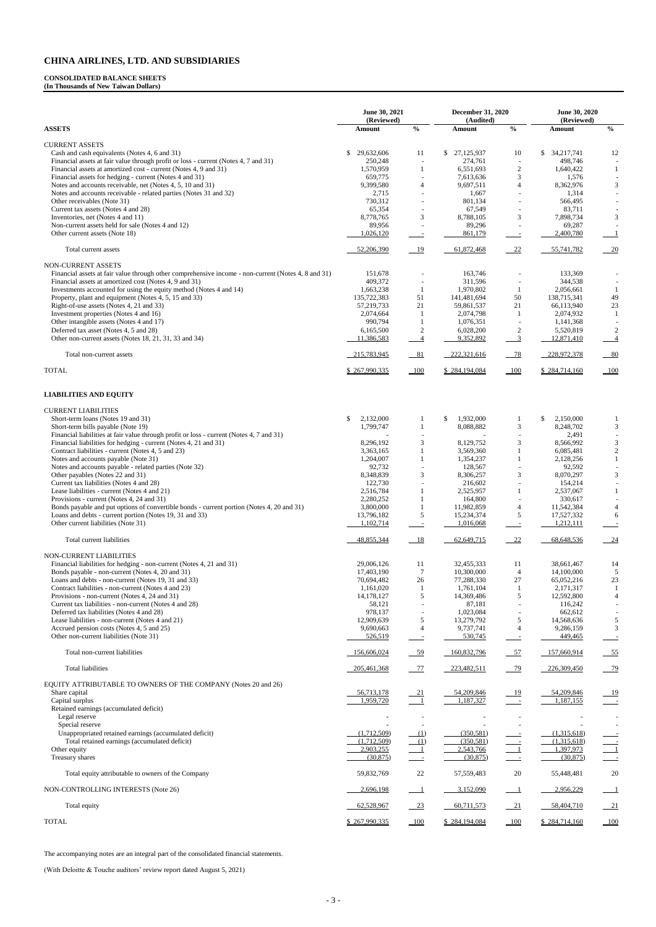#### **CONSOLIDATED BALANCE SHEETS**

**(In Thousands of New Taiwan Dollars)**

|                                                                                                                                                      | June 30, 2021               |                                | December 31, 2020         |                                           | June 30, 2020<br>(Reviewed) |                                           |
|------------------------------------------------------------------------------------------------------------------------------------------------------|-----------------------------|--------------------------------|---------------------------|-------------------------------------------|-----------------------------|-------------------------------------------|
| <b>ASSETS</b>                                                                                                                                        | (Reviewed)<br>Amount        | $\frac{0}{0}$                  | (Audited)<br>Amount       | $\frac{0}{0}$                             | Amount                      | $\mathbf{0}_{\mathbf{0}}^{\prime}$        |
| <b>CURRENT ASSETS</b>                                                                                                                                |                             |                                |                           |                                           |                             |                                           |
| Cash and cash equivalents (Notes 4, 6 and 31)<br>Financial assets at fair value through profit or loss - current (Notes 4, 7 and 31)                 | 29,632,606<br>\$<br>250,248 | 11<br>$\overline{\phantom{a}}$ | \$27,125,937<br>274,761   | 10                                        | \$34,217,741<br>498,746     | 12                                        |
| Financial assets at amortized cost - current (Notes 4, 9 and 31)                                                                                     | 1,570,959                   | 1                              | 6,551,693                 | $\overline{c}$                            | 1,640,422                   | -1                                        |
| Financial assets for hedging - current (Notes 4 and 31)                                                                                              | 659,775                     | $\overline{\phantom{a}}$       | 7,613,636                 | 3                                         | 1,576                       |                                           |
| Notes and accounts receivable, net (Notes 4, 5, 10 and 31)<br>Notes and accounts receivable - related parties (Notes 31 and 32)                      | 9,399,580<br>2,715          | $\overline{4}$                 | 9,697,511<br>1,667        | $\overline{4}$                            | 8,362,976<br>1,314          | 3                                         |
| Other receivables (Note 31)                                                                                                                          | 730,312                     |                                | 801,134                   | $\overline{\phantom{a}}$                  | 566,495                     |                                           |
| Current tax assets (Notes 4 and 28)                                                                                                                  | 65,354                      | $\overline{\phantom{a}}$       | 67,549                    | $\overline{\phantom{a}}$                  | 83,711                      |                                           |
| Inventories, net (Notes 4 and 11)<br>Non-current assets held for sale (Notes 4 and 12)                                                               | 8,778,765<br>89,956         | 3                              | 8,788,105<br>89,296       | 3                                         | 7,898,734<br>69,287         | 3                                         |
| Other current assets (Note 18)                                                                                                                       | 1,026,120                   | $\sim$                         | 861,179                   | $\overline{\phantom{a}}$                  | 2,400,780                   | $\mathbf{1}$                              |
| Total current assets                                                                                                                                 | 52,206,390                  | 19                             | 61,872,468                | 22                                        | 55,741,782                  | 20                                        |
| NON-CURRENT ASSETS<br>Financial assets at fair value through other comprehensive income - non-current (Notes 4, 8 and 31)                            | 151,678                     |                                | 163,746                   |                                           | 133,369                     |                                           |
| Financial assets at amortized cost (Notes 4, 9 and 31)                                                                                               | 409,372                     | $\overline{\phantom{a}}$       | 311,596                   |                                           | 344,538                     |                                           |
| Investments accounted for using the equity method (Notes 4 and 14)                                                                                   | 1,663,238                   | -1                             | 1,970,802                 | 1                                         | 2,056,661                   | -1                                        |
| Property, plant and equipment (Notes 4, 5, 15 and 33)<br>Right-of-use assets (Notes 4, 21 and 33)                                                    | 135,722,383<br>57,219,733   | 51<br>21                       | 141,481,694<br>59,861,537 | 50<br>21                                  | 138,715,341<br>66,113,940   | 49<br>23                                  |
| Investment properties (Notes 4 and 16)                                                                                                               | 2,074,664                   | -1                             | 2,074,798                 | -1                                        | 2,074,932                   | -1                                        |
| Other intangible assets (Notes 4 and 17)                                                                                                             | 990,794                     | 1                              | 1,076,351                 | $\overline{\phantom{a}}$                  | 1,141,368                   |                                           |
| Deferred tax asset (Notes 4, 5 and 28)                                                                                                               | 6,165,500                   | $\overline{c}$                 | 6,028,200                 | $\sqrt{2}$                                | 5,520,819                   | 2                                         |
| Other non-current assets (Notes 18, 21, 31, 33 and 34)                                                                                               | 11,386,583                  | $\overline{4}$                 | 9,352,892                 | $\overline{3}$                            | 12,871,410                  | $\overline{4}$                            |
| Total non-current assets                                                                                                                             | 215,783,945                 | 81                             | 222,321,616               | $-78$                                     | 228,972,378                 | $-80$                                     |
| <b>TOTAL</b>                                                                                                                                         | \$267,990,335               | $-100$                         | \$284,194,084             | $-100$                                    | \$284,714,160               |                                           |
| <b>LIABILITIES AND EQUITY</b>                                                                                                                        |                             |                                |                           |                                           |                             |                                           |
| <b>CURRENT LIABILITIES</b>                                                                                                                           |                             |                                |                           |                                           |                             |                                           |
| Short-term loans (Notes 19 and 31)                                                                                                                   | \$<br>2,132,000             | 1                              | $\mathbb{S}$<br>1,932,000 | -1                                        | \$<br>2,150,000             | -1                                        |
| Short-term bills payable (Note 19)<br>Financial liabilities at fair value through profit or loss - current (Notes 4, 7 and 31)                       | 1,799,747                   | $\mathbf{1}$                   | 8,088,882                 | $\mathfrak{Z}$                            | 8,248,702                   | $\mathfrak{Z}$<br>$\mathbb{L}$            |
| Financial liabilities for hedging - current (Notes 4, 21 and 31)                                                                                     | 8,296,192                   | 3                              | 8,129,752                 | 3                                         | 2,491<br>8,566,992          | $\mathfrak{Z}$                            |
| Contract liabilities - current (Notes 4, 5 and 23)                                                                                                   | 3,363,165                   | -1                             | 3,569,360                 | 1                                         | 6,085,481                   | $\sqrt{2}$                                |
| Notes and accounts payable (Note 31)                                                                                                                 | 1,204,007                   | $\mathbf{1}$                   | 1,354,237                 |                                           | 2,128,256                   | $\mathbf{1}$                              |
| Notes and accounts payable - related parties (Note 32)<br>Other payables (Notes 22 and 31)                                                           | 92,732<br>8,348,839         | 3                              | 128,567<br>8,306,257      | 3                                         | 92,592<br>8,070,297         | 3                                         |
| Current tax liabilities (Notes 4 and 28)                                                                                                             | 122,730                     |                                | 216,602                   |                                           | 154,214                     |                                           |
| Lease liabilities - current (Notes 4 and 21)                                                                                                         | 2,516,784                   | 1                              | 2,525,957                 | 1                                         | 2,537,067                   | 1                                         |
| Provisions - current (Notes 4, 24 and 31)                                                                                                            | 2,280,252                   |                                | 164,800                   |                                           | 330,617                     |                                           |
| Bonds payable and put options of convertible bonds - current portion (Notes 4, 20 and 31)<br>Loans and debts - current portion (Notes 19, 31 and 33) | 3,800,000<br>13,796,182     | $\mathbf{1}$<br>$\sqrt{5}$     | 11,982,859<br>15,234,374  | $\overline{4}$<br>5                       | 11,542,384<br>17,527,332    | $\overline{4}$<br>6                       |
| Other current liabilities (Note 31)                                                                                                                  | 1,102,714                   | $\equiv$                       | 1,016,068                 | $\overline{\phantom{a}}$                  | 1,212,111                   |                                           |
| Total current liabilities                                                                                                                            | 48,855,344                  | 18                             | 62,649,715                | 22                                        | 68,648,536                  | 24                                        |
| <b>NON-CURRENT LIABILITIES</b>                                                                                                                       |                             |                                |                           |                                           |                             |                                           |
| Financial liabilities for hedging - non-current (Notes 4, 21 and 31)                                                                                 | 29,006,126                  | 11                             | 32,455,333                | 11                                        | 38,661,467                  | 14                                        |
| Bonds payable - non-current (Notes 4, 20 and 31)<br>Loans and debts - non-current (Notes 19, 31 and 33)                                              | 17,403,190<br>70,694,482    | $\overline{7}$<br>$26\,$       | 10,300,000<br>77,288,330  | $\overline{4}$<br>27                      | 14,100,000<br>65,052,216    | 5<br>23                                   |
| Contract liabilities - non-current (Notes 4 and 23)                                                                                                  | 1,161,020                   | $\mathbf{1}$                   | 1,761,104                 | $\mathbf{1}$                              | 2,171,317                   | -1                                        |
| Provisions - non-current (Notes 4, 24 and 31)                                                                                                        | 14,178,127                  | 5                              | 14,369,486                | 5                                         | 12,592,800                  | $\overline{4}$                            |
| Current tax liabilities - non-current (Notes 4 and 28)<br>Deferred tax liabilities (Notes 4 and 28)                                                  | 58,121<br>978,137           |                                | 87,181<br>1,023,084       |                                           | 116,242<br>662,612          |                                           |
| Lease liabilities - non-current (Notes 4 and 21)                                                                                                     | 12,909,639                  | 5                              | 13,279,792                | 5                                         | 14,568,636                  | 5                                         |
| Accrued pension costs (Notes 4, 5 and 25)<br>Other non-current liabilities (Note 31)                                                                 | 9,690,663<br>526,519        | $\overline{4}$                 | 9,737,741<br>530,745      | $\overline{4}$                            | 9,286,159<br>449,465        | $\mathfrak{Z}$                            |
| Total non-current liabilities                                                                                                                        | 156,606,024                 | $-59$                          | 160,832,796               | $-57$                                     | 157,660,914                 | $-55$                                     |
| <b>Total liabilities</b>                                                                                                                             | 205,461,368                 | $-77$                          | 223,482,511               | $-79$                                     | 226,309,450                 | $-79$                                     |
| EQUITY ATTRIBUTABLE TO OWNERS OF THE COMPANY (Notes 20 and 26)                                                                                       |                             |                                |                           |                                           |                             |                                           |
| Share capital                                                                                                                                        | 56,713,178                  | $\frac{21}{}$                  | 54,209,846                | <u>19</u>                                 | 54,209,846                  |                                           |
| Capital surplus                                                                                                                                      | 1,959,720                   | $\overline{\phantom{a}1}$      | 1,187,327                 | $\sim 100$                                | 1,187,155                   | $\sim$ $-$                                |
| Retained earnings (accumulated deficit)                                                                                                              |                             |                                |                           |                                           |                             |                                           |
| Legal reserve<br>Special reserve                                                                                                                     |                             |                                |                           |                                           |                             |                                           |
| Unappropriated retained earnings (accumulated deficit)                                                                                               | (1,712,509)                 | (1)                            | (350.581)                 |                                           | (1,315,618)                 |                                           |
| Total retained earnings (accumulated deficit)                                                                                                        | (1,712,509)                 | (1)                            | (350, 581)                |                                           | (1,315,618)                 |                                           |
| Other equity<br>Treasury shares                                                                                                                      | 2,903,255<br>(30, 875)      | $\frac{1}{2}$                  | 2,543,766<br>(30, 875)    | $\overline{a}$                            | 1,397,973<br>(30, 875)      |                                           |
| Total equity attributable to owners of the Company                                                                                                   | 59,832,769                  | 22                             | 57, 559, 483              | 20                                        | 55,448,481                  | 20                                        |
| NON-CONTROLLING INTERESTS (Note 26)                                                                                                                  | 2,696,198                   |                                | 3,152,090                 |                                           | 2,956,229                   | $\mathbf{1}$                              |
| Total equity                                                                                                                                         | 62,528,967                  | $-23$                          | 60,711,573                | $-21$                                     | 58,404,710                  | $\frac{21}{2}$                            |
| <b>TOTAL</b>                                                                                                                                         | \$267,990,335               | 100                            | \$284,194,084             | $\underline{\underline{\hspace{1cm}}100}$ | \$284,714,160               | $\underline{\underline{\hspace{1cm}}100}$ |

The accompanying notes are an integral part of the consolidated financial statements.

(With Deloitte & Touche auditors' review report dated August 5, 2021)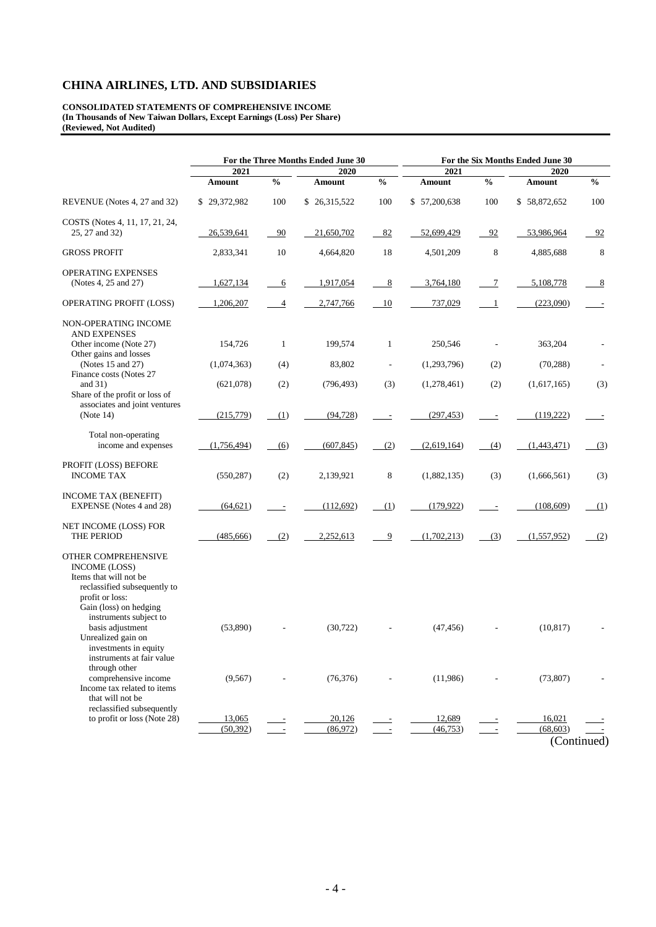**CONSOLIDATED STATEMENTS OF COMPREHENSIVE INCOME (In Thousands of New Taiwan Dollars, Except Earnings (Loss) Per Share) (Reviewed, Not Audited)**

|                                                                                                                                                                                                                                                                                                                                                      | For the Three Months Ended June 30 |                |                       | For the Six Months Ended June 30 |                       |               |                        |                          |  |
|------------------------------------------------------------------------------------------------------------------------------------------------------------------------------------------------------------------------------------------------------------------------------------------------------------------------------------------------------|------------------------------------|----------------|-----------------------|----------------------------------|-----------------------|---------------|------------------------|--------------------------|--|
|                                                                                                                                                                                                                                                                                                                                                      | 2021                               |                | 2020                  |                                  | 2021                  |               | 2020                   |                          |  |
|                                                                                                                                                                                                                                                                                                                                                      | Amount                             | $\frac{0}{0}$  | <b>Amount</b>         | $\frac{0}{0}$                    | <b>Amount</b>         | $\frac{0}{0}$ | Amount                 | $\frac{6}{9}$            |  |
| REVENUE (Notes 4, 27 and 32)                                                                                                                                                                                                                                                                                                                         | \$29,372,982                       | 100            | \$26,315,522          | 100                              | \$57,200,638          | 100           | \$58,872,652           | 100                      |  |
| COSTS (Notes 4, 11, 17, 21, 24,<br>25, 27 and 32)                                                                                                                                                                                                                                                                                                    | 26,539,641                         | 90             | 21,650,702            | 82                               | 52,699,429            | 92            | 53,986,964             | 92                       |  |
| <b>GROSS PROFIT</b>                                                                                                                                                                                                                                                                                                                                  | 2,833,341                          | $10\,$         | 4,664,820             | 18                               | 4,501,209             | $\,$ 8 $\,$   | 4,885,688              | 8                        |  |
| <b>OPERATING EXPENSES</b><br>(Notes 4, 25 and 27)                                                                                                                                                                                                                                                                                                    | 1,627,134                          | 6              | 1,917,054             | 8                                | 3,764,180             | 7             | 5,108,778              | <u>8</u>                 |  |
| OPERATING PROFIT (LOSS)                                                                                                                                                                                                                                                                                                                              | 1,206,207                          | $\overline{4}$ | 2,747,766             | 10                               | 737,029               | 1             | (223,090)              |                          |  |
| NON-OPERATING INCOME<br><b>AND EXPENSES</b><br>Other income (Note 27)<br>Other gains and losses                                                                                                                                                                                                                                                      | 154,726                            | $\mathbf{1}$   | 199,574               | 1                                | 250,546               |               | 363,204                |                          |  |
| (Notes 15 and 27)                                                                                                                                                                                                                                                                                                                                    | (1,074,363)                        | (4)            | 83,802                |                                  | (1,293,796)           | (2)           | (70, 288)              |                          |  |
| Finance costs (Notes 27<br>and $31$ )<br>Share of the profit or loss of                                                                                                                                                                                                                                                                              | (621,078)                          | (2)            | (796, 493)            | (3)                              | (1,278,461)           | (2)           | (1,617,165)            | (3)                      |  |
| associates and joint ventures<br>(Note 14)                                                                                                                                                                                                                                                                                                           | (215,779)                          | (1)            | (94, 728)             | $\overline{\phantom{a}}$         | (297, 453)            |               | (119,222)              | $\overline{\phantom{a}}$ |  |
| Total non-operating<br>income and expenses                                                                                                                                                                                                                                                                                                           | (1,756,494)                        | (6)            | (607, 845)            | (2)                              | (2,619,164)           | (4)           | (1,443,471)            | (3)                      |  |
| PROFIT (LOSS) BEFORE<br><b>INCOME TAX</b>                                                                                                                                                                                                                                                                                                            | (550, 287)                         | (2)            | 2,139,921             | 8                                | (1,882,135)           | (3)           | (1,666,561)            | (3)                      |  |
| <b>INCOME TAX (BENEFIT)</b><br><b>EXPENSE</b> (Notes 4 and 28)                                                                                                                                                                                                                                                                                       | (64, 621)                          |                | (112,692)             | (1)                              | (179, 922)            |               | (108, 609)             | (1)                      |  |
| NET INCOME (LOSS) FOR<br>THE PERIOD                                                                                                                                                                                                                                                                                                                  | (485, 666)                         | (2)            | 2,252,613             | 9                                | (1,702,213)           | (3)           | (1,557,952)            | (2)                      |  |
| OTHER COMPREHENSIVE<br><b>INCOME (LOSS)</b><br>Items that will not be<br>reclassified subsequently to<br>profit or loss:<br>Gain (loss) on hedging<br>instruments subject to<br>basis adjustment<br>Unrealized gain on<br>investments in equity<br>instruments at fair value<br>through other<br>comprehensive income<br>Income tax related to items | (53,890)<br>(9, 567)               |                | (30,722)<br>(76, 376) |                                  | (47, 456)<br>(11,986) |               | (10, 817)<br>(73, 807) |                          |  |
| that will not be<br>reclassified subsequently<br>to profit or loss (Note 28)                                                                                                                                                                                                                                                                         | 13,065<br>(50, 392)                |                | 20,126<br>(86,972)    |                                  | 12,689<br>(46, 753)   |               | 16,021<br>(68, 603)    |                          |  |

<sup>(</sup>Continued)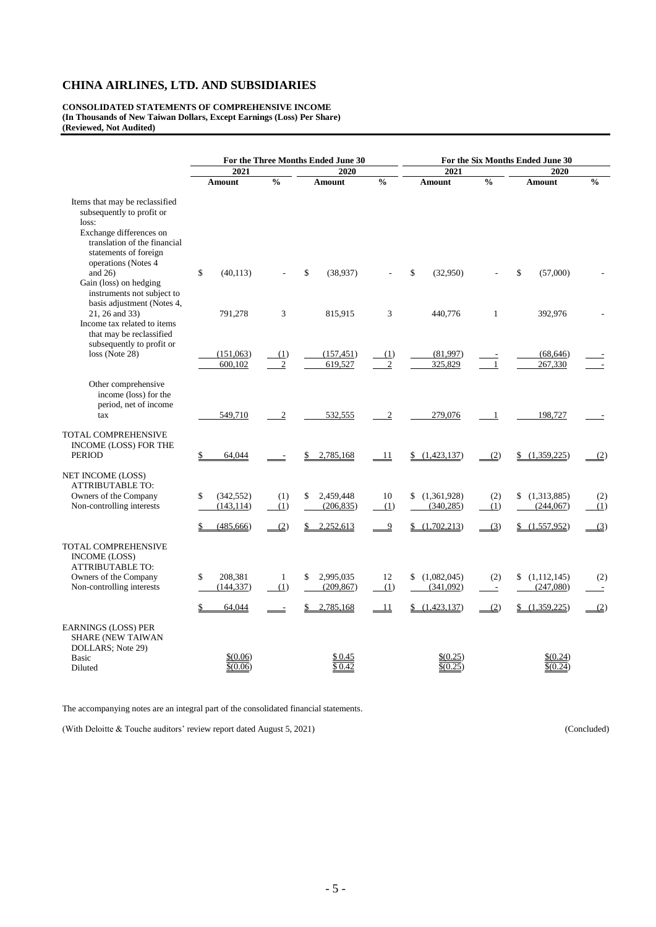**CONSOLIDATED STATEMENTS OF COMPREHENSIVE INCOME (In Thousands of New Taiwan Dollars, Except Earnings (Loss) Per Share) (Reviewed, Not Audited)**

|                                                                                                                                                                                 | For the Three Months Ended June 30 |                |                 | For the Six Months Ended June 30 |                   |                          |                   |               |
|---------------------------------------------------------------------------------------------------------------------------------------------------------------------------------|------------------------------------|----------------|-----------------|----------------------------------|-------------------|--------------------------|-------------------|---------------|
|                                                                                                                                                                                 | 2021                               |                | 2020            |                                  | 2021              |                          | 2020              |               |
|                                                                                                                                                                                 | Amount                             | $\frac{0}{0}$  | Amount          | $\frac{0}{0}$                    | <b>Amount</b>     | $\frac{0}{0}$            | Amount            | $\frac{0}{0}$ |
| Items that may be reclassified<br>subsequently to profit or<br>loss:<br>Exchange differences on<br>translation of the financial<br>statements of foreign<br>operations (Notes 4 |                                    |                |                 |                                  |                   |                          |                   |               |
| and $26$ )<br>Gain (loss) on hedging<br>instruments not subject to                                                                                                              | \$<br>(40, 113)                    |                | \$<br>(38,937)  |                                  | \$<br>(32,950)    |                          | \$<br>(57,000)    |               |
| basis adjustment (Notes 4,<br>21, 26 and 33)<br>Income tax related to items<br>that may be reclassified<br>subsequently to profit or                                            | 791,278                            | 3              | 815,915         | 3                                | 440,776           | $\mathbf{1}$             | 392,976           |               |
| loss (Note 28)                                                                                                                                                                  | (151,063)                          | (1)            | (157, 451)      | (1)                              | (81,997)          |                          | (68, 646)         |               |
|                                                                                                                                                                                 | 600,102                            | $\overline{2}$ | 619,527         | $\overline{2}$                   | 325,829           | $\overline{1}$           | 267,330           |               |
| Other comprehensive<br>income (loss) for the<br>period, net of income<br>tax                                                                                                    | 549,710                            | $\overline{2}$ | 532,555         | $\boldsymbol{2}$                 | 279,076           | $\overline{1}$           | 198,727           |               |
| <b>TOTAL COMPREHENSIVE</b><br>INCOME (LOSS) FOR THE<br><b>PERIOD</b>                                                                                                            | 64,044                             |                | 2,785,168       | 11                               | \$<br>(1,423,137) | (2)                      | (1,359,225)       | (2)           |
| NET INCOME (LOSS)<br><b>ATTRIBUTABLE TO:</b>                                                                                                                                    |                                    |                |                 |                                  |                   |                          |                   |               |
| Owners of the Company                                                                                                                                                           | (342, 552)<br>\$                   | (1)            | 2,459,448<br>\$ | 10                               | (1,361,928)<br>\$ | (2)                      | (1,313,885)       | (2)           |
| Non-controlling interests                                                                                                                                                       | (143, 114)                         | (1)            | (206, 835)      | (1)                              | (340, 285)        | (1)                      | (244,067)         | (1)           |
|                                                                                                                                                                                 | (485, 666)                         | (2)            | 2,252,613       | $\overline{9}$                   | (1,702,213)<br>\$ | (3)                      | (1,557,952)       | (3)           |
| TOTAL COMPREHENSIVE<br><b>INCOME (LOSS)</b><br><b>ATTRIBUTABLE TO:</b>                                                                                                          |                                    |                |                 |                                  |                   |                          |                   |               |
| Owners of the Company                                                                                                                                                           | \$<br>208,381                      | $\mathbf{1}$   | 2,995,035<br>\$ | 12                               | (1,082,045)<br>\$ | (2)                      | (1,112,145)<br>\$ | (2)           |
| Non-controlling interests                                                                                                                                                       | (144, 337)                         | (1)            | (209, 867)      | (1)                              | (341,092)         | $\overline{\phantom{a}}$ | (247,080)         | $\sim$        |
|                                                                                                                                                                                 | 64,044                             |                | 2,785,168       | $\frac{11}{1}$                   | (1,423,137)       | (2)                      | (1,359,225)       | (2)           |
| <b>EARNINGS (LOSS) PER</b><br><b>SHARE (NEW TAIWAN</b><br>DOLLARS; Note 29)<br><b>Basic</b>                                                                                     | \$(0.06)                           |                | \$0.45          |                                  | \$(0.25)          |                          | \$(0.24)          |               |
| Diluted                                                                                                                                                                         | \$(0.06)                           |                | \$0.42          |                                  | \$(0.25)          |                          | \$(0.24)          |               |

The accompanying notes are an integral part of the consolidated financial statements.

(With Deloitte & Touche auditors' review report dated August 5, 2021) (Concluded)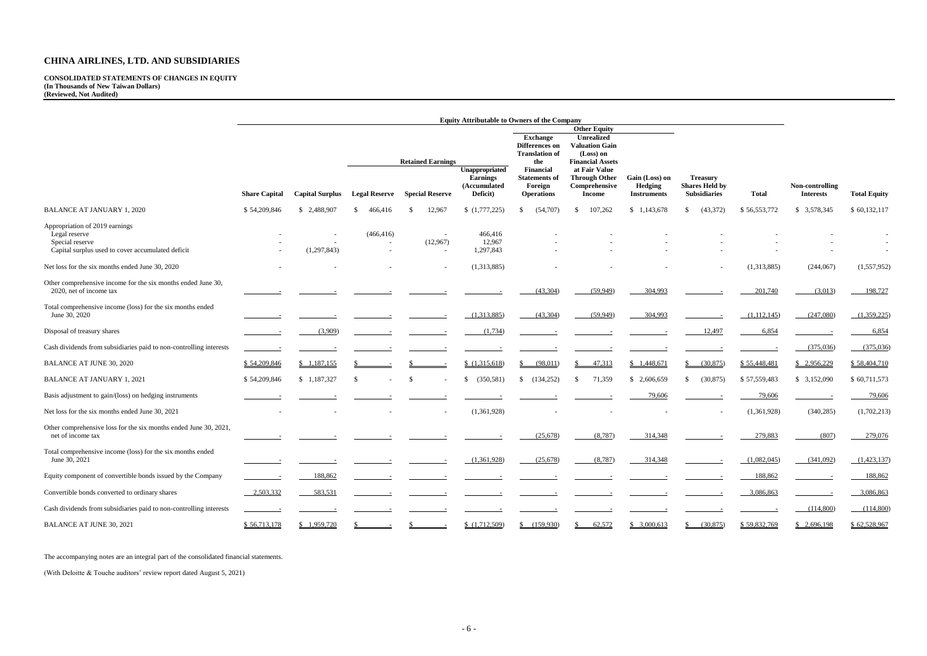**CONSOLIDATED STATEMENTS OF CHANGES IN EQUITY (In Thousands of New Taiwan Dollars) (Reviewed, Not Audited)**

|                                                                                                                         | <b>Equity Attributable to Owners of the Company</b> |                        |                      |    |                                                    |                                                               |                                                                          |                                                                                                    |                                                 |                                                                 |              |                                     |                     |
|-------------------------------------------------------------------------------------------------------------------------|-----------------------------------------------------|------------------------|----------------------|----|----------------------------------------------------|---------------------------------------------------------------|--------------------------------------------------------------------------|----------------------------------------------------------------------------------------------------|-------------------------------------------------|-----------------------------------------------------------------|--------------|-------------------------------------|---------------------|
|                                                                                                                         |                                                     |                        |                      |    |                                                    | <b>Exchange</b><br>Differences on<br><b>Translation of</b>    | <b>Other Equity</b><br>Unrealized<br><b>Valuation Gain</b><br>(Loss) on  |                                                                                                    |                                                 |                                                                 |              |                                     |                     |
|                                                                                                                         | <b>Share Capital</b>                                | <b>Capital Surplus</b> | <b>Legal Reserve</b> |    | <b>Retained Earnings</b><br><b>Special Reserve</b> | Unappropriated<br><b>Earnings</b><br>(Accumulated<br>Deficit) | the<br>Financial<br><b>Statements</b> of<br>Foreign<br><b>Operations</b> | <b>Financial Assets</b><br>at Fair Value<br><b>Through Other</b><br>Comprehensive<br><b>Income</b> | Gain (Loss) on<br>Hedging<br><b>Instruments</b> | <b>Treasury</b><br><b>Shares Held by</b><br><b>Subsidiaries</b> | <b>Total</b> | Non-controlling<br><b>Interests</b> | <b>Total Equity</b> |
| <b>BALANCE AT JANUARY 1, 2020</b>                                                                                       | \$54,209,846                                        | \$ 2,488,907           | 466,416<br>S.        | S. | 12,967                                             | (1,777,225)                                                   | (54,707)<br>\$.                                                          | 107,262<br>-S                                                                                      | \$1,143,678                                     | (43,372)<br><sup>\$</sup>                                       | \$56,553,772 | \$ 3,578,345                        | \$60,132,117        |
| Appropriation of 2019 earnings<br>Legal reserve<br>Special reserve<br>Capital surplus used to cover accumulated deficit |                                                     | (1,297,843)            | (466, 416)           |    | (12,967)                                           | 466,416<br>12,967<br>1,297,843                                |                                                                          |                                                                                                    |                                                 |                                                                 |              |                                     |                     |
| Net loss for the six months ended June 30, 2020                                                                         |                                                     |                        |                      |    | $\overline{\phantom{a}}$                           | (1,313,885)                                                   |                                                                          |                                                                                                    |                                                 |                                                                 | (1,313,885)  | (244,067)                           | (1,557,952)         |
| Other comprehensive income for the six months ended June 30,<br>2020, net of income tax                                 |                                                     |                        |                      |    |                                                    |                                                               | (43,304)                                                                 | (59,949)                                                                                           | 304,993                                         |                                                                 | 201,740      | (3,013)                             | 198,727             |
| Total comprehensive income (loss) for the six months ended<br>June 30, 2020                                             |                                                     |                        |                      |    |                                                    | (1,313,885)                                                   | (43,304)                                                                 | (59, 949)                                                                                          | 304,993                                         |                                                                 | (1,112,145)  | (247,080)                           | (1,359,225)         |
| Disposal of treasury shares                                                                                             |                                                     | (3,909)                |                      |    |                                                    | (1,734)                                                       |                                                                          |                                                                                                    |                                                 | 12,497                                                          | 6,854        |                                     | 6,854               |
| Cash dividends from subsidiaries paid to non-controlling interests                                                      |                                                     |                        |                      |    |                                                    |                                                               |                                                                          |                                                                                                    |                                                 |                                                                 |              | (375,036)                           | (375,036)           |
| <b>BALANCE AT JUNE 30, 2020</b>                                                                                         | \$54,209,846                                        | \$1,187,155            |                      |    |                                                    | \$(1,315,618)                                                 | (98,011)                                                                 | 47,313                                                                                             | \$1,448,671                                     | $\frac{\$}{(30,875)}$                                           | \$55,448,481 | \$2,956,229                         | \$58,404,710        |
| <b>BALANCE AT JANUARY 1, 2021</b>                                                                                       | \$54,209,846                                        | \$1,187,327            |                      |    |                                                    | (350, 581)                                                    | (134, 252)<br>$\mathbb{S}$                                               | 71,359<br><sup>\$</sup>                                                                            | \$2,606,659                                     | (30, 875)                                                       | \$57,559,483 | \$3,152,090                         | \$60,711,573        |
| Basis adjustment to gain/(loss) on hedging instruments                                                                  |                                                     |                        |                      |    |                                                    |                                                               |                                                                          |                                                                                                    | 79,606                                          |                                                                 | 79,606       |                                     | 79,606              |
| Net loss for the six months ended June 30, 2021                                                                         |                                                     |                        |                      |    |                                                    | (1,361,928)                                                   |                                                                          |                                                                                                    |                                                 |                                                                 | (1,361,928)  | (340, 285)                          | (1,702,213)         |
| Other comprehensive loss for the six months ended June 30, 2021,<br>net of income tax                                   |                                                     |                        |                      |    |                                                    |                                                               | (25, 678)                                                                | (8,787)                                                                                            | 314,348                                         |                                                                 | 279,883      | (807)                               | 279,076             |
| Total comprehensive income (loss) for the six months ended<br>June 30, 2021                                             |                                                     |                        |                      |    |                                                    | (1,361,928)                                                   | (25,678)                                                                 | (8,787)                                                                                            | 314,348                                         |                                                                 | (1,082,045)  | (341,092)                           | (1,423,137)         |
| Equity component of convertible bonds issued by the Company                                                             |                                                     | 188,862                |                      |    |                                                    |                                                               |                                                                          |                                                                                                    |                                                 |                                                                 | 188,862      |                                     | 188,862             |
| Convertible bonds converted to ordinary shares                                                                          | 2,503,332                                           | 583,531                |                      |    |                                                    |                                                               |                                                                          |                                                                                                    |                                                 |                                                                 | 3,086,863    |                                     | 3,086,863           |
| Cash dividends from subsidiaries paid to non-controlling interests                                                      |                                                     |                        |                      |    |                                                    |                                                               |                                                                          |                                                                                                    |                                                 |                                                                 |              | (114,800)                           | (114,800)           |
| <b>BALANCE AT JUNE 30, 2021</b>                                                                                         | \$56,713,178                                        | \$1,959,720            |                      |    |                                                    | (1,712,509)                                                   | \$ (159,930)                                                             | 62,572                                                                                             | \$3,000,613                                     | \$ (30,875)                                                     | \$59,832,769 | \$2,696,198                         | \$62,528,967        |

The accompanying notes are an integral part of the consolidated financial statements.

(With Deloitte & Touche auditors' review report dated August 5, 2021)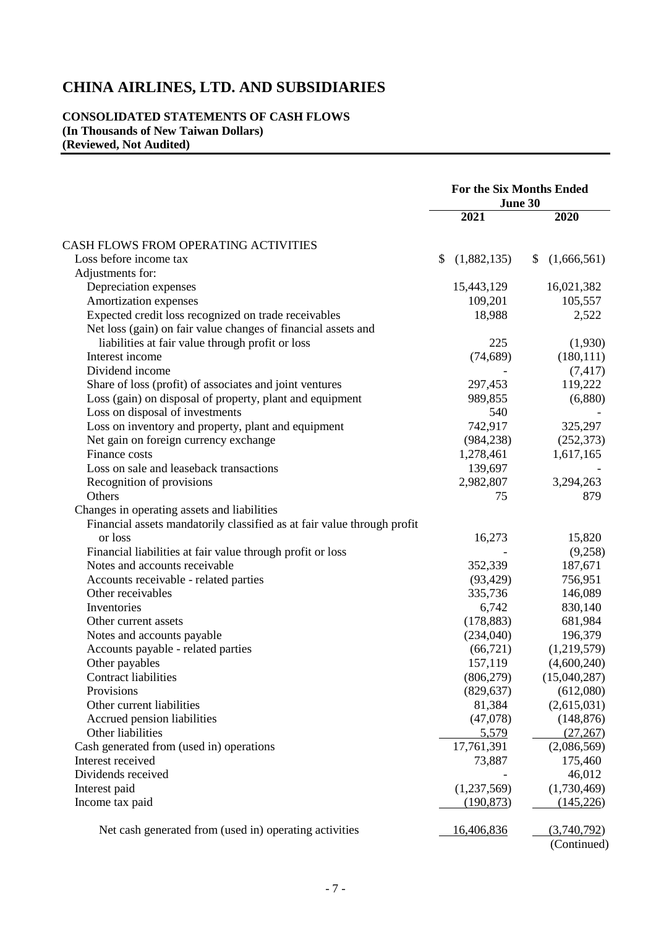## **CONSOLIDATED STATEMENTS OF CASH FLOWS (In Thousands of New Taiwan Dollars) (Reviewed, Not Audited)**

|                                                                         | <b>For the Six Months Ended</b><br>June 30 |             |                   |          |
|-------------------------------------------------------------------------|--------------------------------------------|-------------|-------------------|----------|
|                                                                         |                                            | 2021        | 2020              |          |
| CASH FLOWS FROM OPERATING ACTIVITIES                                    |                                            |             |                   |          |
| Loss before income tax                                                  | \$                                         | (1,882,135) | (1,666,561)<br>\$ |          |
| Adjustments for:                                                        |                                            |             |                   |          |
| Depreciation expenses                                                   |                                            | 15,443,129  | 16,021,382        |          |
| Amortization expenses                                                   |                                            | 109,201     | 105,557           |          |
| Expected credit loss recognized on trade receivables                    |                                            | 18,988      |                   | 2,522    |
| Net loss (gain) on fair value changes of financial assets and           |                                            |             |                   |          |
| liabilities at fair value through profit or loss                        |                                            | 225         |                   | (1,930)  |
| Interest income                                                         |                                            | (74, 689)   | (180, 111)        |          |
| Dividend income                                                         |                                            |             |                   | (7, 417) |
| Share of loss (profit) of associates and joint ventures                 |                                            | 297,453     | 119,222           |          |
| Loss (gain) on disposal of property, plant and equipment                |                                            | 989,855     |                   | (6,880)  |
| Loss on disposal of investments                                         |                                            | 540         |                   |          |
| Loss on inventory and property, plant and equipment                     |                                            | 742,917     | 325,297           |          |
| Net gain on foreign currency exchange                                   |                                            | (984, 238)  | (252, 373)        |          |
| Finance costs                                                           |                                            | 1,278,461   | 1,617,165         |          |
| Loss on sale and leaseback transactions                                 |                                            | 139,697     |                   |          |
| Recognition of provisions                                               |                                            | 2,982,807   | 3,294,263         |          |
| Others                                                                  |                                            | 75          |                   | 879      |
| Changes in operating assets and liabilities                             |                                            |             |                   |          |
| Financial assets mandatorily classified as at fair value through profit |                                            |             |                   |          |
| or loss                                                                 |                                            | 16,273      | 15,820            |          |
| Financial liabilities at fair value through profit or loss              |                                            |             |                   | (9,258)  |
| Notes and accounts receivable                                           |                                            | 352,339     | 187,671           |          |
| Accounts receivable - related parties                                   |                                            | (93, 429)   | 756,951           |          |
| Other receivables                                                       |                                            | 335,736     | 146,089           |          |
| Inventories                                                             |                                            | 6,742       | 830,140           |          |
| Other current assets                                                    |                                            | (178, 883)  | 681,984           |          |
| Notes and accounts payable                                              |                                            | (234,040)   | 196,379           |          |
| Accounts payable - related parties                                      |                                            | (66, 721)   | (1,219,579)       |          |
| Other payables                                                          |                                            | 157,119     | (4,600,240)       |          |
| Contract liabilities                                                    |                                            | (806, 279)  | (15,040,287)      |          |
| Provisions                                                              |                                            | (829, 637)  | (612,080)         |          |
| Other current liabilities                                               |                                            | 81,384      | (2,615,031)       |          |
| Accrued pension liabilities                                             |                                            | (47,078)    | (148, 876)        |          |
| Other liabilities                                                       |                                            | 5,579       | (27, 267)         |          |
| Cash generated from (used in) operations                                |                                            | 17,761,391  | (2,086,569)       |          |
| Interest received                                                       |                                            | 73,887      | 175,460           |          |
| Dividends received                                                      |                                            |             | 46,012            |          |
| Interest paid                                                           |                                            | (1,237,569) | (1,730,469)       |          |
| Income tax paid                                                         |                                            | (190, 873)  | (145, 226)        |          |
|                                                                         |                                            |             |                   |          |
| Net cash generated from (used in) operating activities                  |                                            | 16,406,836  | (3,740,792)       |          |
|                                                                         |                                            |             | (Continued)       |          |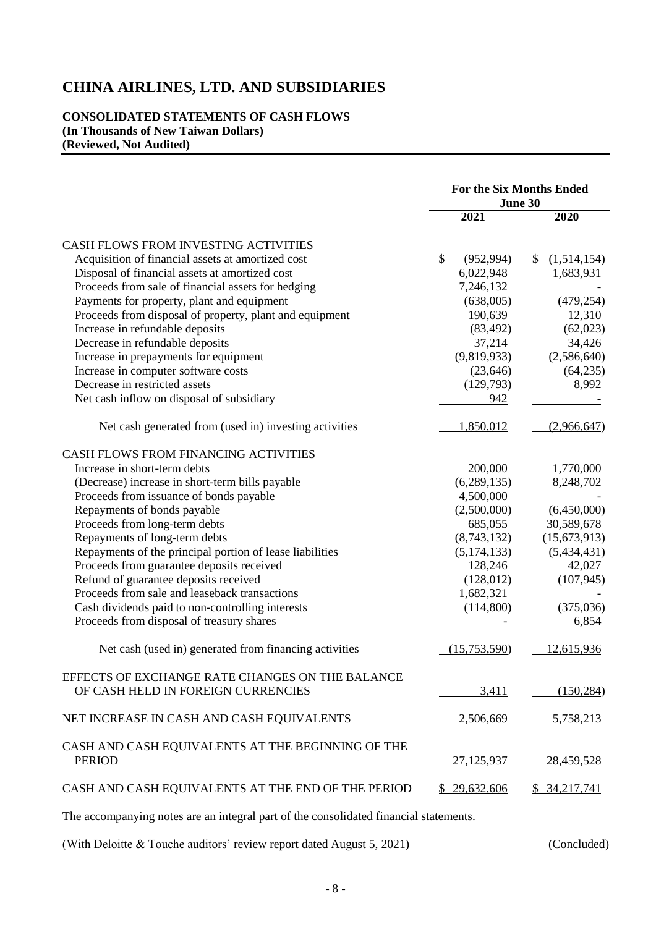## **CONSOLIDATED STATEMENTS OF CASH FLOWS (In Thousands of New Taiwan Dollars) (Reviewed, Not Audited)**

|                                                                    | <b>For the Six Months Ended</b><br>June 30 |               |                   |
|--------------------------------------------------------------------|--------------------------------------------|---------------|-------------------|
|                                                                    |                                            | 2021          | 2020              |
| CASH FLOWS FROM INVESTING ACTIVITIES                               |                                            |               |                   |
| Acquisition of financial assets at amortized cost                  | $\mathcal{S}$                              | (952, 994)    | (1,514,154)<br>\$ |
| Disposal of financial assets at amortized cost                     |                                            | 6,022,948     | 1,683,931         |
| Proceeds from sale of financial assets for hedging                 |                                            | 7,246,132     |                   |
| Payments for property, plant and equipment                         |                                            | (638,005)     | (479, 254)        |
| Proceeds from disposal of property, plant and equipment            |                                            | 190,639       | 12,310            |
| Increase in refundable deposits                                    |                                            | (83, 492)     | (62,023)          |
| Decrease in refundable deposits                                    |                                            | 37,214        | 34,426            |
| Increase in prepayments for equipment                              |                                            | (9,819,933)   | (2,586,640)       |
| Increase in computer software costs                                |                                            | (23, 646)     | (64,235)          |
| Decrease in restricted assets                                      |                                            | (129,793)     | 8,992             |
| Net cash inflow on disposal of subsidiary                          |                                            | 942           |                   |
| Net cash generated from (used in) investing activities             |                                            | 1,850,012     | (2,966,647)       |
| CASH FLOWS FROM FINANCING ACTIVITIES                               |                                            |               |                   |
| Increase in short-term debts                                       |                                            | 200,000       | 1,770,000         |
| (Decrease) increase in short-term bills payable                    |                                            | (6, 289, 135) | 8,248,702         |
| Proceeds from issuance of bonds payable                            |                                            | 4,500,000     |                   |
| Repayments of bonds payable                                        |                                            | (2,500,000)   | (6,450,000)       |
| Proceeds from long-term debts                                      |                                            | 685,055       | 30,589,678        |
| Repayments of long-term debts                                      |                                            | (8,743,132)   | (15,673,913)      |
| Repayments of the principal portion of lease liabilities           |                                            | (5, 174, 133) | (5,434,431)       |
| Proceeds from guarantee deposits received                          |                                            | 128,246       | 42,027            |
| Refund of guarantee deposits received                              |                                            | (128,012)     | (107, 945)        |
| Proceeds from sale and leaseback transactions                      |                                            | 1,682,321     |                   |
| Cash dividends paid to non-controlling interests                   |                                            | (114,800)     | (375,036)         |
| Proceeds from disposal of treasury shares                          |                                            |               | 6,854             |
| Net cash (used in) generated from financing activities             |                                            | (15,753,590)  | 12,615,936        |
| EFFECTS OF EXCHANGE RATE CHANGES ON THE BALANCE                    |                                            |               |                   |
| OF CASH HELD IN FOREIGN CURRENCIES                                 |                                            | 3,411         | (150, 284)        |
| NET INCREASE IN CASH AND CASH EQUIVALENTS                          |                                            | 2,506,669     | 5,758,213         |
| CASH AND CASH EQUIVALENTS AT THE BEGINNING OF THE<br><b>PERIOD</b> |                                            | 27,125,937    | 28,459,528        |
| CASH AND CASH EQUIVALENTS AT THE END OF THE PERIOD                 |                                            | \$29,632,606  | \$34,217,741      |

The accompanying notes are an integral part of the consolidated financial statements.

(With Deloitte & Touche auditors' review report dated August 5, 2021) (Concluded)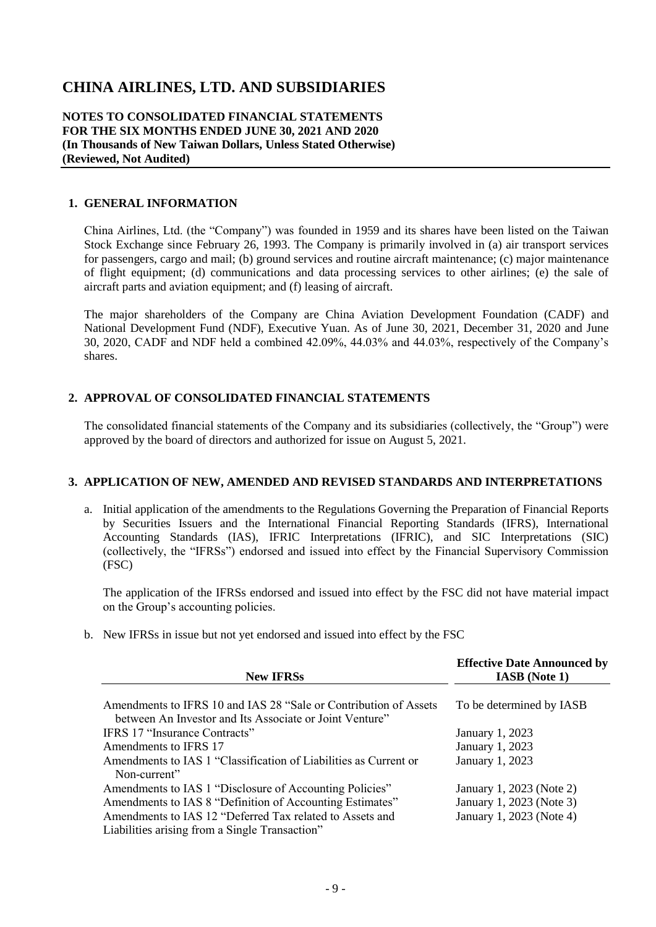**NOTES TO CONSOLIDATED FINANCIAL STATEMENTS FOR THE SIX MONTHS ENDED JUNE 30, 2021 AND 2020 (In Thousands of New Taiwan Dollars, Unless Stated Otherwise) (Reviewed, Not Audited)**

## **1. GENERAL INFORMATION**

China Airlines, Ltd. (the "Company") was founded in 1959 and its shares have been listed on the Taiwan Stock Exchange since February 26, 1993. The Company is primarily involved in (a) air transport services for passengers, cargo and mail; (b) ground services and routine aircraft maintenance; (c) major maintenance of flight equipment; (d) communications and data processing services to other airlines; (e) the sale of aircraft parts and aviation equipment; and (f) leasing of aircraft.

The major shareholders of the Company are China Aviation Development Foundation (CADF) and National Development Fund (NDF), Executive Yuan. As of June 30, 2021, December 31, 2020 and June 30, 2020, CADF and NDF held a combined 42.09%, 44.03% and 44.03%, respectively of the Company's shares.

## **2. APPROVAL OF CONSOLIDATED FINANCIAL STATEMENTS**

The consolidated financial statements of the Company and its subsidiaries (collectively, the "Group") were approved by the board of directors and authorized for issue on August 5, 2021.

### **3. APPLICATION OF NEW, AMENDED AND REVISED STANDARDS AND INTERPRETATIONS**

a. Initial application of the amendments to the Regulations Governing the Preparation of Financial Reports by Securities Issuers and the International Financial Reporting Standards (IFRS), International Accounting Standards (IAS), IFRIC Interpretations (IFRIC), and SIC Interpretations (SIC) (collectively, the "IFRSs") endorsed and issued into effect by the Financial Supervisory Commission (FSC)

The application of the IFRSs endorsed and issued into effect by the FSC did not have material impact on the Group's accounting policies.

b. New IFRSs in issue but not yet endorsed and issued into effect by the FSC

| <b>New IFRSs</b>                                                                                                            | <b>Effective Date Announced by</b><br><b>IASB</b> (Note 1) |
|-----------------------------------------------------------------------------------------------------------------------------|------------------------------------------------------------|
| Amendments to IFRS 10 and IAS 28 "Sale or Contribution of Assets<br>between An Investor and Its Associate or Joint Venture" | To be determined by IASB                                   |
| <b>IFRS 17 "Insurance Contracts"</b>                                                                                        | January 1, 2023                                            |
| Amendments to IFRS 17                                                                                                       | January 1, 2023                                            |
| Amendments to IAS 1 "Classification of Liabilities as Current or<br>Non-current"                                            | January 1, 2023                                            |
| Amendments to IAS 1 "Disclosure of Accounting Policies"                                                                     | January 1, 2023 (Note 2)                                   |
| Amendments to IAS 8 "Definition of Accounting Estimates"                                                                    | January 1, 2023 (Note 3)                                   |
| Amendments to IAS 12 "Deferred Tax related to Assets and<br>Liabilities arising from a Single Transaction"                  | January 1, 2023 (Note 4)                                   |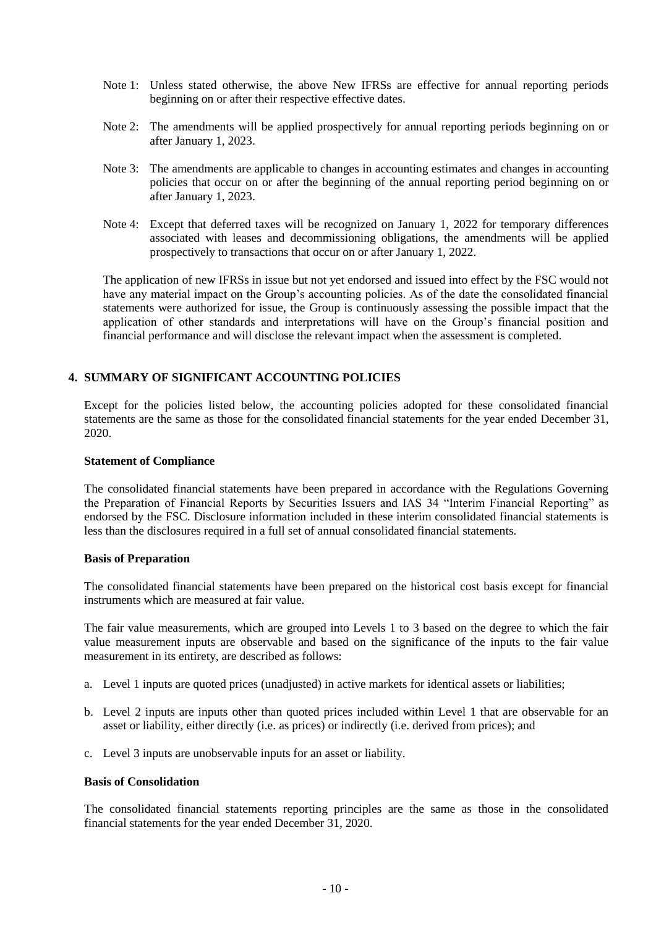- Note 1: Unless stated otherwise, the above New IFRSs are effective for annual reporting periods beginning on or after their respective effective dates.
- Note 2: The amendments will be applied prospectively for annual reporting periods beginning on or after January 1, 2023.
- Note 3: The amendments are applicable to changes in accounting estimates and changes in accounting policies that occur on or after the beginning of the annual reporting period beginning on or after January 1, 2023.
- Note 4: Except that deferred taxes will be recognized on January 1, 2022 for temporary differences associated with leases and decommissioning obligations, the amendments will be applied prospectively to transactions that occur on or after January 1, 2022.

The application of new IFRSs in issue but not yet endorsed and issued into effect by the FSC would not have any material impact on the Group's accounting policies. As of the date the consolidated financial statements were authorized for issue, the Group is continuously assessing the possible impact that the application of other standards and interpretations will have on the Group's financial position and financial performance and will disclose the relevant impact when the assessment is completed.

## **4. SUMMARY OF SIGNIFICANT ACCOUNTING POLICIES**

Except for the policies listed below, the accounting policies adopted for these consolidated financial statements are the same as those for the consolidated financial statements for the year ended December 31, 2020.

#### **Statement of Compliance**

The consolidated financial statements have been prepared in accordance with the Regulations Governing the Preparation of Financial Reports by Securities Issuers and IAS 34 "Interim Financial Reporting" as endorsed by the FSC. Disclosure information included in these interim consolidated financial statements is less than the disclosures required in a full set of annual consolidated financial statements.

#### **Basis of Preparation**

The consolidated financial statements have been prepared on the historical cost basis except for financial instruments which are measured at fair value.

The fair value measurements, which are grouped into Levels 1 to 3 based on the degree to which the fair value measurement inputs are observable and based on the significance of the inputs to the fair value measurement in its entirety, are described as follows:

- a. Level 1 inputs are quoted prices (unadjusted) in active markets for identical assets or liabilities;
- b. Level 2 inputs are inputs other than quoted prices included within Level 1 that are observable for an asset or liability, either directly (i.e. as prices) or indirectly (i.e. derived from prices); and
- c. Level 3 inputs are unobservable inputs for an asset or liability.

#### **Basis of Consolidation**

The consolidated financial statements reporting principles are the same as those in the consolidated financial statements for the year ended December 31, 2020.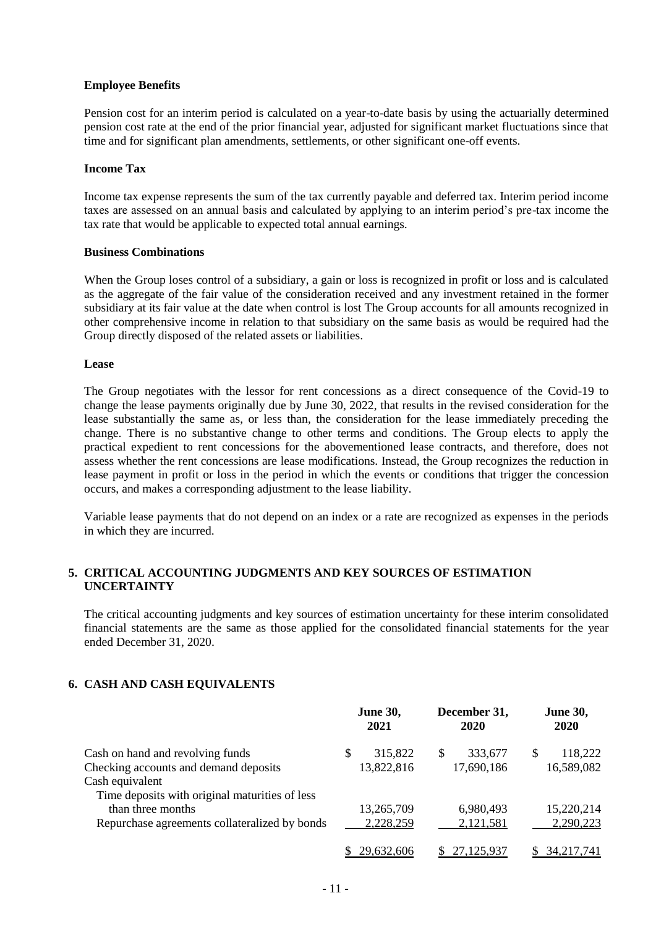### **Employee Benefits**

Pension cost for an interim period is calculated on a year-to-date basis by using the actuarially determined pension cost rate at the end of the prior financial year, adjusted for significant market fluctuations since that time and for significant plan amendments, settlements, or other significant one-off events.

#### **Income Tax**

Income tax expense represents the sum of the tax currently payable and deferred tax. Interim period income taxes are assessed on an annual basis and calculated by applying to an interim period's pre-tax income the tax rate that would be applicable to expected total annual earnings.

#### **Business Combinations**

When the Group loses control of a subsidiary, a gain or loss is recognized in profit or loss and is calculated as the aggregate of the fair value of the consideration received and any investment retained in the former subsidiary at its fair value at the date when control is lost The Group accounts for all amounts recognized in other comprehensive income in relation to that subsidiary on the same basis as would be required had the Group directly disposed of the related assets or liabilities.

#### **Lease**

The Group negotiates with the lessor for rent concessions as a direct consequence of the Covid-19 to change the lease payments originally due by June 30, 2022, that results in the revised consideration for the lease substantially the same as, or less than, the consideration for the lease immediately preceding the change. There is no substantive change to other terms and conditions. The Group elects to apply the practical expedient to rent concessions for the abovementioned lease contracts, and therefore, does not assess whether the rent concessions are lease modifications. Instead, the Group recognizes the reduction in lease payment in profit or loss in the period in which the events or conditions that trigger the concession occurs, and makes a corresponding adjustment to the lease liability.

Variable lease payments that do not depend on an index or a rate are recognized as expenses in the periods in which they are incurred.

## **5. CRITICAL ACCOUNTING JUDGMENTS AND KEY SOURCES OF ESTIMATION UNCERTAINTY**

The critical accounting judgments and key sources of estimation uncertainty for these interim consolidated financial statements are the same as those applied for the consolidated financial statements for the year ended December 31, 2020.

### **6. CASH AND CASH EQUIVALENTS**

|                                                | <b>June 30,</b><br>2021 |            |     | December 31,<br>2020 |   | <b>June 30,</b><br><b>2020</b> |
|------------------------------------------------|-------------------------|------------|-----|----------------------|---|--------------------------------|
| Cash on hand and revolving funds               | S                       | 315,822    | \$. | 333,677              | S | 118,222                        |
| Checking accounts and demand deposits          |                         | 13,822,816 |     | 17,690,186           |   | 16,589,082                     |
| Cash equivalent                                |                         |            |     |                      |   |                                |
| Time deposits with original maturities of less |                         |            |     |                      |   |                                |
| than three months                              |                         | 13,265,709 |     | 6,980,493            |   | 15,220,214                     |
| Repurchase agreements collateralized by bonds  |                         | 2,228,259  |     | 2,121,581            |   | 2,290,223                      |
|                                                | 29.632.606              |            |     | 27,125,937           |   | 34,217,741                     |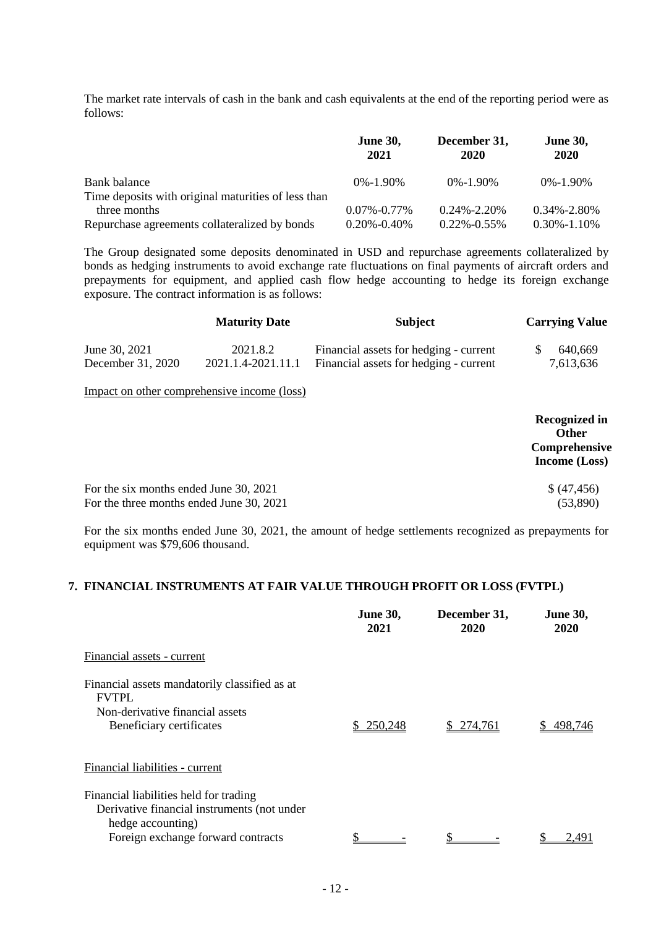The market rate intervals of cash in the bank and cash equivalents at the end of the reporting period were as follows:

|                                                     | <b>June 30,</b><br>2021 | December 31,<br>2020 | <b>June 30,</b><br>2020 |
|-----------------------------------------------------|-------------------------|----------------------|-------------------------|
| Bank balance                                        | $0\% - 1.90\%$          | $0\% - 1.90\%$       | $0\% - 1.90\%$          |
| Time deposits with original maturities of less than |                         |                      |                         |
| three months                                        | $0.07\%$ -0.77%         | $0.24\% - 2.20\%$    | $0.34\% - 2.80\%$       |
| Repurchase agreements collateralized by bonds       | $0.20\% - 0.40\%$       | $0.22\% -0.55\%$     | $0.30\% - 1.10\%$       |

The Group designated some deposits denominated in USD and repurchase agreements collateralized by bonds as hedging instruments to avoid exchange rate fluctuations on final payments of aircraft orders and prepayments for equipment, and applied cash flow hedge accounting to hedge its foreign exchange exposure. The contract information is as follows:

|                   | <b>Maturity Date</b>                        | <b>Subject</b>                         | <b>Carrying Value</b>                                 |
|-------------------|---------------------------------------------|----------------------------------------|-------------------------------------------------------|
| June 30, 2021     | 2021.8.2                                    | Financial assets for hedging - current | 640,669                                               |
| December 31, 2020 | 2021.1.4-2021.11.1                          | Financial assets for hedging - current | 7,613,636                                             |
|                   | Impact on other comprehensive income (loss) |                                        |                                                       |
|                   |                                             |                                        | <b>Recognized in</b><br><b>Other</b><br>Comprehensive |

For the six months ended June 30, 2021  $\{(47, 456)$ <br>For the three months ended June 30, 2021  $(53,890)$ For the three months ended June 30, 2021

For the six months ended June 30, 2021, the amount of hedge settlements recognized as prepayments for equipment was \$79,606 thousand.

**Income (Loss)**

#### **7. FINANCIAL INSTRUMENTS AT FAIR VALUE THROUGH PROFIT OR LOSS (FVTPL)**

|                                                                                                                              | <b>June 30,</b><br>2021 | December 31,<br>2020 | <b>June 30,</b><br>2020 |
|------------------------------------------------------------------------------------------------------------------------------|-------------------------|----------------------|-------------------------|
| Financial assets - current                                                                                                   |                         |                      |                         |
| Financial assets mandatorily classified as at<br><b>FVTPL</b><br>Non-derivative financial assets<br>Beneficiary certificates | 250,248                 | \$274.761            | 498.746                 |
| Financial liabilities - current                                                                                              |                         |                      |                         |
| Financial liabilities held for trading<br>Derivative financial instruments (not under<br>hedge accounting)                   |                         |                      |                         |
| Foreign exchange forward contracts                                                                                           |                         |                      | 2.491                   |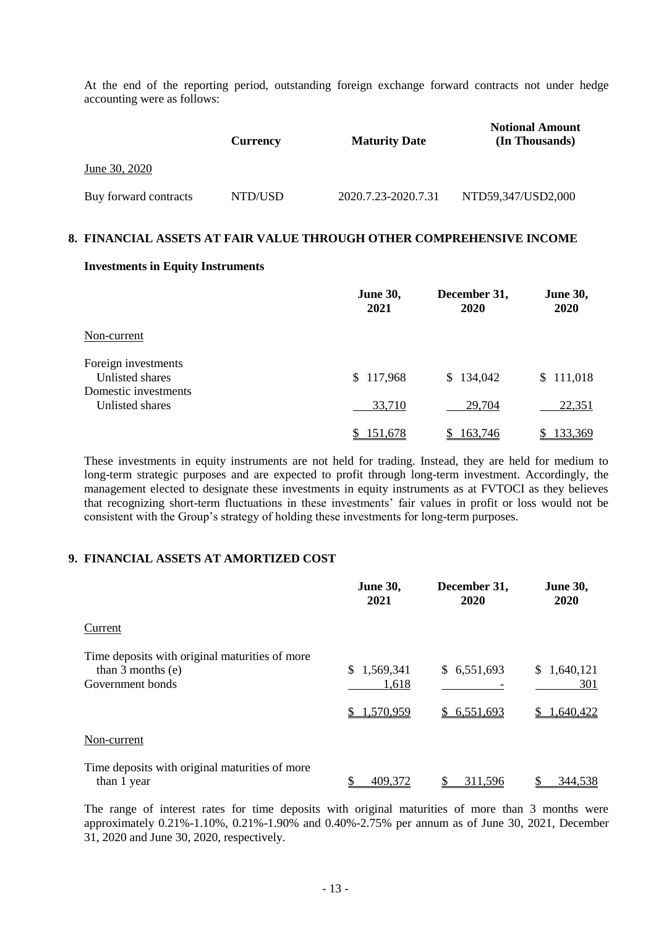At the end of the reporting period, outstanding foreign exchange forward contracts not under hedge accounting were as follows:

|                       | <b>Currency</b> | <b>Maturity Date</b> | <b>Notional Amount</b><br>(In Thousands) |
|-----------------------|-----------------|----------------------|------------------------------------------|
| June 30, 2020         |                 |                      |                                          |
| Buy forward contracts | NTD/USD         | 2020.7.23-2020.7.31  | NTD59,347/USD2,000                       |

#### **8. FINANCIAL ASSETS AT FAIR VALUE THROUGH OTHER COMPREHENSIVE INCOME**

#### **Investments in Equity Instruments**

|                                         | <b>June 30,</b><br>2021 | December 31,<br>2020 | <b>June 30,</b><br><b>2020</b> |
|-----------------------------------------|-------------------------|----------------------|--------------------------------|
| Non-current                             |                         |                      |                                |
| Foreign investments<br>Unlisted shares  | \$117,968               | \$134,042            | \$111,018                      |
| Domestic investments<br>Unlisted shares | 33,710                  | 29,704               | 22,351                         |
|                                         | 151,678                 | 163,746<br>S         | 133,369<br>SS.                 |

These investments in equity instruments are not held for trading. Instead, they are held for medium to long-term strategic purposes and are expected to profit through long-term investment. Accordingly, the management elected to designate these investments in equity instruments as at FVTOCI as they believes that recognizing short-term fluctuations in these investments' fair values in profit or loss would not be consistent with the Group's strategy of holding these investments for long-term purposes.

### **9. FINANCIAL ASSETS AT AMORTIZED COST**

|                                                                                           | <b>June 30,</b><br>2021               | December 31,<br>2020       | <b>June 30,</b><br>2020         |
|-------------------------------------------------------------------------------------------|---------------------------------------|----------------------------|---------------------------------|
| Current                                                                                   |                                       |                            |                                 |
| Time deposits with original maturities of more<br>than $3$ months (e)<br>Government bonds | 1,569,341<br>S.<br>1,618<br>1,570,959 | \$6,551,693<br>\$6,551,693 | \$1,640,121<br>301<br>1,640,422 |
| Non-current                                                                               |                                       |                            |                                 |
| Time deposits with original maturities of more<br>than 1 year                             | 409.372                               | 311.596                    | 344,538                         |

The range of interest rates for time deposits with original maturities of more than 3 months were approximately 0.21%-1.10%, 0.21%-1.90% and 0.40%-2.75% per annum as of June 30, 2021, December 31, 2020 and June 30, 2020, respectively.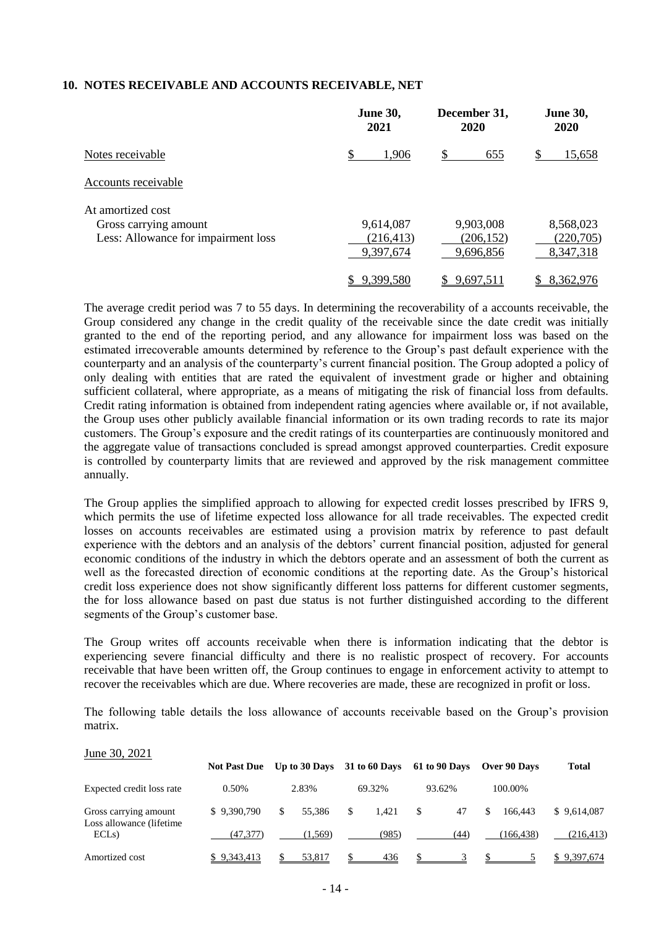#### **10. NOTES RECEIVABLE AND ACCOUNTS RECEIVABLE, NET**

|                                     | <b>June 30,</b><br>2021 | December 31,<br>2020 | <b>June 30,</b><br>2020 |
|-------------------------------------|-------------------------|----------------------|-------------------------|
| Notes receivable                    | S<br>1,906              | S<br>655             | 15,658                  |
| Accounts receivable                 |                         |                      |                         |
| At amortized cost                   |                         |                      |                         |
| Gross carrying amount               | 9,614,087               | 9,903,008            | 8,568,023               |
| Less: Allowance for impairment loss | (216, 413)              | (206, 152)           | (220,705)               |
|                                     | 9,397,674               | 9,696,856            | 8,347,318               |
|                                     | 9,399,580               | 9,697,511            | 8,362,976               |

The average credit period was 7 to 55 days. In determining the recoverability of a accounts receivable, the Group considered any change in the credit quality of the receivable since the date credit was initially granted to the end of the reporting period, and any allowance for impairment loss was based on the estimated irrecoverable amounts determined by reference to the Group's past default experience with the counterparty and an analysis of the counterparty's current financial position. The Group adopted a policy of only dealing with entities that are rated the equivalent of investment grade or higher and obtaining sufficient collateral, where appropriate, as a means of mitigating the risk of financial loss from defaults. Credit rating information is obtained from independent rating agencies where available or, if not available, the Group uses other publicly available financial information or its own trading records to rate its major customers. The Group's exposure and the credit ratings of its counterparties are continuously monitored and the aggregate value of transactions concluded is spread amongst approved counterparties. Credit exposure is controlled by counterparty limits that are reviewed and approved by the risk management committee annually.

The Group applies the simplified approach to allowing for expected credit losses prescribed by IFRS 9, which permits the use of lifetime expected loss allowance for all trade receivables. The expected credit losses on accounts receivables are estimated using a provision matrix by reference to past default experience with the debtors and an analysis of the debtors' current financial position, adjusted for general economic conditions of the industry in which the debtors operate and an assessment of both the current as well as the forecasted direction of economic conditions at the reporting date. As the Group's historical credit loss experience does not show significantly different loss patterns for different customer segments, the for loss allowance based on past due status is not further distinguished according to the different segments of the Group's customer base.

The Group writes off accounts receivable when there is information indicating that the debtor is experiencing severe financial difficulty and there is no realistic prospect of recovery. For accounts receivable that have been written off, the Group continues to engage in enforcement activity to attempt to recover the receivables which are due. Where recoveries are made, these are recognized in profit or loss.

The following table details the loss allowance of accounts receivable based on the Group's provision matrix.

| June 30, 2021                                      |                     |               |                      |               |              |              |
|----------------------------------------------------|---------------------|---------------|----------------------|---------------|--------------|--------------|
|                                                    | <b>Not Past Due</b> | Up to 30 Days | <b>31 to 60 Days</b> | 61 to 90 Days | Over 90 Days | <b>Total</b> |
| Expected credit loss rate                          | 0.50%               | 2.83%         | 69.32%               | 93.62%        | 100.00%      |              |
| Gross carrying amount<br>Loss allowance (lifetime) | \$9.390,790         | \$.<br>55.386 | \$<br>1.421          | \$<br>47      | 166.443      | \$9,614,087  |
| ECLs                                               | (47.377)            | (1.569)       | (985)                | (44)          | (166, 438)   | (216, 413)   |
| Amortized cost                                     | \$9.343.413         | 53.817        | 436                  | \$            |              | \$9,397,674  |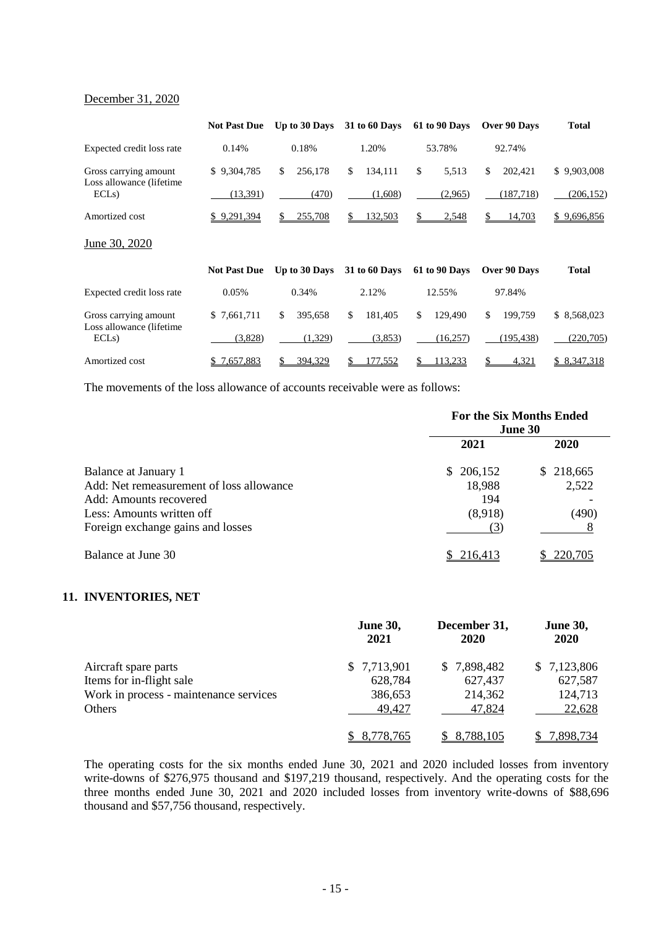#### December 31, 2020

|                                  | <b>Not Past Due</b> | Up to 30 Days  | <b>31 to 60 Days</b> | 61 to 90 Days | Over 90 Days  | <b>Total</b> |
|----------------------------------|---------------------|----------------|----------------------|---------------|---------------|--------------|
| Expected credit loss rate        | 0.14%               | 0.18%          | 1.20%                | 53.78%        | 92.74%        |              |
| Gross carrying amount            | \$9,304,785         | \$<br>256,178  | \$<br>134,111        | \$<br>5,513   | \$<br>202,421 | \$9,903,008  |
| Loss allowance (lifetime<br>ECLs | (13,391)            | (470)          | (1,608)              | (2,965)       | (187, 718)    | (206, 152)   |
| Amortized cost                   | \$9,291,394         | \$.<br>255,708 | <u>132,503</u><br>\$ | 2,548         | 14,703<br>\$. | \$9,696,856  |
| June 30, 2020                    |                     |                |                      |               |               |              |
|                                  | <b>Not Past Due</b> | Up to 30 Days  | <b>31 to 60 Days</b> | 61 to 90 Days | Over 90 Days  | <b>Total</b> |
| Expected credit loss rate        | 0.05%               | 0.34%          | 2.12%                | 12.55%        | 97.84%        |              |
| Gross carrying amount            | \$7,661,711         | \$<br>395,658  | \$<br>181,405        | \$<br>129,490 | \$<br>199,759 | \$ 8,568,023 |
| Loss allowance (lifetime<br>ECLs | (3,828)             | (1,329)        | (3,853)              | (16,257)      | (195, 438)    | (220, 705)   |
| Amortized cost                   | \$7,657,883         | 394,329        | 177.552              | 13,233        | 4,321         | \$8,347,318  |

The movements of the loss allowance of accounts receivable were as follows:

|                                          | <b>For the Six Months Ended</b><br>June 30 |           |  |
|------------------------------------------|--------------------------------------------|-----------|--|
|                                          | 2021                                       | 2020      |  |
| Balance at January 1                     | \$206,152                                  | \$218,665 |  |
| Add: Net remeasurement of loss allowance | 18,988                                     | 2,522     |  |
| Add: Amounts recovered                   | 194                                        |           |  |
| Less: Amounts written off                | (8,918)                                    | (490)     |  |
| Foreign exchange gains and losses        | (3)                                        |           |  |
| Balance at June 30                       | \$216,413                                  | 220,705   |  |

### **11. INVENTORIES, NET**

|                                        | <b>June 30,</b><br>2021 | December 31,<br>2020 | <b>June 30,</b><br>2020 |
|----------------------------------------|-------------------------|----------------------|-------------------------|
| Aircraft spare parts                   | \$7,713,901             | \$7,898,482          | \$7,123,806             |
| Items for in-flight sale               | 628,784                 | 627,437              | 627,587                 |
| Work in process - maintenance services | 386,653                 | 214,362              | 124,713                 |
| Others                                 | 49,427                  | 47,824               | 22,628                  |
|                                        | 8,778,765               | 8,788,105            | 7,898,734               |

The operating costs for the six months ended June 30, 2021 and 2020 included losses from inventory write-downs of \$276,975 thousand and \$197,219 thousand, respectively. And the operating costs for the three months ended June 30, 2021 and 2020 included losses from inventory write-downs of \$88,696 thousand and \$57,756 thousand, respectively.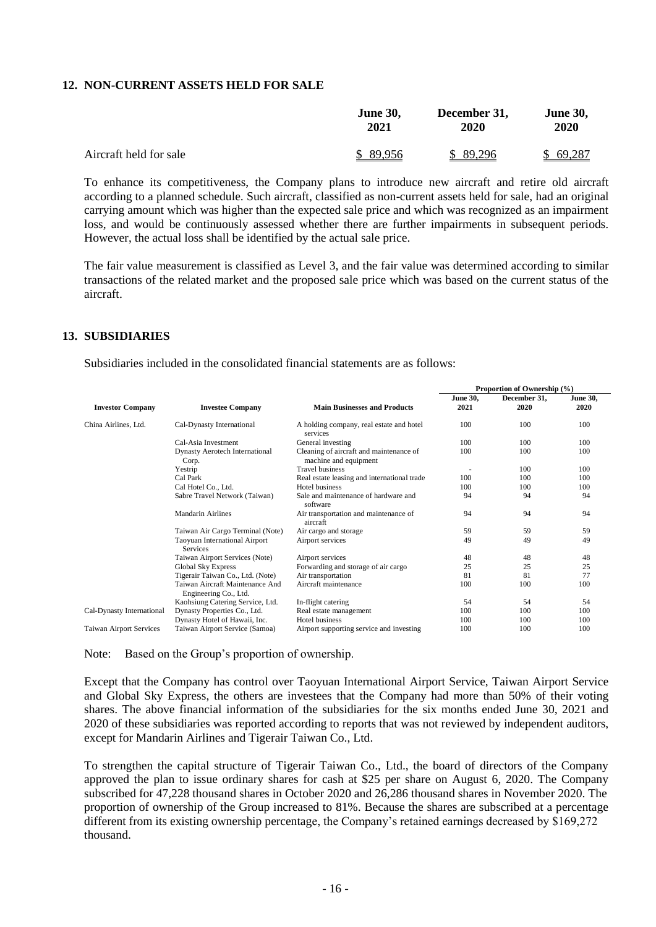### **12. NON-CURRENT ASSETS HELD FOR SALE**

|                        | <b>June 30.</b> | December 31, | <b>June 30,</b> |  |
|------------------------|-----------------|--------------|-----------------|--|
|                        | 2021            | 2020         | 2020            |  |
| Aircraft held for sale | \$89.956        | \$89,296     | \$69,287        |  |

To enhance its competitiveness, the Company plans to introduce new aircraft and retire old aircraft according to a planned schedule. Such aircraft, classified as non-current assets held for sale, had an original carrying amount which was higher than the expected sale price and which was recognized as an impairment loss, and would be continuously assessed whether there are further impairments in subsequent periods. However, the actual loss shall be identified by the actual sale price.

The fair value measurement is classified as Level 3, and the fair value was determined according to similar transactions of the related market and the proposed sale price which was based on the current status of the aircraft.

#### **13. SUBSIDIARIES**

Subsidiaries included in the consolidated financial statements are as follows:

|                                |                                                          | Proportion of Ownership (%)                                      |                         |                      |                         |
|--------------------------------|----------------------------------------------------------|------------------------------------------------------------------|-------------------------|----------------------|-------------------------|
| <b>Investor Company</b>        | <b>Investee Company</b>                                  | <b>Main Businesses and Products</b>                              | <b>June 30,</b><br>2021 | December 31,<br>2020 | <b>June 30.</b><br>2020 |
| China Airlines, Ltd.           | Cal-Dynasty International                                | A holding company, real estate and hotel<br>services             | 100                     | 100                  | 100                     |
|                                | Cal-Asia Investment                                      | General investing                                                | 100                     | 100                  | 100                     |
|                                | Dynasty Aerotech International<br>Corp.                  | Cleaning of aircraft and maintenance of<br>machine and equipment | 100                     | 100                  | 100                     |
|                                | Yestrip                                                  | <b>Travel business</b>                                           |                         | 100                  | 100                     |
|                                | Cal Park                                                 | Real estate leasing and international trade                      | 100                     | 100                  | 100                     |
|                                | Cal Hotel Co., Ltd.                                      | Hotel business                                                   | 100                     | 100                  | 100                     |
|                                | Sabre Travel Network (Taiwan)                            | Sale and maintenance of hardware and<br>software                 | 94                      | 94                   | 94                      |
|                                | Mandarin Airlines                                        | Air transportation and maintenance of<br>aircraft                | 94                      | 94                   | 94                      |
|                                | Taiwan Air Cargo Terminal (Note)                         | Air cargo and storage                                            | 59                      | 59                   | 59                      |
|                                | Taoyuan International Airport<br><b>Services</b>         | Airport services                                                 | 49                      | 49                   | 49                      |
|                                | Taiwan Airport Services (Note)                           | Airport services                                                 | 48                      | 48                   | 48                      |
|                                | <b>Global Sky Express</b>                                | Forwarding and storage of air cargo                              | 25                      | 25                   | 25                      |
|                                | Tigerair Taiwan Co., Ltd. (Note)                         | Air transportation                                               | 81                      | 81                   | 77                      |
|                                | Taiwan Aircraft Maintenance And<br>Engineering Co., Ltd. | Aircraft maintenance                                             | 100                     | 100                  | 100                     |
|                                | Kaohsiung Catering Service, Ltd.                         | In-flight catering                                               | 54                      | 54                   | 54                      |
| Cal-Dynasty International      | Dynasty Properties Co., Ltd.                             | Real estate management                                           | 100                     | 100                  | 100                     |
|                                | Dynasty Hotel of Hawaii, Inc.                            | Hotel business                                                   | 100                     | 100                  | 100                     |
| <b>Taiwan Airport Services</b> | Taiwan Airport Service (Samoa)                           | Airport supporting service and investing                         | 100                     | 100                  | 100                     |

Note: Based on the Group's proportion of ownership.

Except that the Company has control over Taoyuan International Airport Service, Taiwan Airport Service and Global Sky Express, the others are investees that the Company had more than 50% of their voting shares. The above financial information of the subsidiaries for the six months ended June 30, 2021 and 2020 of these subsidiaries was reported according to reports that was not reviewed by independent auditors, except for Mandarin Airlines and Tigerair Taiwan Co., Ltd.

To strengthen the capital structure of Tigerair Taiwan Co., Ltd., the board of directors of the Company approved the plan to issue ordinary shares for cash at \$25 per share on August 6, 2020. The Company subscribed for 47,228 thousand shares in October 2020 and 26,286 thousand shares in November 2020. The proportion of ownership of the Group increased to 81%. Because the shares are subscribed at a percentage different from its existing ownership percentage, the Company's retained earnings decreased by \$169,272 thousand.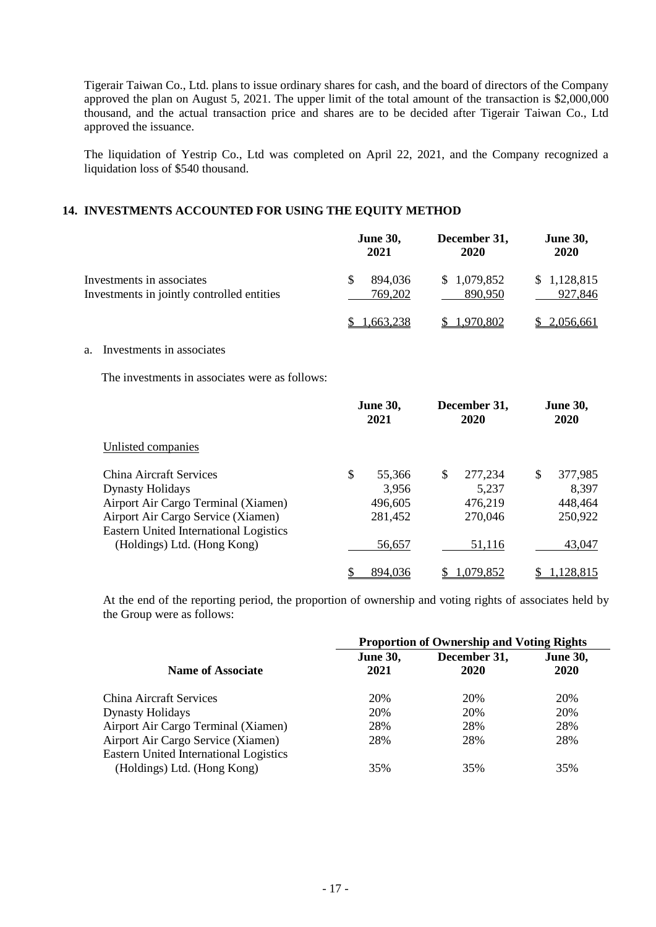Tigerair Taiwan Co., Ltd. plans to issue ordinary shares for cash, and the board of directors of the Company approved the plan on August 5, 2021. The upper limit of the total amount of the transaction is \$2,000,000 thousand, and the actual transaction price and shares are to be decided after Tigerair Taiwan Co., Ltd approved the issuance.

The liquidation of Yestrip Co., Ltd was completed on April 22, 2021, and the Company recognized a liquidation loss of \$540 thousand.

## **14. INVESTMENTS ACCOUNTED FOR USING THE EQUITY METHOD**

|                                                                                                                                                                                         | <b>June 30,</b><br>2021                                | December 31,<br>2020                         | <b>June 30,</b><br>2020                      |
|-----------------------------------------------------------------------------------------------------------------------------------------------------------------------------------------|--------------------------------------------------------|----------------------------------------------|----------------------------------------------|
| Investments in associates<br>Investments in jointly controlled entities                                                                                                                 | $\mathbb{S}$<br>894,036<br>769,202                     | \$1,079,852<br>890,950                       | \$1,128,815<br>927,846                       |
|                                                                                                                                                                                         | 1,663,238<br>\$                                        | 1,970,802                                    | 2,056,661                                    |
| Investments in associates<br>a.                                                                                                                                                         |                                                        |                                              |                                              |
| The investments in associates were as follows:                                                                                                                                          |                                                        |                                              |                                              |
|                                                                                                                                                                                         | <b>June 30,</b><br>2021                                | December 31,<br>2020                         | <b>June 30,</b><br>2020                      |
| Unlisted companies                                                                                                                                                                      |                                                        |                                              |                                              |
| <b>China Aircraft Services</b><br><b>Dynasty Holidays</b><br>Airport Air Cargo Terminal (Xiamen)<br>Airport Air Cargo Service (Xiamen)<br><b>Eastern United International Logistics</b> | $\mathcal{S}$<br>55,366<br>3,956<br>496,605<br>281,452 | \$<br>277,234<br>5,237<br>476,219<br>270,046 | \$<br>377,985<br>8,397<br>448,464<br>250,922 |
| (Holdings) Ltd. (Hong Kong)                                                                                                                                                             | 56,657                                                 | 51,116                                       | 43,047                                       |

At the end of the reporting period, the proportion of ownership and voting rights of associates held by the Group were as follows:

\$ 894,036 \$ 1,079,852 \$ 1,128,815

|                                                                       | <b>Proportion of Ownership and Voting Rights</b> |              |                 |  |
|-----------------------------------------------------------------------|--------------------------------------------------|--------------|-----------------|--|
|                                                                       | <b>June 30,</b>                                  | December 31, | <b>June 30,</b> |  |
| <b>Name of Associate</b>                                              | 2021                                             | 2020         | 2020            |  |
| China Aircraft Services                                               | 20%                                              | 20%          | 20%             |  |
| <b>Dynasty Holidays</b>                                               | 20%                                              | 20%          | 20%             |  |
| Airport Air Cargo Terminal (Xiamen)                                   | 28%                                              | 28%          | 28%             |  |
| Airport Air Cargo Service (Xiamen)                                    | 28%                                              | 28%          | 28%             |  |
| Eastern United International Logistics<br>(Holdings) Ltd. (Hong Kong) | 35%                                              | 35%          | 35%             |  |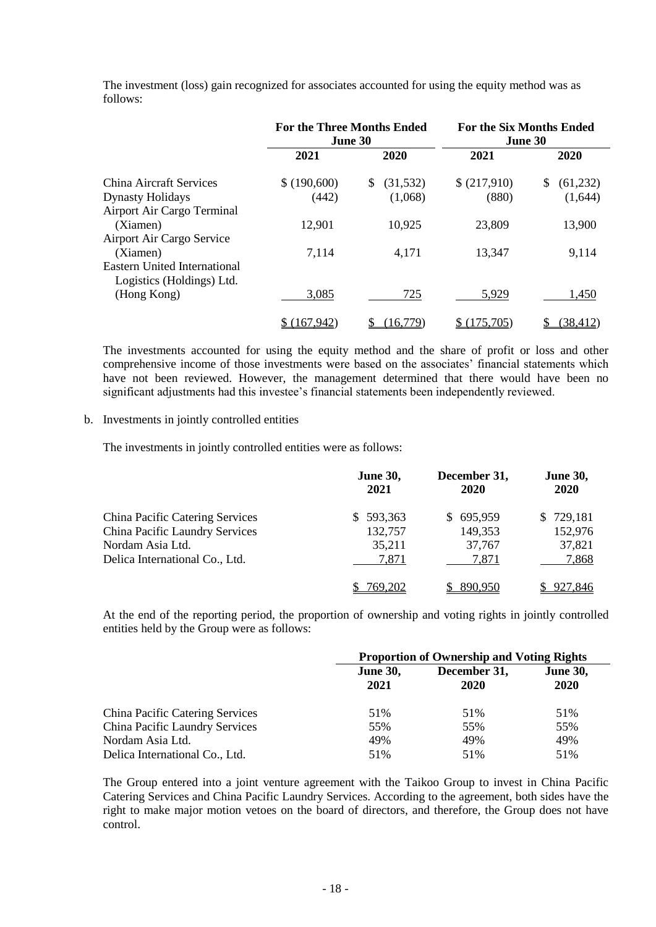|                                                                  | <b>For the Three Months Ended</b><br><b>June 30</b> |                  | <b>For the Six Months Ended</b><br>June 30 |                 |
|------------------------------------------------------------------|-----------------------------------------------------|------------------|--------------------------------------------|-----------------|
|                                                                  | 2021                                                | 2020             | 2021                                       | 2020            |
| China Aircraft Services                                          | \$ (190,600)                                        | \$.<br>(31, 532) | \$ (217,910)                               | \$.<br>(61,232) |
| <b>Dynasty Holidays</b>                                          | (442)                                               | (1,068)          | (880)                                      | (1,644)         |
| Airport Air Cargo Terminal                                       |                                                     |                  |                                            |                 |
| (Xiamen)                                                         | 12,901                                              | 10,925           | 23,809                                     | 13,900          |
| Airport Air Cargo Service                                        |                                                     |                  |                                            |                 |
| (Xiamen)                                                         | 7,114                                               | 4,171            | 13,347                                     | 9,114           |
| <b>Eastern United International</b><br>Logistics (Holdings) Ltd. |                                                     |                  |                                            |                 |
| (Hong Kong)                                                      | 3,085                                               | 725              | 5,929                                      | 1,450           |
|                                                                  | 167,942                                             | (16, 779)        | 175,705                                    | (38, 412)       |

The investment (loss) gain recognized for associates accounted for using the equity method was as follows:

The investments accounted for using the equity method and the share of profit or loss and other comprehensive income of those investments were based on the associates' financial statements which have not been reviewed. However, the management determined that there would have been no significant adjustments had this investee's financial statements been independently reviewed.

### b. Investments in jointly controlled entities

The investments in jointly controlled entities were as follows:

|                                 | <b>June 30,</b><br>2021 | December 31,<br>2020 | <b>June 30,</b><br>2020 |
|---------------------------------|-------------------------|----------------------|-------------------------|
| China Pacific Catering Services | 593,363<br>S.           | 695,959<br>S.        | 729,181<br>S.           |
| China Pacific Laundry Services  | 132,757                 | 149,353              | 152,976                 |
| Nordam Asia Ltd.                | 35,211                  | 37,767               | 37,821                  |
| Delica International Co., Ltd.  | 7,871                   | 7,871                | 7,868                   |
|                                 | '69.202                 | 890.950              | <u>927,846</u>          |

At the end of the reporting period, the proportion of ownership and voting rights in jointly controlled entities held by the Group were as follows:

|                                        | <b>Proportion of Ownership and Voting Rights</b> |                      |                         |  |
|----------------------------------------|--------------------------------------------------|----------------------|-------------------------|--|
|                                        | <b>June 30,</b><br>2021                          | December 31,<br>2020 | <b>June 30,</b><br>2020 |  |
| <b>China Pacific Catering Services</b> | 51%                                              | 51%                  | 51%                     |  |
| China Pacific Laundry Services         | 55%                                              | 55%                  | 55%                     |  |
| Nordam Asia Ltd.                       | 49%                                              | 49%                  | 49%                     |  |
| Delica International Co., Ltd.         | 51%                                              | 51%                  | 51%                     |  |

The Group entered into a joint venture agreement with the Taikoo Group to invest in China Pacific Catering Services and China Pacific Laundry Services. According to the agreement, both sides have the right to make major motion vetoes on the board of directors, and therefore, the Group does not have control.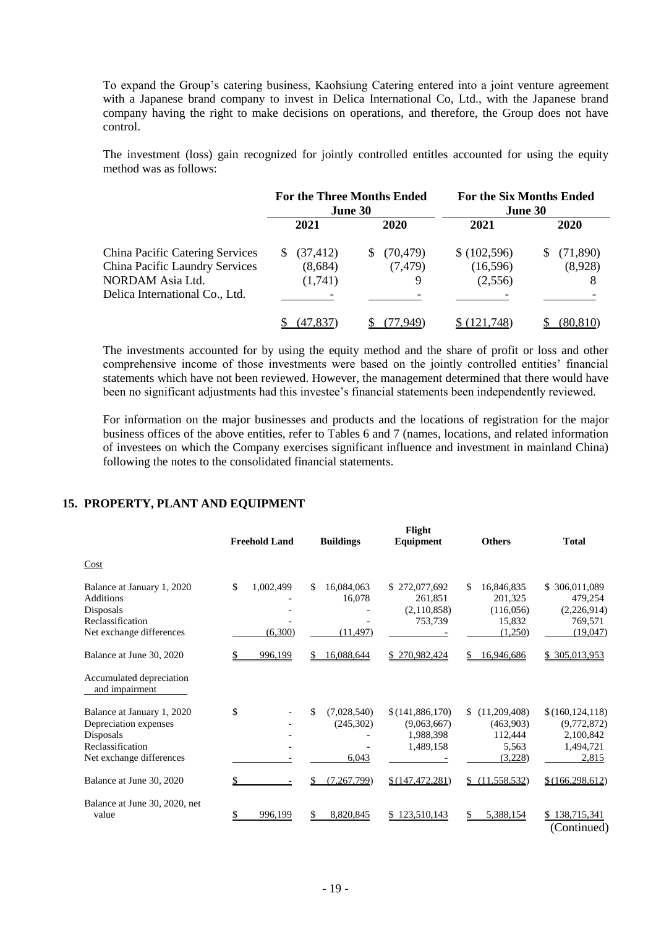To expand the Group's catering business, Kaohsiung Catering entered into a joint venture agreement with a Japanese brand company to invest in Delica International Co, Ltd., with the Japanese brand company having the right to make decisions on operations, and therefore, the Group does not have control.

The investment (loss) gain recognized for jointly controlled entitles accounted for using the equity method was as follows:

|                                        | <b>For the Three Months Ended</b><br>June 30 |           | For the Six Months Ended<br>June 30 |          |
|----------------------------------------|----------------------------------------------|-----------|-------------------------------------|----------|
|                                        | 2021                                         | 2020      | 2021                                | 2020     |
| <b>China Pacific Catering Services</b> | (37, 412)<br>S.                              | (70, 479) | (102,596)                           | (71,890) |
| China Pacific Laundry Services         | (8,684)                                      | (7, 479)  | (16,596)                            | (8,928)  |
| NORDAM Asia Ltd.                       | (1,741)                                      | 9         | (2,556)                             | 8        |
| Delica International Co., Ltd.         |                                              |           |                                     |          |
|                                        | 47.837                                       |           | 21.748                              | (80.810) |

The investments accounted for by using the equity method and the share of profit or loss and other comprehensive income of those investments were based on the jointly controlled entities' financial statements which have not been reviewed. However, the management determined that there would have been no significant adjustments had this investee's financial statements been independently reviewed.

For information on the major businesses and products and the locations of registration for the major business offices of the above entities, refer to Tables 6 and 7 (names, locations, and related information of investees on which the Company exercises significant influence and investment in mainland China) following the notes to the consolidated financial statements.

### **15. PROPERTY, PLANT AND EQUIPMENT**

|                                                                                                                  | <b>Freehold Land</b>       |    | Flight<br><b>Buildings</b><br>Equipment                                                       | <b>Others</b>                                                   | <b>Total</b>                                                        |
|------------------------------------------------------------------------------------------------------------------|----------------------------|----|-----------------------------------------------------------------------------------------------|-----------------------------------------------------------------|---------------------------------------------------------------------|
| Cost                                                                                                             |                            |    |                                                                                               |                                                                 |                                                                     |
| Balance at January 1, 2020<br><b>Additions</b><br>Disposals<br>Reclassification<br>Net exchange differences      | \$<br>1,002,499<br>(6,300) | S  | 16,084,063<br>\$272,077,692<br>16,078<br>261,851<br>(2,110,858)<br>753,739<br>(11, 497)       | S.<br>16,846,835<br>201,325<br>(116,056)<br>15,832<br>(1,250)   | \$<br>306,011,089<br>479,254<br>(2,226,914)<br>769,571<br>(19,047)  |
| Balance at June 30, 2020                                                                                         | 996,199                    |    | 16,088,644<br>\$270,982,424                                                                   | 16,946,686                                                      | \$ 305,013,953                                                      |
| Accumulated depreciation<br>and impairment                                                                       |                            |    |                                                                                               |                                                                 |                                                                     |
| Balance at January 1, 2020<br>Depreciation expenses<br>Disposals<br>Reclassification<br>Net exchange differences | \$                         | \$ | (7,028,540)<br>\$(141,886,170)<br>(245,302)<br>(9,063,667)<br>1,988,398<br>1,489,158<br>6,043 | \$.<br>(11,209,408)<br>(463,903)<br>112,444<br>5,563<br>(3,228) | \$(160, 124, 118)<br>(9,772,872)<br>2,100,842<br>1,494,721<br>2,815 |
| Balance at June 30, 2020                                                                                         |                            |    | (7, 267, 799)<br>\$(147, 472, 281)                                                            | (11,558,532)<br>\$                                              | \$(166, 298, 612)                                                   |
| Balance at June 30, 2020, net<br>value                                                                           | 996.199                    |    | 8,820,845<br>\$123,510,143                                                                    | 5,388,154                                                       | \$138,715,341<br>(Continued)                                        |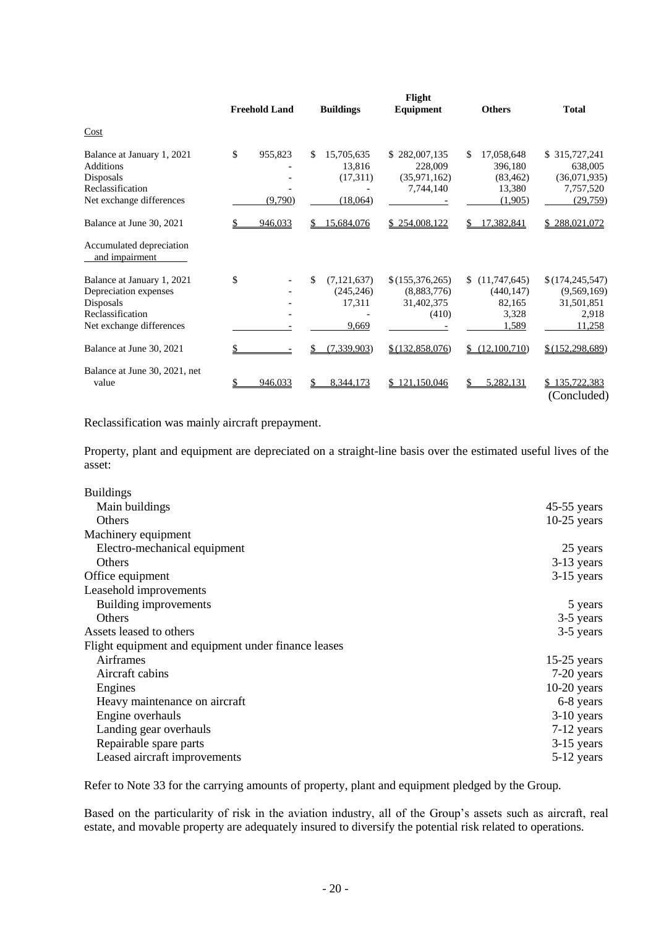|                                                                                                                  | <b>Freehold Land</b>     |     | <b>Buildings</b>                               | Flight<br>Equipment                                   |    | <b>Others</b>                                           | <b>Total</b>                                                      |
|------------------------------------------------------------------------------------------------------------------|--------------------------|-----|------------------------------------------------|-------------------------------------------------------|----|---------------------------------------------------------|-------------------------------------------------------------------|
| Cost                                                                                                             |                          |     |                                                |                                                       |    |                                                         |                                                                   |
| Balance at January 1, 2021<br><b>Additions</b><br>Disposals<br>Reclassification<br>Net exchange differences      | \$<br>955,823<br>(9,790) | \$. | 15,705,635<br>13,816<br>(17,311)<br>(18,064)   | \$282,007,135<br>228,009<br>(35,971,162)<br>7,744,140 | S. | 17,058,648<br>396,180<br>(83, 462)<br>13,380<br>(1,905) | \$315,727,241<br>638,005<br>(36,071,935)<br>7,757,520<br>(29,759) |
| Balance at June 30, 2021                                                                                         | 946,033                  | S   | 15,684,076                                     | \$254,008,122                                         |    | 17,382,841                                              | 288,021,072                                                       |
| Accumulated depreciation<br>and impairment                                                                       |                          |     |                                                |                                                       |    |                                                         |                                                                   |
| Balance at January 1, 2021<br>Depreciation expenses<br>Disposals<br>Reclassification<br>Net exchange differences | \$                       | \$. | (7, 121, 637)<br>(245, 246)<br>17,311<br>9,669 | \$(155,376,265)<br>(8,883,776)<br>31,402,375<br>(410) | S. | (11,747,645)<br>(440, 147)<br>82,165<br>3,328<br>1,589  | \$(174, 245, 547)<br>(9,569,169)<br>31,501,851<br>2,918<br>11,258 |
| Balance at June 30, 2021                                                                                         |                          |     | (7, 339, 903)                                  | \$(132,858,076)                                       |    | (12,100,710)                                            | \$(152, 298, 689)                                                 |
| Balance at June 30, 2021, net<br>value                                                                           | 946,033                  | S   | 8,344,173                                      | \$121,150,046                                         |    | 5,282,131                                               | \$135,722,383<br>(Concluded)                                      |

Reclassification was mainly aircraft prepayment.

Property, plant and equipment are depreciated on a straight-line basis over the estimated useful lives of the asset:

| <b>Buildings</b>                                    |               |
|-----------------------------------------------------|---------------|
| Main buildings                                      | $45-55$ years |
| Others                                              | $10-25$ years |
| Machinery equipment                                 |               |
| Electro-mechanical equipment                        | 25 years      |
| Others                                              | 3-13 years    |
| Office equipment                                    | $3-15$ years  |
| Leasehold improvements                              |               |
| Building improvements                               | 5 years       |
| <b>Others</b>                                       | 3-5 years     |
| Assets leased to others                             | 3-5 years     |
| Flight equipment and equipment under finance leases |               |
| Airframes                                           | $15-25$ years |
| Aircraft cabins                                     | 7-20 years    |
| Engines                                             | $10-20$ years |
| Heavy maintenance on aircraft                       | 6-8 years     |
| Engine overhauls                                    | $3-10$ years  |
| Landing gear overhauls                              | 7-12 years    |
| Repairable spare parts                              | $3-15$ years  |
| Leased aircraft improvements                        | 5-12 years    |

Refer to Note 33 for the carrying amounts of property, plant and equipment pledged by the Group.

Based on the particularity of risk in the aviation industry, all of the Group's assets such as aircraft, real estate, and movable property are adequately insured to diversify the potential risk related to operations.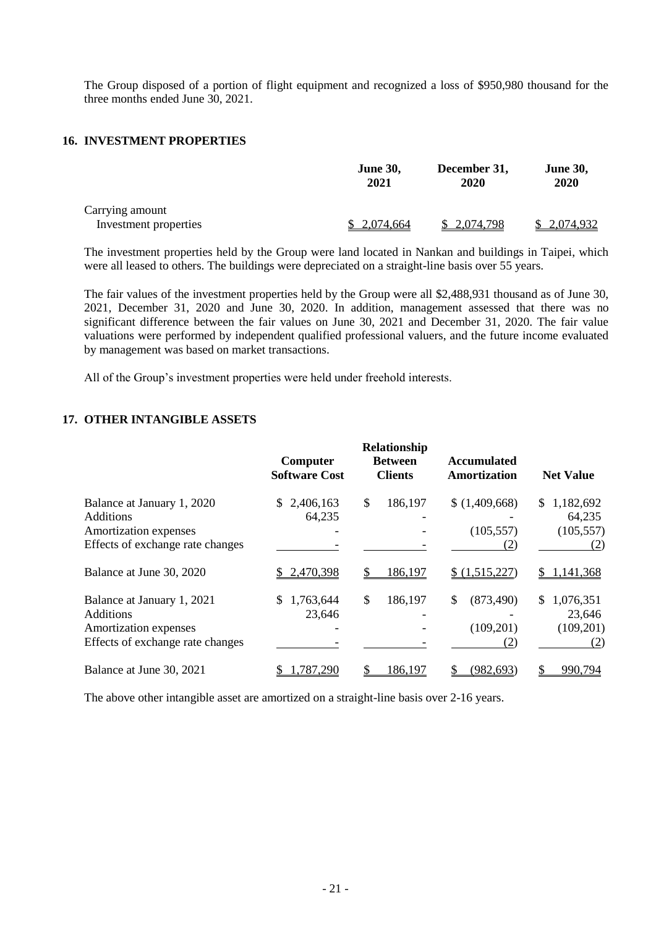The Group disposed of a portion of flight equipment and recognized a loss of \$950,980 thousand for the three months ended June 30, 2021.

## **16. INVESTMENT PROPERTIES**

|                                          | <b>June 30,</b> | December 31, | <b>June 30,</b> |
|------------------------------------------|-----------------|--------------|-----------------|
|                                          | 2021            | 2020         | 2020            |
| Carrying amount<br>Investment properties | \$2,074,664     | \$2,074,798  | \$2,074,932     |

The investment properties held by the Group were land located in Nankan and buildings in Taipei, which were all leased to others. The buildings were depreciated on a straight-line basis over 55 years.

The fair values of the investment properties held by the Group were all \$2,488,931 thousand as of June 30, 2021, December 31, 2020 and June 30, 2020. In addition, management assessed that there was no significant difference between the fair values on June 30, 2021 and December 31, 2020. The fair value valuations were performed by independent qualified professional valuers, and the future income evaluated by management was based on market transactions.

All of the Group's investment properties were held under freehold interests.

## **17. OTHER INTANGIBLE ASSETS**

|                                                                                                             | Computer<br><b>Software Cost</b> | Relationship<br><b>Between</b><br><b>Clients</b> | <b>Accumulated</b><br>Amortization | <b>Net Value</b>                               |
|-------------------------------------------------------------------------------------------------------------|----------------------------------|--------------------------------------------------|------------------------------------|------------------------------------------------|
| Balance at January 1, 2020<br><b>Additions</b><br>Amortization expenses<br>Effects of exchange rate changes | 2,406,163<br>S.<br>64,235        | \$<br>186,197                                    | \$(1,409,668)<br>(105, 557)<br>(2) | 1,182,692<br>S.<br>64,235<br>(105, 557)<br>(2) |
| Balance at June 30, 2020                                                                                    | 2,470,398                        | 186,197                                          | \$(1,515,227)                      | 1,141,368                                      |
| Balance at January 1, 2021<br><b>Additions</b><br>Amortization expenses<br>Effects of exchange rate changes | 1,763,644<br>S.<br>23,646        | \$<br>186,197                                    | \$<br>(873, 490)<br>(109, 201)     | \$1,076,351<br>23,646<br>(109, 201)<br>(2)     |
| Balance at June 30, 2021                                                                                    | 787,290                          | 186,197                                          | (982, 693)                         | 990,794                                        |

The above other intangible asset are amortized on a straight-line basis over 2-16 years.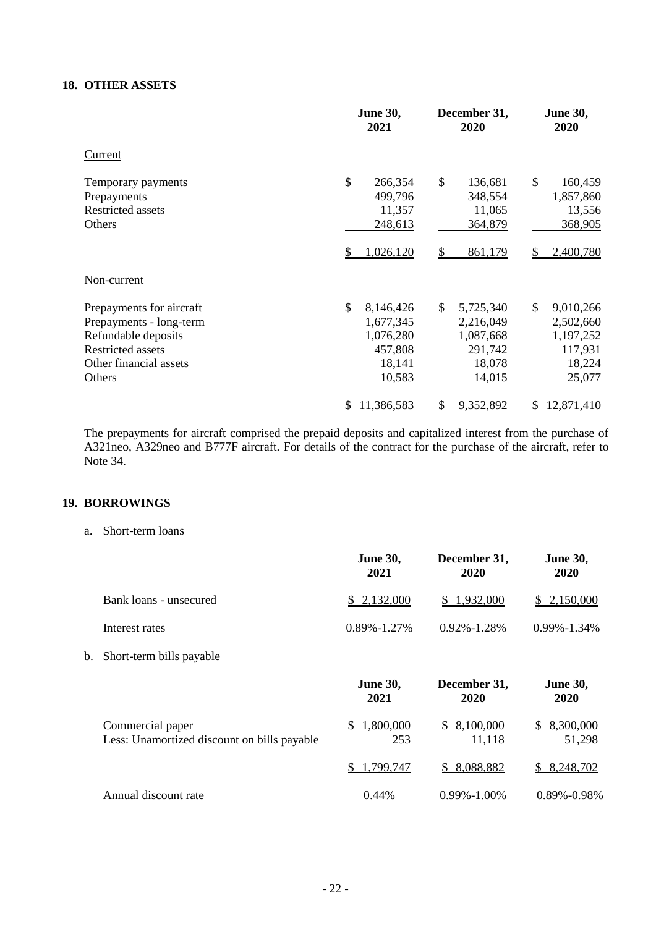## **18. OTHER ASSETS**

|                          | <b>June 30,</b><br>2021 | December 31,<br>2020      | <b>June 30,</b><br>2020  |  |
|--------------------------|-------------------------|---------------------------|--------------------------|--|
| Current                  |                         |                           |                          |  |
| Temporary payments       | \$<br>266,354           | \$<br>136,681             | $\mathcal{S}$<br>160,459 |  |
| Prepayments              | 499,796                 | 348,554                   | 1,857,860                |  |
| <b>Restricted assets</b> | 11,357                  | 11,065                    | 13,556                   |  |
| Others                   | 248,613                 | 364,879                   | 368,905                  |  |
|                          | 1,026,120               | 861,179                   | 2,400,780                |  |
| Non-current              |                         |                           |                          |  |
| Prepayments for aircraft | \$<br>8,146,426         | $\mathbb{S}$<br>5,725,340 | \$<br>9,010,266          |  |
| Prepayments - long-term  | 1,677,345               | 2,216,049                 | 2,502,660                |  |
| Refundable deposits      | 1,076,280               | 1,087,668                 | 1,197,252                |  |
| <b>Restricted assets</b> | 457,808                 | 291,742                   | 117,931                  |  |
| Other financial assets   | 18,141                  | 18,078                    | 18,224                   |  |
| Others                   | 10,583                  | 14,015                    | 25,077                   |  |
|                          | 11,386,583<br>\$        | 9,352,892<br>\$           | 12,871,410<br>\$         |  |

The prepayments for aircraft comprised the prepaid deposits and capitalized interest from the purchase of A321neo, A329neo and B777F aircraft. For details of the contract for the purchase of the aircraft, refer to Note 34.

## **19. BORROWINGS**

a. Short-term loans

|    |                                                                 | <b>June 30,</b><br>2021 | December 31,<br>2020  | <b>June 30,</b><br>2020   |
|----|-----------------------------------------------------------------|-------------------------|-----------------------|---------------------------|
|    | Bank loans - unsecured                                          | 2,132,000<br>S.         | \$1,932,000           | 2,150,000<br>S.           |
|    | Interest rates                                                  | $0.89\% - 1.27\%$       | 0.92%-1.28%           | $0.99\% - 1.34\%$         |
| b. | Short-term bills payable                                        |                         |                       |                           |
|    |                                                                 | <b>June 30,</b><br>2021 | December 31,<br>2020  | <b>June 30,</b><br>2020   |
|    | Commercial paper<br>Less: Unamortized discount on bills payable | 1,800,000<br>\$<br>253  | \$8,100,000<br>11,118 | 8,300,000<br>\$<br>51,298 |
|    |                                                                 | 1,799,747<br>\$         | 8,088,882             | 8,248,702<br>\$           |
|    | Annual discount rate                                            | 0.44%                   | $0.99\% - 1.00\%$     | 0.89%-0.98%               |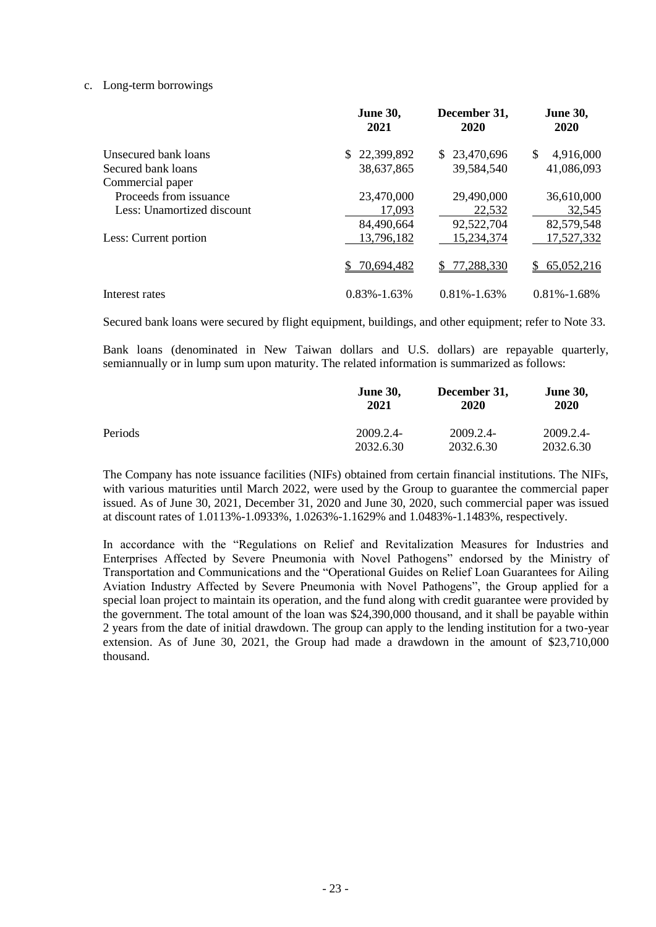### c. Long-term borrowings

|                            | <b>June 30,</b><br>2021 | December 31,<br>2020 | <b>June 30,</b><br>2020 |
|----------------------------|-------------------------|----------------------|-------------------------|
| Unsecured bank loans       | 22,399,892<br>S.        | \$23,470,696         | \$<br>4,916,000         |
| Secured bank loans         | 38,637,865              | 39,584,540           | 41,086,093              |
| Commercial paper           |                         |                      |                         |
| Proceeds from issuance     | 23,470,000              | 29,490,000           | 36,610,000              |
| Less: Unamortized discount | 17,093                  | 22,532               | 32,545                  |
|                            | 84,490,664              | 92,522,704           | 82,579,548              |
| Less: Current portion      | 13,796,182              | 15,234,374           | 17,527,332              |
|                            | 70,694,482              | 77,288,330<br>S.     | 65,052,216<br>S.        |
| Interest rates             | $0.83\% - 1.63\%$       | $0.81\% - 1.63\%$    | $0.81\% - 1.68\%$       |

Secured bank loans were secured by flight equipment, buildings, and other equipment; refer to Note 33.

Bank loans (denominated in New Taiwan dollars and U.S. dollars) are repayable quarterly, semiannually or in lump sum upon maturity. The related information is summarized as follows:

|         | <b>June 30,</b><br>2021 | December 31,<br>2020 | <b>June 30,</b><br>2020 |
|---------|-------------------------|----------------------|-------------------------|
| Periods | 2009.2.4-               | 2009.2.4-            | 2009.2.4-               |
|         | 2032.6.30               | 2032.6.30            | 2032.6.30               |

The Company has note issuance facilities (NIFs) obtained from certain financial institutions. The NIFs, with various maturities until March 2022, were used by the Group to guarantee the commercial paper issued. As of June 30, 2021, December 31, 2020 and June 30, 2020, such commercial paper was issued at discount rates of 1.0113%-1.0933%, 1.0263%-1.1629% and 1.0483%-1.1483%, respectively.

In accordance with the "Regulations on Relief and Revitalization Measures for Industries and Enterprises Affected by Severe Pneumonia with Novel Pathogens" endorsed by the Ministry of Transportation and Communications and the "Operational Guides on Relief Loan Guarantees for Ailing Aviation Industry Affected by Severe Pneumonia with Novel Pathogens", the Group applied for a special loan project to maintain its operation, and the fund along with credit guarantee were provided by the government. The total amount of the loan was \$24,390,000 thousand, and it shall be payable within 2 years from the date of initial drawdown. The group can apply to the lending institution for a two-year extension. As of June 30, 2021, the Group had made a drawdown in the amount of \$23,710,000 thousand.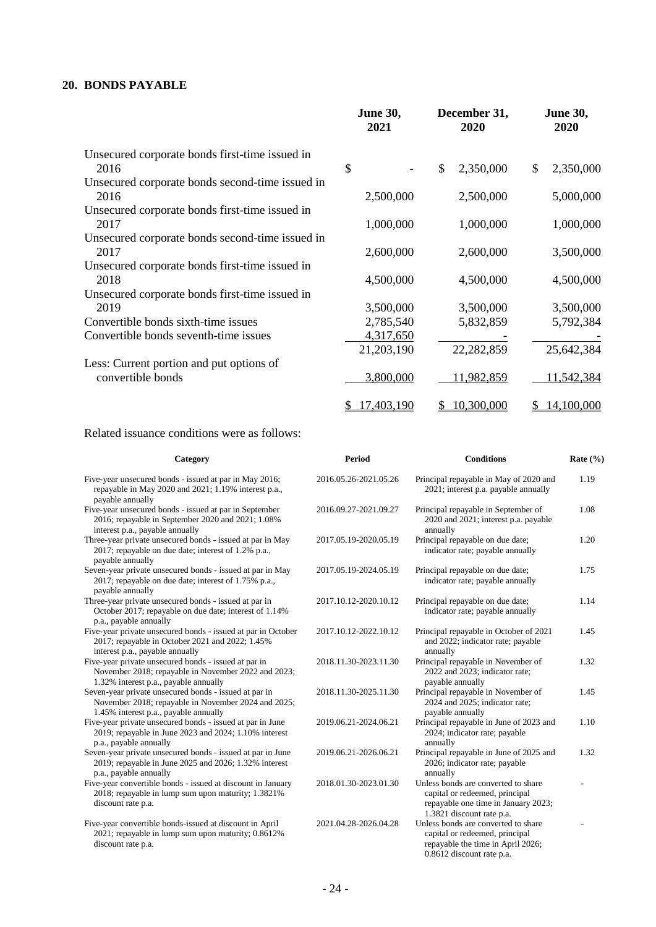## **20. BONDS PAYABLE**

|                                                 | <b>June 30,</b><br>2021 | December 31,<br>2020 | <b>June 30,</b><br>2020 |
|-------------------------------------------------|-------------------------|----------------------|-------------------------|
| Unsecured corporate bonds first-time issued in  |                         |                      |                         |
| 2016                                            | \$                      | \$<br>2,350,000      | 2,350,000<br>\$         |
| Unsecured corporate bonds second-time issued in |                         |                      |                         |
| 2016                                            | 2,500,000               | 2,500,000            | 5,000,000               |
| Unsecured corporate bonds first-time issued in  |                         |                      |                         |
| 2017                                            | 1,000,000               | 1,000,000            | 1,000,000               |
| Unsecured corporate bonds second-time issued in |                         |                      |                         |
| 2017                                            | 2,600,000               | 2,600,000            | 3,500,000               |
| Unsecured corporate bonds first-time issued in  |                         |                      |                         |
| 2018                                            | 4,500,000               | 4,500,000            | 4,500,000               |
| Unsecured corporate bonds first-time issued in  |                         |                      |                         |
| 2019                                            | 3,500,000               | 3,500,000            | 3,500,000               |
| Convertible bonds sixth-time issues             | 2,785,540               | 5,832,859            | 5,792,384               |
| Convertible bonds seventh-time issues           | 4,317,650               |                      |                         |
|                                                 | 21,203,190              | 22,282,859           | 25,642,384              |
| Less: Current portion and put options of        |                         |                      |                         |
| convertible bonds                               | 3,800,000               | 11,982,859           | 11,542,384              |
|                                                 |                         |                      |                         |
|                                                 | 17,403,190<br>S         | 10,300,000<br>S      | 14,100,000<br>S.        |

## Related issuance conditions were as follows:

| <b>Period</b>         |                                                                                                                                           | Rate $(\% )$      |
|-----------------------|-------------------------------------------------------------------------------------------------------------------------------------------|-------------------|
| 2016.05.26-2021.05.26 | Principal repayable in May of 2020 and<br>2021; interest p.a. payable annually                                                            | 1.19              |
| 2016.09.27-2021.09.27 | Principal repayable in September of<br>2020 and 2021; interest p.a. payable<br>annually                                                   | 1.08              |
| 2017.05.19-2020.05.19 | Principal repayable on due date;<br>indicator rate; payable annually                                                                      | 1.20              |
| 2017.05.19-2024.05.19 | Principal repayable on due date;<br>indicator rate; payable annually                                                                      | 1.75              |
| 2017.10.12-2020.10.12 | Principal repayable on due date;<br>indicator rate; payable annually                                                                      | 1.14              |
| 2017.10.12-2022.10.12 | Principal repayable in October of 2021<br>and 2022; indicator rate; payable<br>annually                                                   | 1.45              |
| 2018.11.30-2023.11.30 | Principal repayable in November of<br>2022 and 2023; indicator rate;<br>payable annually                                                  | 1.32              |
| 2018.11.30-2025.11.30 | Principal repayable in November of<br>2024 and 2025; indicator rate;<br>payable annually                                                  | 1.45              |
| 2019.06.21-2024.06.21 | Principal repayable in June of 2023 and<br>2024; indicator rate; payable<br>annually                                                      | 1.10              |
| 2019.06.21-2026.06.21 | Principal repayable in June of 2025 and<br>2026; indicator rate; payable<br>annually                                                      | 1.32              |
| 2018.01.30-2023.01.30 | Unless bonds are converted to share<br>capital or redeemed, principal<br>repayable one time in January 2023;<br>1.3821 discount rate p.a. |                   |
| 2021.04.28-2026.04.28 | Unless bonds are converted to share<br>capital or redeemed, principal<br>repayable the time in April 2026;<br>0.8612 discount rate p.a.   |                   |
|                       |                                                                                                                                           | <b>Conditions</b> |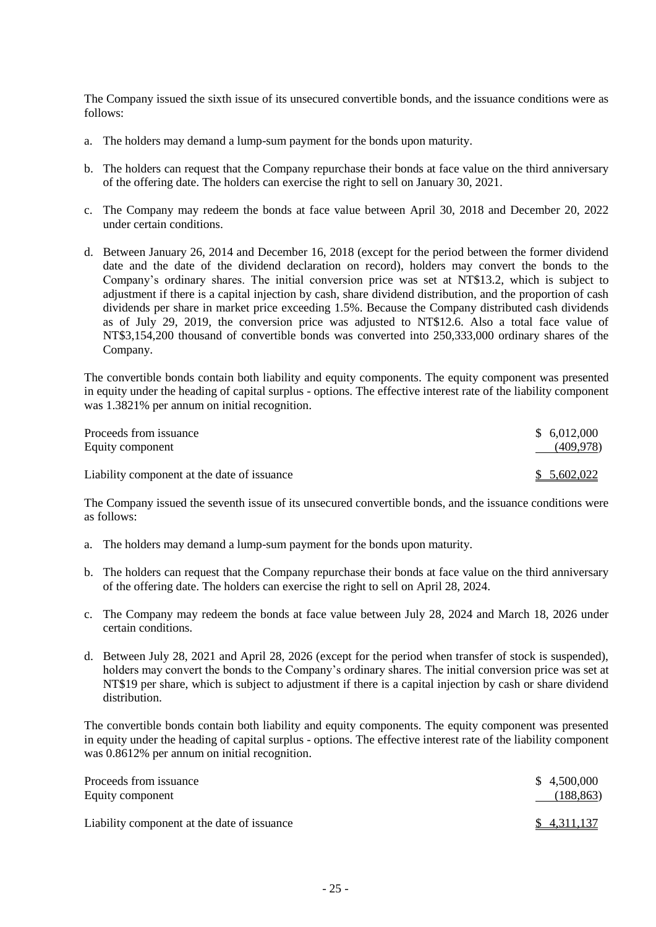The Company issued the sixth issue of its unsecured convertible bonds, and the issuance conditions were as follows:

- a. The holders may demand a lump-sum payment for the bonds upon maturity.
- b. The holders can request that the Company repurchase their bonds at face value on the third anniversary of the offering date. The holders can exercise the right to sell on January 30, 2021.
- c. The Company may redeem the bonds at face value between April 30, 2018 and December 20, 2022 under certain conditions.
- d. Between January 26, 2014 and December 16, 2018 (except for the period between the former dividend date and the date of the dividend declaration on record), holders may convert the bonds to the Company's ordinary shares. The initial conversion price was set at NT\$13.2, which is subject to adjustment if there is a capital injection by cash, share dividend distribution, and the proportion of cash dividends per share in market price exceeding 1.5%. Because the Company distributed cash dividends as of July 29, 2019, the conversion price was adjusted to NT\$12.6. Also a total face value of NT\$3,154,200 thousand of convertible bonds was converted into 250,333,000 ordinary shares of the Company.

The convertible bonds contain both liability and equity components. The equity component was presented in equity under the heading of capital surplus - options. The effective interest rate of the liability component was 1.3821% per annum on initial recognition.

| Proceeds from issuance<br>Equity component  | \$6,012,000<br>(409, 978) |
|---------------------------------------------|---------------------------|
| Liability component at the date of issuance | \$5,602,022               |

The Company issued the seventh issue of its unsecured convertible bonds, and the issuance conditions were as follows:

- a. The holders may demand a lump-sum payment for the bonds upon maturity.
- b. The holders can request that the Company repurchase their bonds at face value on the third anniversary of the offering date. The holders can exercise the right to sell on April 28, 2024.
- c. The Company may redeem the bonds at face value between July 28, 2024 and March 18, 2026 under certain conditions.
- d. Between July 28, 2021 and April 28, 2026 (except for the period when transfer of stock is suspended), holders may convert the bonds to the Company's ordinary shares. The initial conversion price was set at NT\$19 per share, which is subject to adjustment if there is a capital injection by cash or share dividend distribution.

The convertible bonds contain both liability and equity components. The equity component was presented in equity under the heading of capital surplus - options. The effective interest rate of the liability component was 0.8612% per annum on initial recognition.

| Proceeds from issuance                      | \$4,500,000 |
|---------------------------------------------|-------------|
| Equity component                            | (188, 863)  |
| Liability component at the date of issuance | \$4,311,137 |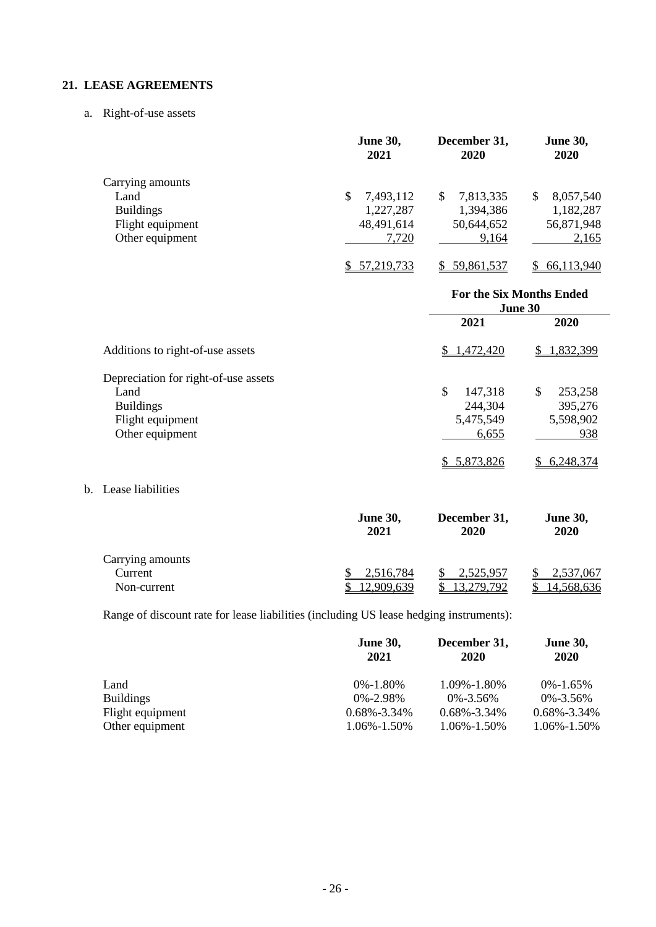## **21. LEASE AGREEMENTS**

a. Right-of-use assets

|                  | <b>June 30,</b><br>2021 | December 31,<br>2020 | <b>June 30,</b><br>2020 |
|------------------|-------------------------|----------------------|-------------------------|
| Carrying amounts |                         |                      |                         |
| Land             | 7,493,112<br>S          | 7,813,335<br>\$.     | 8,057,540<br>S          |
| <b>Buildings</b> | 1,227,287               | 1,394,386            | 1,182,287               |
| Flight equipment | 48,491,614              | 50,644,652           | 56,871,948              |
| Other equipment  | 7,720                   | 9,164                | 2,165                   |
|                  | 57, 219, 733            | 59,861,537           | 66,113,940              |

|                                      | <b>For the Six Months Ended</b><br>June 30 |                |
|--------------------------------------|--------------------------------------------|----------------|
|                                      | 2021                                       | 2020           |
| Additions to right-of-use assets     | \$1,472,420                                | 1,832,399<br>S |
| Depreciation for right-of-use assets |                                            |                |
| Land                                 | \$<br>147,318                              | 253,258<br>\$  |
| <b>Buildings</b>                     | 244,304                                    | 395,276        |
| Flight equipment                     | 5,475,549                                  | 5,598,902      |
| Other equipment                      | 6,655                                      | 938            |
|                                      | 5,873,826                                  | 6,248,374      |

b. Lease liabilities

|                  | <b>June 30,</b><br>2021 | December 31,<br>2020 | <b>June 30,</b><br>2020 |
|------------------|-------------------------|----------------------|-------------------------|
| Carrying amounts |                         |                      |                         |
| Current          | 2,516,784               | 2,525,957            | 2,537,067               |
| Non-current      | 12,909,639              | 279 792              | 14.568.636              |

Range of discount rate for lease liabilities (including US lease hedging instruments):

|                  | <b>June 30,</b><br>2021 | December 31,<br>2020 | <b>June 30,</b><br><b>2020</b> |
|------------------|-------------------------|----------------------|--------------------------------|
| Land             | $0\% - 1.80\%$          | 1.09%-1.80%          | $0\% - 1.65\%$                 |
| <b>Buildings</b> | $0\% - 2.98\%$          | $0\% - 3.56\%$       | $0\% - 3.56\%$                 |
| Flight equipment | $0.68\% - 3.34\%$       | $0.68\% - 3.34\%$    | $0.68\% - 3.34\%$              |
| Other equipment  | 1.06%-1.50%             | 1.06%-1.50%          | 1.06%-1.50%                    |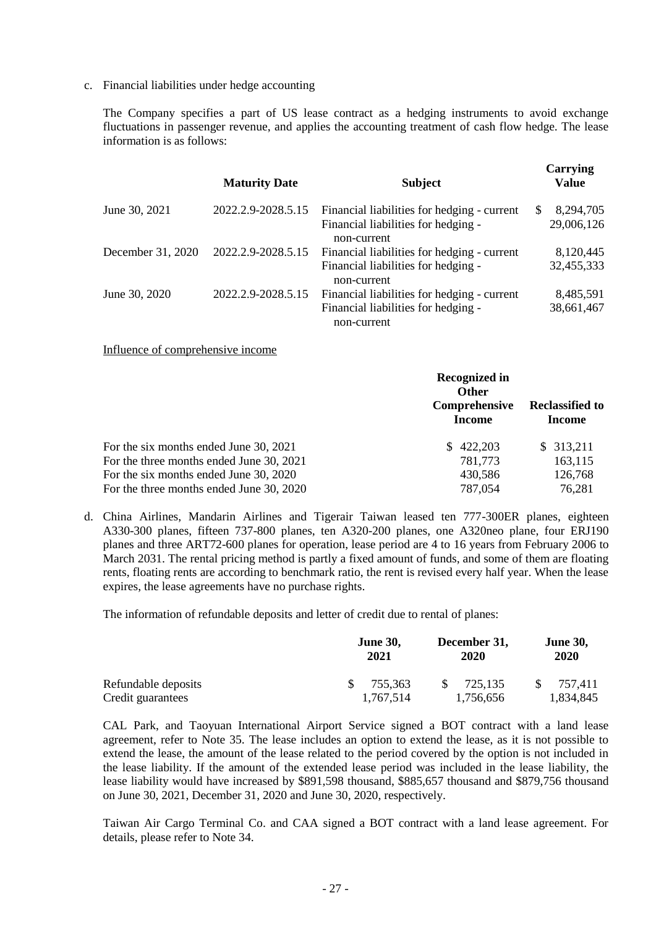c. Financial liabilities under hedge accounting

The Company specifies a part of US lease contract as a hedging instruments to avoid exchange fluctuations in passenger revenue, and applies the accounting treatment of cash flow hedge. The lease information is as follows:

|                   | <b>Maturity Date</b> | <b>Subject</b>                                                                                    | Carrying<br><b>Value</b>       |
|-------------------|----------------------|---------------------------------------------------------------------------------------------------|--------------------------------|
| June 30, 2021     | 2022.2.9-2028.5.15   | Financial liabilities for hedging - current<br>Financial liabilities for hedging -<br>non-current | 8,294,705<br>\$.<br>29,006,126 |
| December 31, 2020 | 2022.2.9-2028.5.15   | Financial liabilities for hedging - current<br>Financial liabilities for hedging -<br>non-current | 8,120,445<br>32,455,333        |
| June 30, 2020     | 2022.2.9-2028.5.15   | Financial liabilities for hedging - current<br>Financial liabilities for hedging -<br>non-current | 8,485,591<br>38,661,467        |

Influence of comprehensive income

|                                          | <b>Recognized in</b><br><b>Other</b><br>Comprehensive<br><b>Income</b> | <b>Reclassified to</b><br>Income |
|------------------------------------------|------------------------------------------------------------------------|----------------------------------|
| For the six months ended June 30, 2021   | 422,203<br>S.                                                          | \$313,211                        |
| For the three months ended June 30, 2021 | 781,773                                                                | 163,115                          |
| For the six months ended June 30, 2020   | 430,586                                                                | 126,768                          |
| For the three months ended June 30, 2020 | 787,054                                                                | 76,281                           |

d. China Airlines, Mandarin Airlines and Tigerair Taiwan leased ten 777-300ER planes, eighteen A330-300 planes, fifteen 737-800 planes, ten A320-200 planes, one A320neo plane, four ERJ190 planes and three ART72-600 planes for operation, lease period are 4 to 16 years from February 2006 to March 2031. The rental pricing method is partly a fixed amount of funds, and some of them are floating rents, floating rents are according to benchmark ratio, the rent is revised every half year. When the lease expires, the lease agreements have no purchase rights.

The information of refundable deposits and letter of credit due to rental of planes:

|                     | <b>June 30,</b><br>2021 | December 31,<br>2020 | <b>June 30,</b><br>2020 |
|---------------------|-------------------------|----------------------|-------------------------|
| Refundable deposits | -SS-<br>755.363         | 725.135              | 757.411                 |
| Credit guarantees   | 1.767.514               | 1,756,656            | 1,834,845               |

CAL Park, and Taoyuan International Airport Service signed a BOT contract with a land lease agreement, refer to Note 35. The lease includes an option to extend the lease, as it is not possible to extend the lease, the amount of the lease related to the period covered by the option is not included in the lease liability. If the amount of the extended lease period was included in the lease liability, the lease liability would have increased by \$891,598 thousand, \$885,657 thousand and \$879,756 thousand on June 30, 2021, December 31, 2020 and June 30, 2020, respectively.

Taiwan Air Cargo Terminal Co. and CAA signed a BOT contract with a land lease agreement. For details, please refer to Note 34.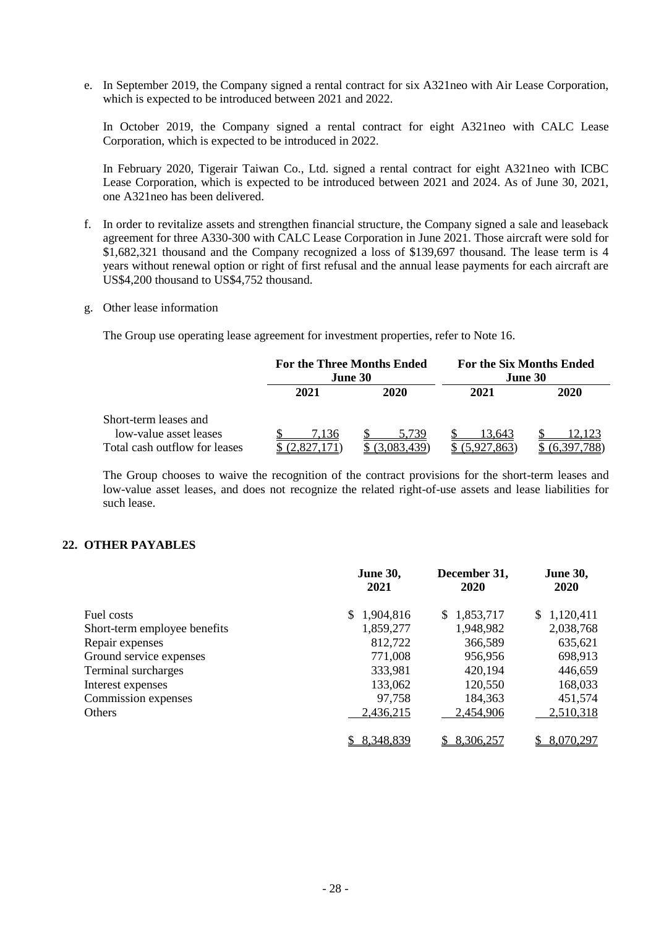e. In September 2019, the Company signed a rental contract for six A321neo with Air Lease Corporation, which is expected to be introduced between 2021 and 2022.

In October 2019, the Company signed a rental contract for eight A321neo with CALC Lease Corporation, which is expected to be introduced in 2022.

In February 2020, Tigerair Taiwan Co., Ltd. signed a rental contract for eight A321neo with ICBC Lease Corporation, which is expected to be introduced between 2021 and 2024. As of June 30, 2021, one A321neo has been delivered.

- f. In order to revitalize assets and strengthen financial structure, the Company signed a sale and leaseback agreement for three A330-300 with CALC Lease Corporation in June 2021. Those aircraft were sold for \$1,682,321 thousand and the Company recognized a loss of \$139,697 thousand. The lease term is 4 years without renewal option or right of first refusal and the annual lease payments for each aircraft are US\$4,200 thousand to US\$4,752 thousand.
- g. Other lease information

The Group use operating lease agreement for investment properties, refer to Note 16.

|                               | <b>For the Three Months Ended</b><br><b>June 30</b> |      | For the Six Months Ended<br>June 30 |      |
|-------------------------------|-----------------------------------------------------|------|-------------------------------------|------|
|                               | 2021                                                | 2020 | 2021                                | 2020 |
| Short-term leases and         |                                                     |      |                                     |      |
| low-value asset leases        | .136                                                |      | 3.643                               |      |
| Total cash outflow for leases |                                                     |      |                                     |      |

The Group chooses to waive the recognition of the contract provisions for the short-term leases and low-value asset leases, and does not recognize the related right-of-use assets and lease liabilities for such lease.

### **22. OTHER PAYABLES**

|                              | <b>June 30,</b><br>2021 | December 31,<br><b>2020</b> | <b>June 30,</b><br>2020 |
|------------------------------|-------------------------|-----------------------------|-------------------------|
| Fuel costs                   | 1,904,816<br>\$.        | 1,853,717<br>S.             | \$1,120,411             |
| Short-term employee benefits | 1,859,277               | 1,948,982                   | 2,038,768               |
| Repair expenses              | 812,722                 | 366,589                     | 635,621                 |
| Ground service expenses      | 771,008                 | 956,956                     | 698,913                 |
| Terminal surcharges          | 333,981                 | 420,194                     | 446,659                 |
| Interest expenses            | 133,062                 | 120,550                     | 168,033                 |
| Commission expenses          | 97,758                  | 184,363                     | 451,574                 |
| Others                       | 2,436,215               | 2,454,906                   | 2,510,318               |
|                              | 8,348,839               | 8,306,257                   | 8,070,297               |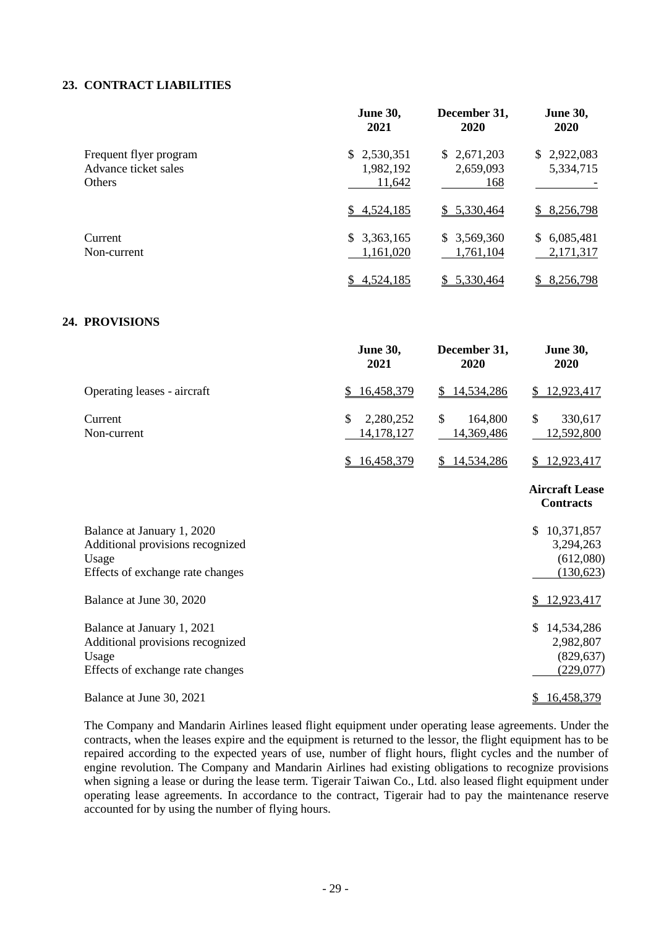## **23. CONTRACT LIABILITIES**

|                                                                 | <b>June 30,</b><br>2021            | December 31,<br>2020            | <b>June 30,</b><br><b>2020</b> |
|-----------------------------------------------------------------|------------------------------------|---------------------------------|--------------------------------|
| Frequent flyer program<br>Advance ticket sales<br><b>Others</b> | \$2,530,351<br>1,982,192<br>11,642 | \$2,671,203<br>2,659,093<br>168 | \$2,922,083<br>5,334,715       |
|                                                                 | \$4,524,185                        | \$5,330,464                     | \$8,256,798                    |
| Current<br>Non-current                                          | \$3,363,165<br>1,161,020           | \$3,569,360<br>1,761,104        | \$6,085,481<br>2,171,317       |
|                                                                 | 4,524,185<br>S.                    | 5,330,464                       | 8,256,798                      |

## **24. PROVISIONS**

|                                                                                                             | <b>June 30,</b><br>2021       | December 31,<br>2020        | <b>June 30,</b><br>2020                                  |
|-------------------------------------------------------------------------------------------------------------|-------------------------------|-----------------------------|----------------------------------------------------------|
| Operating leases - aircraft                                                                                 | 16,458,379<br>$\overline{2}$  | 14,534,286<br>$\frac{1}{2}$ | 12,923,417<br>\$                                         |
| Current<br>Non-current                                                                                      | \$<br>2,280,252<br>14,178,127 | \$<br>164,800<br>14,369,486 | \$<br>330,617<br>12,592,800                              |
|                                                                                                             | \$16,458,379                  | \$14,534,286                | \$12,923,417                                             |
|                                                                                                             |                               |                             | <b>Aircraft Lease</b><br><b>Contracts</b>                |
| Balance at January 1, 2020<br>Additional provisions recognized<br>Usage<br>Effects of exchange rate changes |                               |                             | 10,371,857<br>\$.<br>3,294,263<br>(612,080)<br>(130,623) |
| Balance at June 30, 2020                                                                                    |                               |                             | 12,923,417<br>\$                                         |
| Balance at January 1, 2021<br>Additional provisions recognized<br>Usage<br>Effects of exchange rate changes |                               |                             | 14,534,286<br>\$<br>2,982,807<br>(829, 637)<br>(229,077) |
| Balance at June 30, 2021                                                                                    |                               |                             | 16,458,379<br>\$                                         |

The Company and Mandarin Airlines leased flight equipment under operating lease agreements. Under the contracts, when the leases expire and the equipment is returned to the lessor, the flight equipment has to be repaired according to the expected years of use, number of flight hours, flight cycles and the number of engine revolution. The Company and Mandarin Airlines had existing obligations to recognize provisions when signing a lease or during the lease term. Tigerair Taiwan Co., Ltd. also leased flight equipment under operating lease agreements. In accordance to the contract, Tigerair had to pay the maintenance reserve accounted for by using the number of flying hours.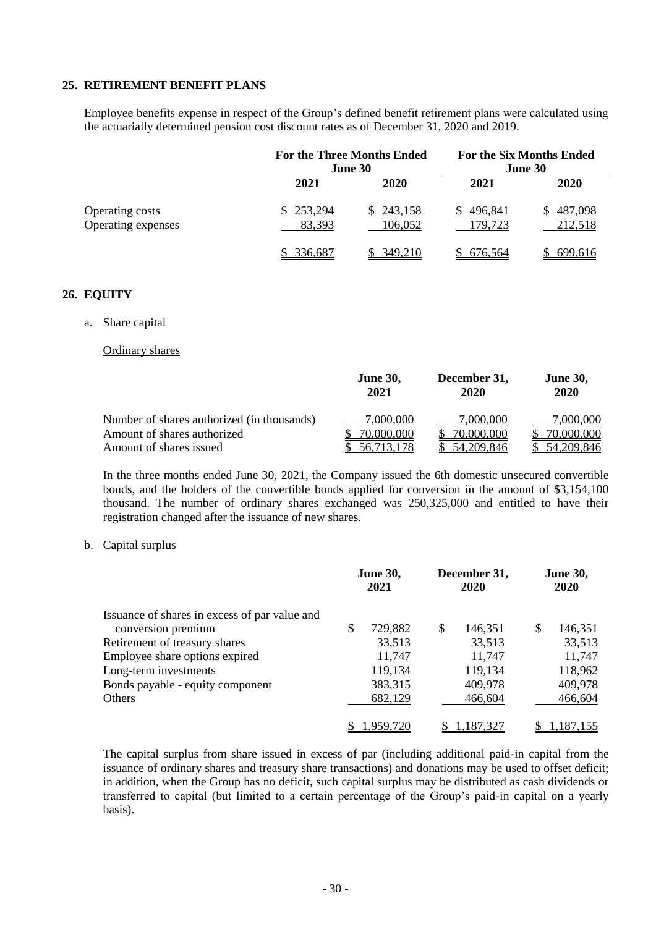### **25. RETIREMENT BENEFIT PLANS**

Employee benefits expense in respect of the Group's defined benefit retirement plans were calculated using the actuarially determined pension cost discount rates as of December 31, 2020 and 2019.

|                                       | <b>For the Three Months Ended</b><br>June 30 |                      | <b>For the Six Months Ended</b><br>June 30 |                      |
|---------------------------------------|----------------------------------------------|----------------------|--------------------------------------------|----------------------|
|                                       | 2021                                         | 2020                 | 2021                                       | 2020                 |
| Operating costs<br>Operating expenses | \$253,294<br>83,393                          | \$243,158<br>106,052 | \$496,841<br>179,723                       | \$487,098<br>212,518 |
|                                       | 336,687                                      | 349,210              | 676,564                                    | 699,616              |

## **26. EQUITY**

a. Share capital

Ordinary shares

|                                            | <b>June 30,</b><br>2021 | December 31,<br>2020 | <b>June 30,</b><br>2020 |
|--------------------------------------------|-------------------------|----------------------|-------------------------|
| Number of shares authorized (in thousands) | 7,000,000               | 7,000,000            | 7,000,000               |
| Amount of shares authorized                | 70,000,000              | 70,000,000           | 70,000,000              |
| Amount of shares issued                    | 56.713.178              | 54, 209, 846         | 54,209,846              |

In the three months ended June 30, 2021, the Company issued the 6th domestic unsecured convertible bonds, and the holders of the convertible bonds applied for conversion in the amount of \$3,154,100 thousand. The number of ordinary shares exchanged was 250,325,000 and entitled to have their registration changed after the issuance of new shares.

#### b. Capital surplus

|                                               |   | <b>June 30,</b><br>2021 | December 31,<br>2020 |   | <b>June 30,</b><br><b>2020</b> |
|-----------------------------------------------|---|-------------------------|----------------------|---|--------------------------------|
| Issuance of shares in excess of par value and |   |                         |                      |   |                                |
| conversion premium                            | S | 729,882                 | \$<br>146,351        | S | 146,351                        |
| Retirement of treasury shares                 |   | 33,513                  | 33,513               |   | 33,513                         |
| Employee share options expired                |   | 11,747                  | 11,747               |   | 11,747                         |
| Long-term investments                         |   | 119,134                 | 119,134              |   | 118,962                        |
| Bonds payable - equity component              |   | 383,315                 | 409,978              |   | 409,978                        |
| Others                                        |   | 682,129                 | 466,604              |   | 466,604                        |
|                                               |   | 1,959,720               | 1,187,327            |   | 1,187,155                      |

The capital surplus from share issued in excess of par (including additional paid-in capital from the issuance of ordinary shares and treasury share transactions) and donations may be used to offset deficit; in addition, when the Group has no deficit, such capital surplus may be distributed as cash dividends or transferred to capital (but limited to a certain percentage of the Group's paid-in capital on a yearly basis).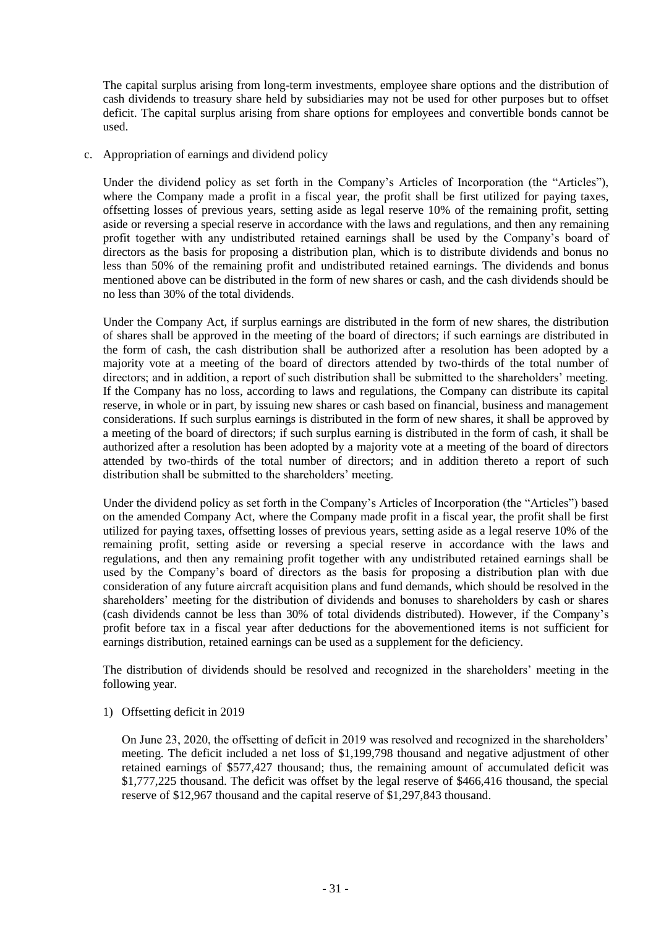The capital surplus arising from long-term investments, employee share options and the distribution of cash dividends to treasury share held by subsidiaries may not be used for other purposes but to offset deficit. The capital surplus arising from share options for employees and convertible bonds cannot be used.

c. Appropriation of earnings and dividend policy

Under the dividend policy as set forth in the Company's Articles of Incorporation (the "Articles"), where the Company made a profit in a fiscal year, the profit shall be first utilized for paying taxes, offsetting losses of previous years, setting aside as legal reserve 10% of the remaining profit, setting aside or reversing a special reserve in accordance with the laws and regulations, and then any remaining profit together with any undistributed retained earnings shall be used by the Company's board of directors as the basis for proposing a distribution plan, which is to distribute dividends and bonus no less than 50% of the remaining profit and undistributed retained earnings. The dividends and bonus mentioned above can be distributed in the form of new shares or cash, and the cash dividends should be no less than 30% of the total dividends.

Under the Company Act, if surplus earnings are distributed in the form of new shares, the distribution of shares shall be approved in the meeting of the board of directors; if such earnings are distributed in the form of cash, the cash distribution shall be authorized after a resolution has been adopted by a majority vote at a meeting of the board of directors attended by two-thirds of the total number of directors; and in addition, a report of such distribution shall be submitted to the shareholders' meeting. If the Company has no loss, according to laws and regulations, the Company can distribute its capital reserve, in whole or in part, by issuing new shares or cash based on financial, business and management considerations. If such surplus earnings is distributed in the form of new shares, it shall be approved by a meeting of the board of directors; if such surplus earning is distributed in the form of cash, it shall be authorized after a resolution has been adopted by a majority vote at a meeting of the board of directors attended by two-thirds of the total number of directors; and in addition thereto a report of such distribution shall be submitted to the shareholders' meeting.

Under the dividend policy as set forth in the Company's Articles of Incorporation (the "Articles") based on the amended Company Act, where the Company made profit in a fiscal year, the profit shall be first utilized for paying taxes, offsetting losses of previous years, setting aside as a legal reserve 10% of the remaining profit, setting aside or reversing a special reserve in accordance with the laws and regulations, and then any remaining profit together with any undistributed retained earnings shall be used by the Company's board of directors as the basis for proposing a distribution plan with due consideration of any future aircraft acquisition plans and fund demands, which should be resolved in the shareholders' meeting for the distribution of dividends and bonuses to shareholders by cash or shares (cash dividends cannot be less than 30% of total dividends distributed). However, if the Company's profit before tax in a fiscal year after deductions for the abovementioned items is not sufficient for earnings distribution, retained earnings can be used as a supplement for the deficiency.

The distribution of dividends should be resolved and recognized in the shareholders' meeting in the following year.

1) Offsetting deficit in 2019

On June 23, 2020, the offsetting of deficit in 2019 was resolved and recognized in the shareholders' meeting. The deficit included a net loss of \$1,199,798 thousand and negative adjustment of other retained earnings of \$577,427 thousand; thus, the remaining amount of accumulated deficit was \$1,777,225 thousand. The deficit was offset by the legal reserve of \$466,416 thousand, the special reserve of \$12,967 thousand and the capital reserve of \$1,297,843 thousand.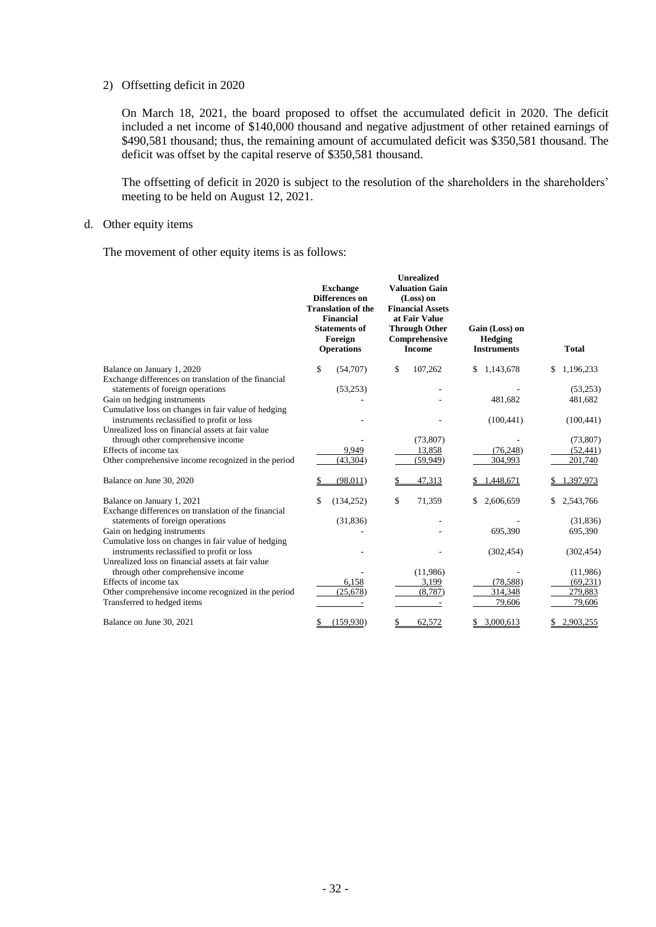#### 2) Offsetting deficit in 2020

On March 18, 2021, the board proposed to offset the accumulated deficit in 2020. The deficit included a net income of \$140,000 thousand and negative adjustment of other retained earnings of \$490,581 thousand; thus, the remaining amount of accumulated deficit was \$350,581 thousand. The deficit was offset by the capital reserve of \$350,581 thousand.

The offsetting of deficit in 2020 is subject to the resolution of the shareholders in the shareholders' meeting to be held on August 12, 2021.

#### d. Other equity items

The movement of other equity items is as follows:

| \$<br>107,262<br>\$<br>(54,707)<br>1,143,678<br>\$<br>1,196,233<br>Balance on January 1, 2020<br>\$<br>Exchange differences on translation of the financial<br>statements of foreign operations<br>(53,253)<br>(53,253)<br>Gain on hedging instruments<br>481,682<br>481,682<br>Cumulative loss on changes in fair value of hedging<br>instruments reclassified to profit or loss<br>(100, 441)<br>(100, 441)<br>Unrealized loss on financial assets at fair value<br>through other comprehensive income<br>(73, 807)<br>(73,807)<br>Effects of income tax<br>(76, 248)<br>9,949<br>13,858<br>(52, 441)<br>(43, 304)<br>201,740<br>(59, 949)<br>304,993 |                                                     |
|---------------------------------------------------------------------------------------------------------------------------------------------------------------------------------------------------------------------------------------------------------------------------------------------------------------------------------------------------------------------------------------------------------------------------------------------------------------------------------------------------------------------------------------------------------------------------------------------------------------------------------------------------------|-----------------------------------------------------|
|                                                                                                                                                                                                                                                                                                                                                                                                                                                                                                                                                                                                                                                         |                                                     |
|                                                                                                                                                                                                                                                                                                                                                                                                                                                                                                                                                                                                                                                         |                                                     |
|                                                                                                                                                                                                                                                                                                                                                                                                                                                                                                                                                                                                                                                         |                                                     |
|                                                                                                                                                                                                                                                                                                                                                                                                                                                                                                                                                                                                                                                         |                                                     |
|                                                                                                                                                                                                                                                                                                                                                                                                                                                                                                                                                                                                                                                         |                                                     |
|                                                                                                                                                                                                                                                                                                                                                                                                                                                                                                                                                                                                                                                         |                                                     |
|                                                                                                                                                                                                                                                                                                                                                                                                                                                                                                                                                                                                                                                         |                                                     |
|                                                                                                                                                                                                                                                                                                                                                                                                                                                                                                                                                                                                                                                         |                                                     |
|                                                                                                                                                                                                                                                                                                                                                                                                                                                                                                                                                                                                                                                         | Other comprehensive income recognized in the period |
| Balance on June 30, 2020<br>(98.011)<br>47,313<br>1,448,671<br>1,397,973                                                                                                                                                                                                                                                                                                                                                                                                                                                                                                                                                                                |                                                     |
| \$<br>(134, 252)<br>71,359<br>2,543,766<br>Balance on January 1, 2021<br>\$<br>\$<br>2,606,659<br>\$                                                                                                                                                                                                                                                                                                                                                                                                                                                                                                                                                    |                                                     |
| Exchange differences on translation of the financial                                                                                                                                                                                                                                                                                                                                                                                                                                                                                                                                                                                                    |                                                     |
| (31, 836)<br>statements of foreign operations<br>(31,836)                                                                                                                                                                                                                                                                                                                                                                                                                                                                                                                                                                                               |                                                     |
| Gain on hedging instruments<br>695,390<br>695,390                                                                                                                                                                                                                                                                                                                                                                                                                                                                                                                                                                                                       |                                                     |
| Cumulative loss on changes in fair value of hedging                                                                                                                                                                                                                                                                                                                                                                                                                                                                                                                                                                                                     |                                                     |
| instruments reclassified to profit or loss<br>(302, 454)<br>(302, 454)                                                                                                                                                                                                                                                                                                                                                                                                                                                                                                                                                                                  |                                                     |
| Unrealized loss on financial assets at fair value                                                                                                                                                                                                                                                                                                                                                                                                                                                                                                                                                                                                       |                                                     |
| through other comprehensive income<br>(11,986)<br>(11,986)<br>Effects of income tax                                                                                                                                                                                                                                                                                                                                                                                                                                                                                                                                                                     |                                                     |
| 6,158<br>(78, 588)<br>3,199<br>(69, 231)<br>Other comprehensive income recognized in the period                                                                                                                                                                                                                                                                                                                                                                                                                                                                                                                                                         |                                                     |
| (25, 678)<br>(8, 787)<br>314,348<br>279,883<br>Transferred to hedged items<br>79,606<br>79,606                                                                                                                                                                                                                                                                                                                                                                                                                                                                                                                                                          |                                                     |
| \$<br>(159.930)<br>62,572<br>3,000,613<br>2,903,255<br>Balance on June 30, 2021<br>\$<br>\$                                                                                                                                                                                                                                                                                                                                                                                                                                                                                                                                                             |                                                     |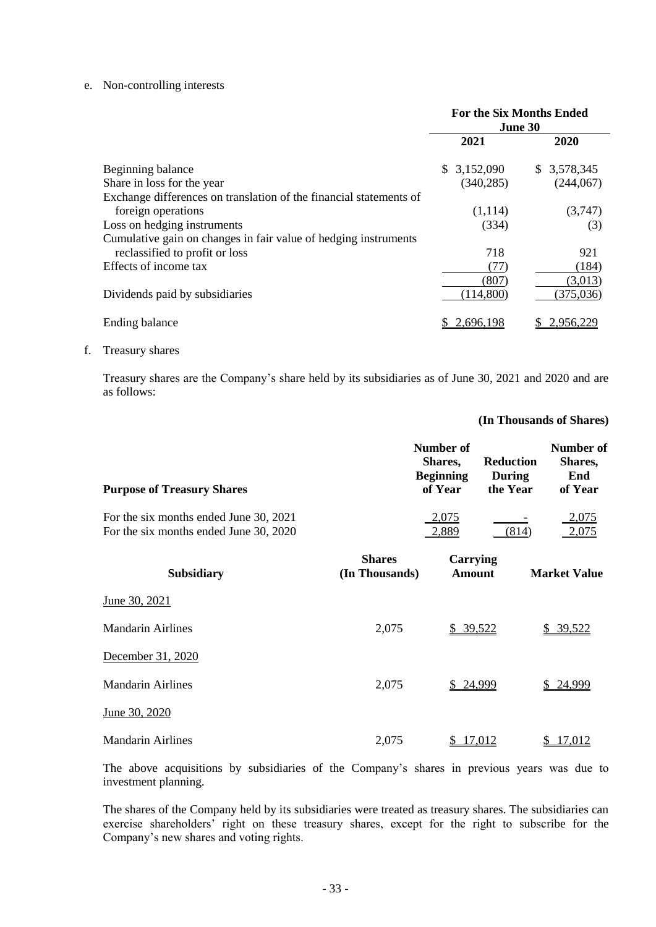#### e. Non-controlling interests

|                                                                    | <b>For the Six Months Ended</b><br>June 30 |             |  |
|--------------------------------------------------------------------|--------------------------------------------|-------------|--|
|                                                                    | 2021                                       | 2020        |  |
| Beginning balance                                                  | \$3,152,090                                | \$3,578,345 |  |
| Share in loss for the year                                         | (340, 285)                                 | (244,067)   |  |
| Exchange differences on translation of the financial statements of |                                            |             |  |
| foreign operations                                                 | (1,114)                                    | (3,747)     |  |
| Loss on hedging instruments                                        | (334)                                      | (3)         |  |
| Cumulative gain on changes in fair value of hedging instruments    |                                            |             |  |
| reclassified to profit or loss                                     | 718                                        | 921         |  |
| Effects of income tax                                              | (77)                                       | (184)       |  |
|                                                                    | (807                                       | (3,013)     |  |
| Dividends paid by subsidiaries                                     | (114,800)                                  | (375,036)   |  |
| Ending balance                                                     | 2,696,198                                  | 2.956.2     |  |

#### f. Treasury shares

Treasury shares are the Company's share held by its subsidiaries as of June 30, 2021 and 2020 and are as follows:

#### **(In Thousands of Shares)**

| <b>Purpose of Treasury Shares</b>                                                |                                 | Number of<br>Shares,<br><b>Beginning</b><br>of Year | <b>Reduction</b><br><b>During</b><br>the Year | Number of<br>Shares,<br>End<br>of Year |
|----------------------------------------------------------------------------------|---------------------------------|-----------------------------------------------------|-----------------------------------------------|----------------------------------------|
| For the six months ended June 30, 2021<br>For the six months ended June 30, 2020 |                                 | 2,075<br>2,889                                      | (814)                                         | <u>2,075</u><br>2,075                  |
| <b>Subsidiary</b>                                                                | <b>Shares</b><br>(In Thousands) | Carrying<br>Amount                                  |                                               | <b>Market Value</b>                    |

| June 30, 2021            |       |                    |                    |
|--------------------------|-------|--------------------|--------------------|
| <b>Mandarin Airlines</b> | 2,075 | \$39,522           | \$39,522           |
| December 31, 2020        |       |                    |                    |
| <b>Mandarin Airlines</b> | 2,075 | \$24,999           | 24,999<br>\$       |
| June 30, 2020            |       |                    |                    |
| <b>Mandarin Airlines</b> | 2,075 | <u>17.012</u><br>S | <u>17.012</u><br>S |

The above acquisitions by subsidiaries of the Company's shares in previous years was due to investment planning.

The shares of the Company held by its subsidiaries were treated as treasury shares. The subsidiaries can exercise shareholders' right on these treasury shares, except for the right to subscribe for the Company's new shares and voting rights.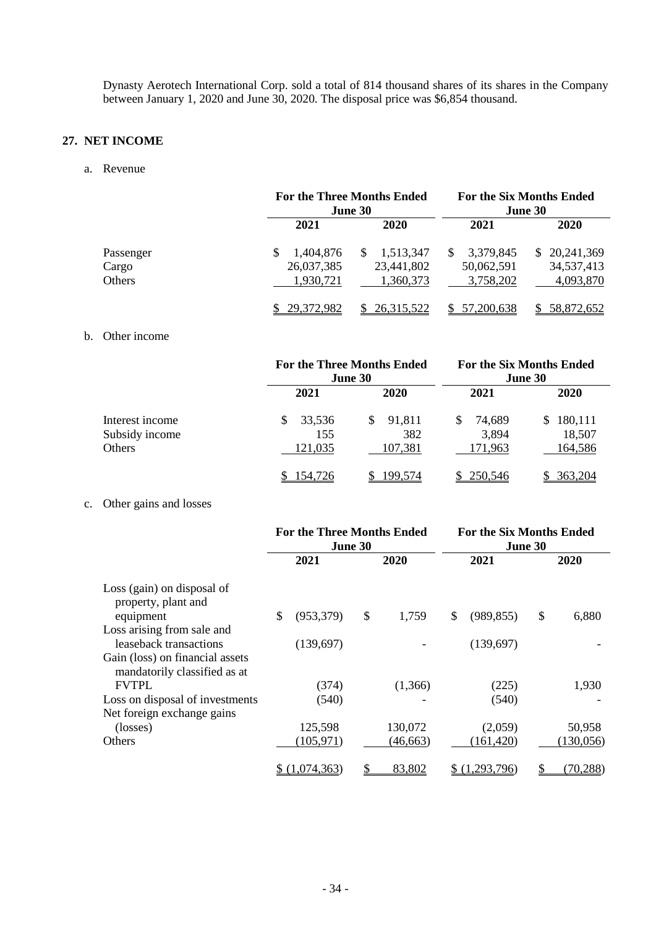Dynasty Aerotech International Corp. sold a total of 814 thousand shares of its shares in the Company between January 1, 2020 and June 30, 2020. The disposal price was \$6,854 thousand.

## **27. NET INCOME**

a. Revenue

|           |            | <b>For the Three Months Ended</b><br>June 30 |                  | <b>For the Six Months Ended</b><br>June 30 |
|-----------|------------|----------------------------------------------|------------------|--------------------------------------------|
|           | 2021       | 2020                                         | 2021             | <b>2020</b>                                |
| Passenger | 1.404.876  | 1,513,347<br><sup>\$</sup>                   | 3,379,845<br>\$. | \$20,241,369                               |
| Cargo     | 26,037,385 | 23,441,802                                   | 50,062,591       | 34,537,413                                 |
| Others    | 1,930,721  | 1,360,373                                    | 3,758,202        | 4,093,870                                  |
|           | 29,372,982 | 26, 315, 522<br>S.                           | 57,200,638       | 58,872,652                                 |

### b. Other income

|                 |         | <b>For the Three Months Ended</b><br>June 30 |             | <b>For the Six Months Ended</b><br>June 30 |
|-----------------|---------|----------------------------------------------|-------------|--------------------------------------------|
|                 | 2021    | 2020                                         | 2021        | <b>2020</b>                                |
| Interest income | 33,536  | 91,811<br>S                                  | 74,689<br>S | 180,111<br>S                               |
| Subsidy income  | 155     | 382                                          | 3,894       | 18,507                                     |
| Others          | 121,035 | 107,381                                      | 171,963     | 164,586                                    |
|                 | 154,726 | 199,574                                      | 250,546     | 363.204                                    |

## c. Other gains and losses

|                                                                 | <b>For the Three Months Ended</b><br>June 30 |             |    | <b>For the Six Months Ended</b><br>June 30 |    |            |    |                 |
|-----------------------------------------------------------------|----------------------------------------------|-------------|----|--------------------------------------------|----|------------|----|-----------------|
|                                                                 |                                              | 2021        |    | 2020                                       |    | 2021       |    | 2020            |
| Loss (gain) on disposal of<br>property, plant and               |                                              |             |    |                                            |    |            |    |                 |
| equipment                                                       | \$                                           | (953, 379)  | \$ | 1,759                                      | \$ | (989, 855) | \$ | 6,880           |
| Loss arising from sale and<br>leaseback transactions            |                                              | (139,697)   |    |                                            |    | (139,697)  |    |                 |
| Gain (loss) on financial assets<br>mandatorily classified as at |                                              |             |    |                                            |    |            |    |                 |
| <b>FVTPL</b>                                                    |                                              | (374)       |    | (1,366)                                    |    | (225)      |    | 1,930           |
| Loss on disposal of investments<br>Net foreign exchange gains   |                                              | (540)       |    |                                            |    | (540)      |    |                 |
| (losses)                                                        |                                              | 125,598     |    | 130,072                                    |    | (2,059)    |    | 50,958          |
| Others                                                          |                                              | (105, 971)  |    | (46,663)                                   |    | (161, 420) |    | (130, 056)      |
|                                                                 |                                              | (1,074,363) |    | 83,802                                     |    | .293.796)  |    | <u>(70,288)</u> |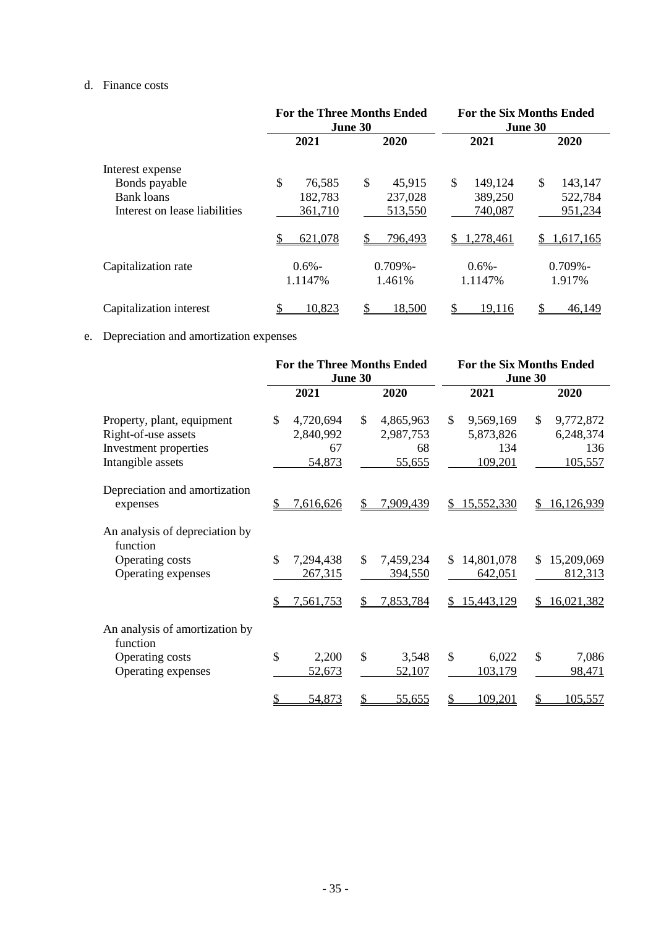## d. Finance costs

|                               | <b>For the Three Months Ended</b><br>June 30 |              | <b>For the Six Months Ended</b><br>June 30 |                 |  |
|-------------------------------|----------------------------------------------|--------------|--------------------------------------------|-----------------|--|
|                               | 2021                                         | 2020         | 2021                                       | 2020            |  |
| Interest expense              |                                              |              |                                            |                 |  |
| Bonds payable                 | \$<br>76,585                                 | \$<br>45,915 | \$<br>149,124                              | \$<br>143,147   |  |
| <b>Bank loans</b>             | 182,783                                      | 237,028      | 389,250                                    | 522,784         |  |
| Interest on lease liabilities | 361,710                                      | 513,550      | 740,087                                    | 951,234         |  |
|                               | 621,078                                      | 796,493      | 1,278,461<br>\$.                           | 1,617,165<br>S. |  |
| Capitalization rate           | $0.6\%$ -                                    | $0.709\%$ -  | $0.6\%$ -                                  | $0.709\%$ -     |  |
|                               | 1.1147%                                      | 1.461%       | 1.1147%                                    | 1.917%          |  |
| Capitalization interest       | 10,823                                       | 18,500       | 19,116                                     | 46,149          |  |

## e. Depreciation and amortization expenses

|                                                                                                 |                                              | <b>For the Three Months Ended</b><br>June 30            | <b>For the Six Months Ended</b><br>June 30               |                                                          |
|-------------------------------------------------------------------------------------------------|----------------------------------------------|---------------------------------------------------------|----------------------------------------------------------|----------------------------------------------------------|
|                                                                                                 | 2021                                         | 2020                                                    | 2021                                                     | 2020                                                     |
| Property, plant, equipment<br>Right-of-use assets<br>Investment properties<br>Intangible assets | \$<br>4,720,694<br>2,840,992<br>67<br>54,873 | $\mathcal{S}$<br>4,865,963<br>2,987,753<br>68<br>55,655 | $\mathbb{S}$<br>9,569,169<br>5,873,826<br>134<br>109,201 | $\mathbb{S}$<br>9,772,872<br>6,248,374<br>136<br>105,557 |
| Depreciation and amortization<br>expenses                                                       | 7,616,626                                    | \$<br>7,909,439                                         | 15,552,330<br>S                                          | 16,126,939<br>S.                                         |
| An analysis of depreciation by<br>function<br>Operating costs<br>Operating expenses             | \$<br>7,294,438<br>267,315                   | $\mathbb{S}$<br>7,459,234<br>394,550                    | 14,801,078<br>\$<br>642,051                              | 15,209,069<br>\$.<br>812,313                             |
| An analysis of amortization by<br>function<br>Operating costs                                   | 7,561,753<br>\$<br>2,200                     | 7,853,784<br>S<br>$\mathcal{S}$<br>3,548                | 15,443,129<br>S<br>$\mathcal{S}$<br>6,022                | 16,021,382<br>\$<br>7,086                                |
| Operating expenses                                                                              | 52,673<br>54,873                             | <u>52,107</u><br>\$<br>55,655                           | 103,179<br>109,201                                       | 98,471<br>105,557                                        |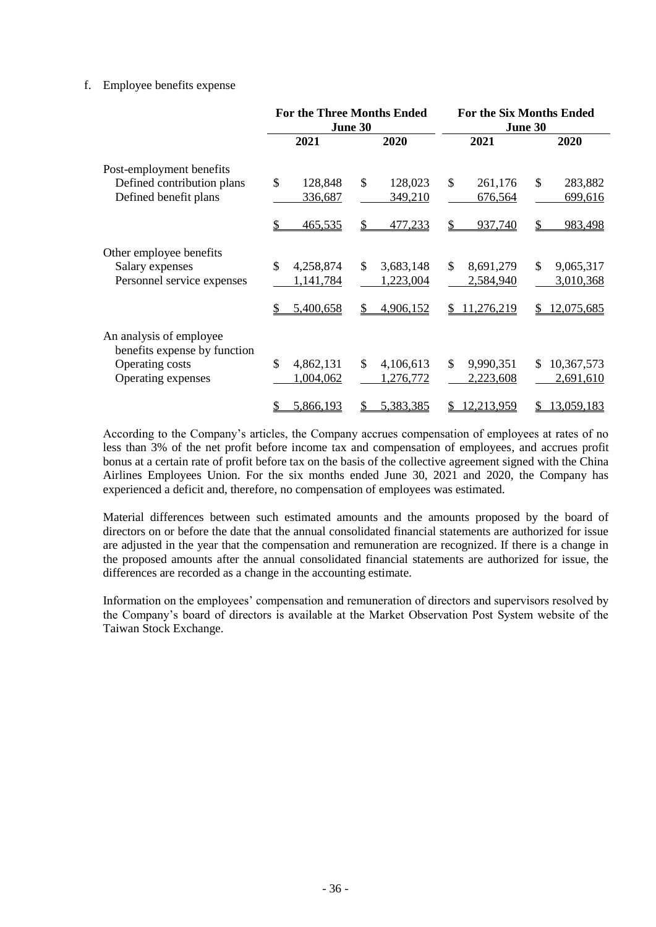## f. Employee benefits expense

|                                                         |                            | <b>For the Three Months Ended</b><br>June 30 | <b>For the Six Months Ended</b><br>June 30 |                           |
|---------------------------------------------------------|----------------------------|----------------------------------------------|--------------------------------------------|---------------------------|
|                                                         | 2021                       | 2020                                         | 2021                                       | 2020                      |
| Post-employment benefits                                |                            |                                              |                                            |                           |
| Defined contribution plans                              | \$<br>128,848              | $\mathcal{S}$<br>128,023                     | \$<br>261,176                              | \$<br>283,882             |
| Defined benefit plans                                   | 336,687                    | 349,210                                      | 676,564                                    | 699,616                   |
|                                                         | <u>465,535</u>             | \$<br>477,233                                | \$<br>937,740                              | \$<br>983,498             |
| Other employee benefits                                 |                            |                                              |                                            |                           |
| Salary expenses                                         | \$<br>4,258,874            | \$<br>3,683,148                              | \$<br>8,691,279                            | $\mathbb{S}$<br>9,065,317 |
| Personnel service expenses                              | 1,141,784                  | 1,223,004                                    | 2,584,940                                  | 3,010,368                 |
|                                                         | 5,400,658<br>S             | 4,906,152<br>\$                              | 11,276,219<br>S.                           | 12,075,685<br>\$          |
| An analysis of employee<br>benefits expense by function |                            |                                              |                                            |                           |
| Operating costs                                         | $\mathcal{S}$<br>4,862,131 | \$<br>4,106,613                              | \$<br>9,990,351                            | 10,367,573<br>\$.         |
| Operating expenses                                      | 1,004,062                  | 1,276,772                                    | 2,223,608                                  | 2,691,610                 |
|                                                         |                            |                                              |                                            |                           |
|                                                         | 5,866,193<br>S             | 5,383,385<br>S                               | <u>12,213,959</u>                          | <u>13,059,183</u><br>\$   |

According to the Company's articles, the Company accrues compensation of employees at rates of no less than 3% of the net profit before income tax and compensation of employees, and accrues profit bonus at a certain rate of profit before tax on the basis of the collective agreement signed with the China Airlines Employees Union. For the six months ended June 30, 2021 and 2020, the Company has experienced a deficit and, therefore, no compensation of employees was estimated.

Material differences between such estimated amounts and the amounts proposed by the board of directors on or before the date that the annual consolidated financial statements are authorized for issue are adjusted in the year that the compensation and remuneration are recognized. If there is a change in the proposed amounts after the annual consolidated financial statements are authorized for issue, the differences are recorded as a change in the accounting estimate.

Information on the employees' compensation and remuneration of directors and supervisors resolved by the Company's board of directors is available at the Market Observation Post System website of the Taiwan Stock Exchange.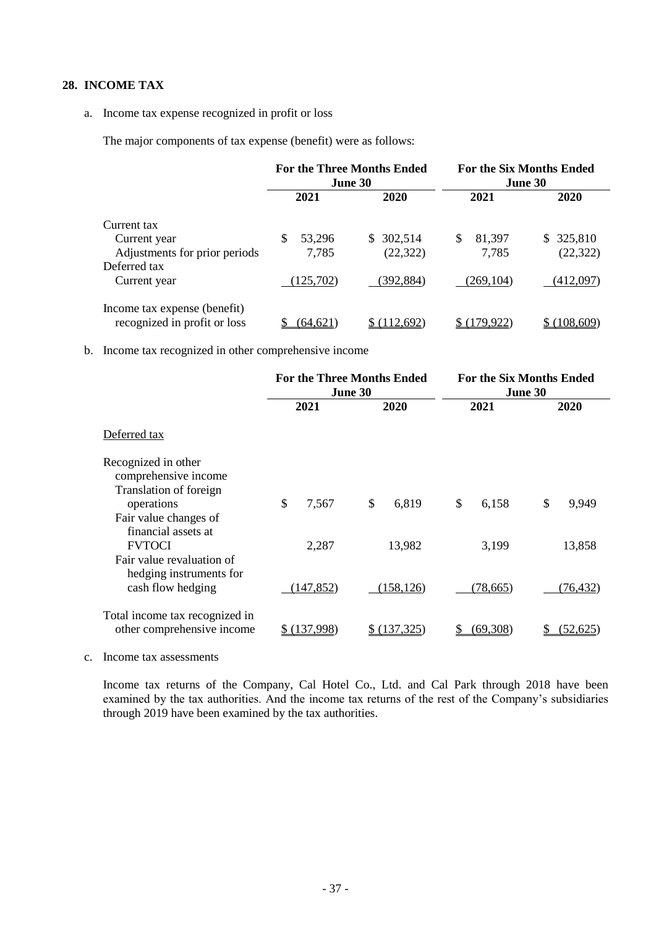## **28. INCOME TAX**

#### a. Income tax expense recognized in profit or loss

The major components of tax expense (benefit) were as follows:

|                                                              | <b>For the Three Months Ended</b><br><b>June 30</b> |           | <b>For the Six Months Ended</b><br>June 30 |            |
|--------------------------------------------------------------|-----------------------------------------------------|-----------|--------------------------------------------|------------|
|                                                              | 2021                                                | 2020      | 2021                                       | 2020       |
| Current tax                                                  |                                                     |           |                                            |            |
| Current year                                                 | 53,296<br>\$.                                       | \$302,514 | \$<br>81,397                               | \$ 325,810 |
| Adjustments for prior periods                                | 7,785                                               | (22, 322) | 7,785                                      | (22, 322)  |
| Deferred tax                                                 |                                                     |           |                                            |            |
| Current year                                                 | (125,702)                                           | (392,884) | (269, 104)                                 | (412,097)  |
| Income tax expense (benefit)<br>recognized in profit or loss | (64.621)                                            | (112.692) | (179.922)                                  | (108.609)  |

b. Income tax recognized in other comprehensive income

|                                                                       | <b>For the Three Months Ended</b><br>June 30 |                        | <b>For the Six Months Ended</b><br>June 30 |             |
|-----------------------------------------------------------------------|----------------------------------------------|------------------------|--------------------------------------------|-------------|
|                                                                       | 2021                                         | 2020                   | 2021                                       | 2020        |
| Deferred tax                                                          |                                              |                        |                                            |             |
| Recognized in other<br>comprehensive income<br>Translation of foreign |                                              |                        |                                            |             |
| operations<br>Fair value changes of<br>financial assets at            | \$<br>7,567                                  | $\mathcal{S}$<br>6,819 | \$<br>6,158                                | \$<br>9,949 |
| <b>FVTOCI</b><br>Fair value revaluation of<br>hedging instruments for | 2,287                                        | 13,982                 | 3,199                                      | 13,858      |
| cash flow hedging                                                     | (147, 852)                                   | (158, 126)             | (78,665)                                   | (76,432)    |
| Total income tax recognized in<br>other comprehensive income          | (137,998)                                    | \$ (137, 325)          | (69,308)                                   | (52,625)    |

c. Income tax assessments

Income tax returns of the Company, Cal Hotel Co., Ltd. and Cal Park through 2018 have been examined by the tax authorities. And the income tax returns of the rest of the Company's subsidiaries through 2019 have been examined by the tax authorities.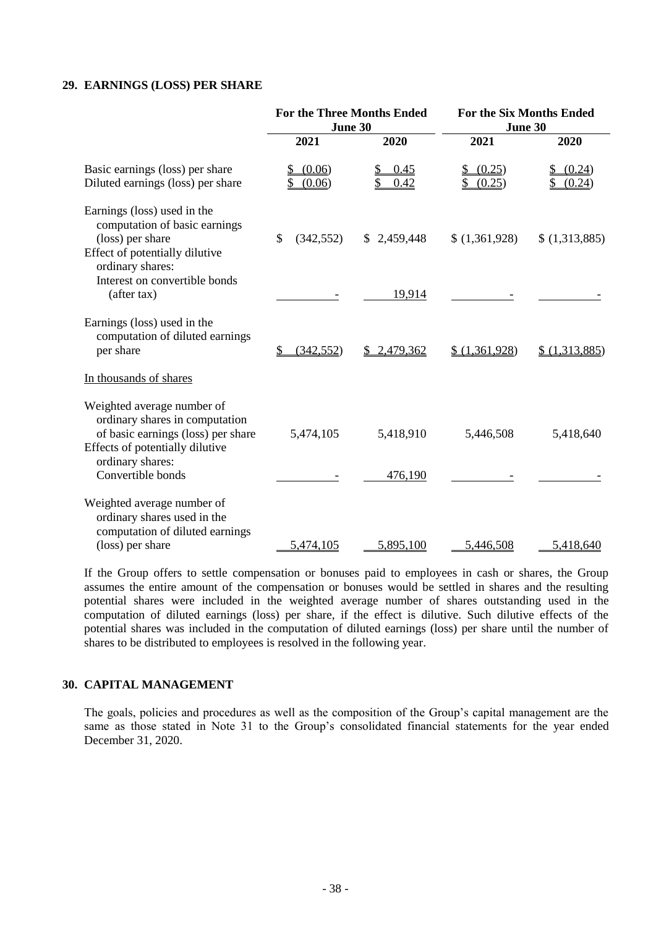### **29. EARNINGS (LOSS) PER SHARE**

| June 30<br>2021  |              |                      |                  |
|------------------|--------------|----------------------|------------------|
|                  |              | June 30              |                  |
|                  | 2020         | 2021                 | 2020             |
| (0.06)<br>(0.06) | 0.45<br>0.42 | (0.25)<br>(0.25)     | (0.24)<br>(0.24) |
| \$<br>(342, 552) | \$2,459,448  | \$(1,361,928)        | \$(1,313,885)    |
|                  | 19,914       |                      |                  |
| (342, 552)       | \$2,479,362  | \$(1,361,928)        | \$(1,313,885)    |
|                  |              |                      |                  |
| 5,474,105        | 5,418,910    | 5,446,508            | 5,418,640        |
|                  |              |                      |                  |
|                  |              |                      | 5,418,640        |
|                  | 5,474,105    | 476,190<br>5,895,100 | 5,446,508        |

If the Group offers to settle compensation or bonuses paid to employees in cash or shares, the Group assumes the entire amount of the compensation or bonuses would be settled in shares and the resulting potential shares were included in the weighted average number of shares outstanding used in the computation of diluted earnings (loss) per share, if the effect is dilutive. Such dilutive effects of the potential shares was included in the computation of diluted earnings (loss) per share until the number of shares to be distributed to employees is resolved in the following year.

## **30. CAPITAL MANAGEMENT**

The goals, policies and procedures as well as the composition of the Group's capital management are the same as those stated in Note 31 to the Group's consolidated financial statements for the year ended December 31, 2020.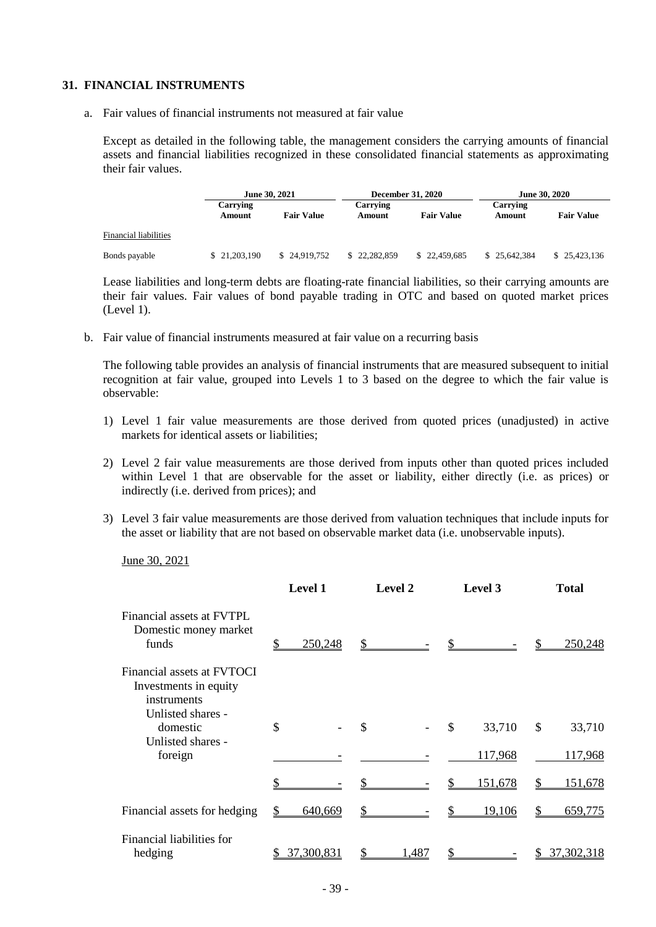### **31. FINANCIAL INSTRUMENTS**

a. Fair values of financial instruments not measured at fair value

Except as detailed in the following table, the management considers the carrying amounts of financial assets and financial liabilities recognized in these consolidated financial statements as approximating their fair values.

|                       | <b>June 30, 2021</b>      |                   |                    | <b>December 31, 2020</b> |                    | <b>June 30, 2020</b> |  |
|-----------------------|---------------------------|-------------------|--------------------|--------------------------|--------------------|----------------------|--|
|                       | <b>Carrying</b><br>Amount | <b>Fair Value</b> | Carrying<br>Amount | <b>Fair Value</b>        | Carrying<br>Amount | <b>Fair Value</b>    |  |
| Financial liabilities |                           |                   |                    |                          |                    |                      |  |
| Bonds payable         | \$21,203,190              | \$24,919,752      | 22.282.859         | \$22,459,685             | \$25,642,384       | \$25,423,136         |  |

Lease liabilities and long-term debts are floating-rate financial liabilities, so their carrying amounts are their fair values. Fair values of bond payable trading in OTC and based on quoted market prices (Level 1).

b. Fair value of financial instruments measured at fair value on a recurring basis

The following table provides an analysis of financial instruments that are measured subsequent to initial recognition at fair value, grouped into Levels 1 to 3 based on the degree to which the fair value is observable:

- 1) Level 1 fair value measurements are those derived from quoted prices (unadjusted) in active markets for identical assets or liabilities;
- 2) Level 2 fair value measurements are those derived from inputs other than quoted prices included within Level 1 that are observable for the asset or liability, either directly (i.e. as prices) or indirectly (i.e. derived from prices); and
- 3) Level 3 fair value measurements are those derived from valuation techniques that include inputs for the asset or liability that are not based on observable market data (i.e. unobservable inputs).

June 30, 2021

|                                                                                         | <b>Level 1</b> | <b>Level 2</b> | Level 3      | <b>Total</b> |
|-----------------------------------------------------------------------------------------|----------------|----------------|--------------|--------------|
| Financial assets at FVTPL<br>Domestic money market<br>funds                             | 250,248        | \$             |              | 250,248      |
| Financial assets at FVTOCI<br>Investments in equity<br>instruments<br>Unlisted shares - |                |                |              |              |
| domestic<br>Unlisted shares -                                                           | \$             | \$             | \$<br>33,710 | \$<br>33,710 |
| foreign                                                                                 |                |                | 117,968      | 117,968      |
|                                                                                         |                |                | 151,678      | 151,678      |
| Financial assets for hedging                                                            | 640,669        | \$             | 19,106       | 659,775      |
| Financial liabilities for<br>hedging                                                    | 37,300,831     | 1,487          |              | 37,302,318   |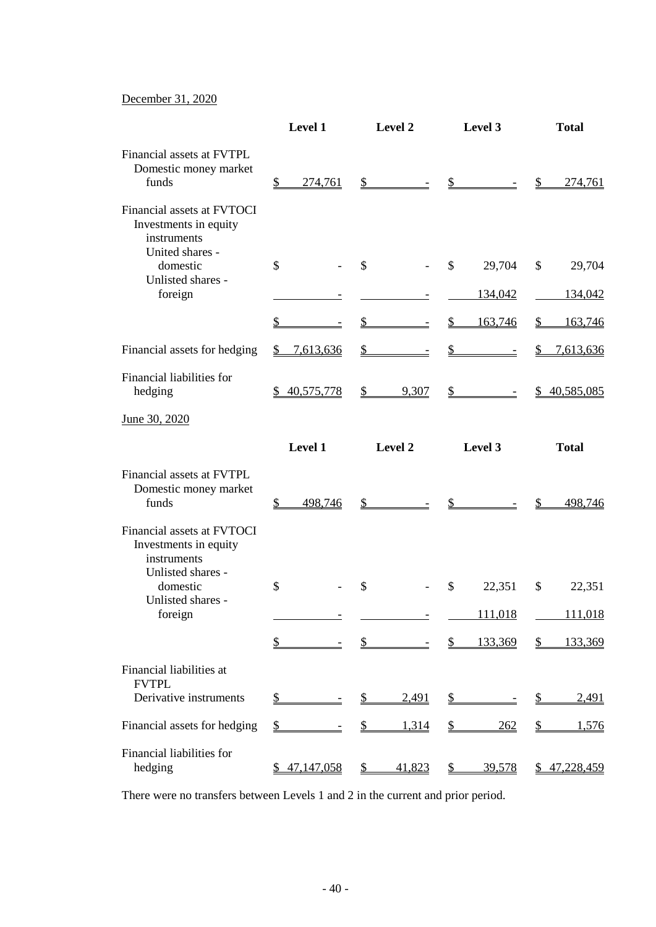## December 31, 2020

|                                                                                       | Level 1                   | Level 2                 | Level 3                        | <b>Total</b>              |
|---------------------------------------------------------------------------------------|---------------------------|-------------------------|--------------------------------|---------------------------|
| Financial assets at FVTPL<br>Domestic money market<br>funds                           | $\mathcal{S}$<br>274,761  | $\mathbb{S}$            | $\frac{1}{2}$                  | $\mathbb{S}$<br>274,761   |
| Financial assets at FVTOCI<br>Investments in equity<br>instruments<br>United shares - |                           |                         |                                |                           |
| domestic                                                                              | $\mathcal{S}$             | \$                      | \$<br>29,704                   | \$<br>29,704              |
| Unlisted shares -<br>foreign                                                          |                           |                         | 134,042                        | 134,042                   |
|                                                                                       | $\overline{\mathcal{L}}$  | $\frac{1}{2}$           | $\frac{1}{2}$<br>163,746       | 163,746<br>\$             |
| Financial assets for hedging                                                          | 7,613,636<br>$\mathbb{S}$ | $\mathcal{P}$           | $\mathcal{L}$                  | $\mathbb{S}$<br>7,613,636 |
| Financial liabilities for<br>hedging                                                  | 40,575,778                | 9,307<br>$\frac{1}{2}$  | $\frac{\text{S}}{\text{S}}$ -  | \$40,585,085              |
| June 30, 2020                                                                         |                           |                         |                                |                           |
|                                                                                       | Level 1                   | Level 2                 | Level 3                        | <b>Total</b>              |
| Financial assets at FVTPL<br>Domestic money market<br>funds                           | 498,746<br>\$             | $\mathbb{S}^-$          | \$                             | 498,746                   |
| Financial assets at FVTOCI<br>Investments in equity<br>instruments                    |                           |                         |                                |                           |
| Unlisted shares -<br>domestic                                                         | \$                        | \$                      | \$<br>22,351                   | \$<br>22,351              |
| Unlisted shares -<br>foreign                                                          |                           |                         | 111,018                        | 111,018                   |
|                                                                                       | $\overline{\mathcal{L}}$  | \$                      | 133,369<br>$\frac{1}{2}$       | \$<br>133,369             |
| Financial liabilities at<br><b>FVTPL</b>                                              |                           |                         |                                |                           |
| Derivative instruments                                                                | $\frac{1}{2}$             | 2,491<br>\$             | S.                             | 2,491<br>\$               |
| Financial assets for hedging                                                          | \$                        | $\mathcal{P}$<br>1,314  | <u>262</u><br>S                | $\mathcal{L}$<br>1,576    |
| Financial liabilities for<br>hedging                                                  | 47,147,058                | $\frac{1}{2}$<br>41,823 | <u>39,578</u><br>$\frac{1}{2}$ | \$47,228,459              |

There were no transfers between Levels 1 and 2 in the current and prior period.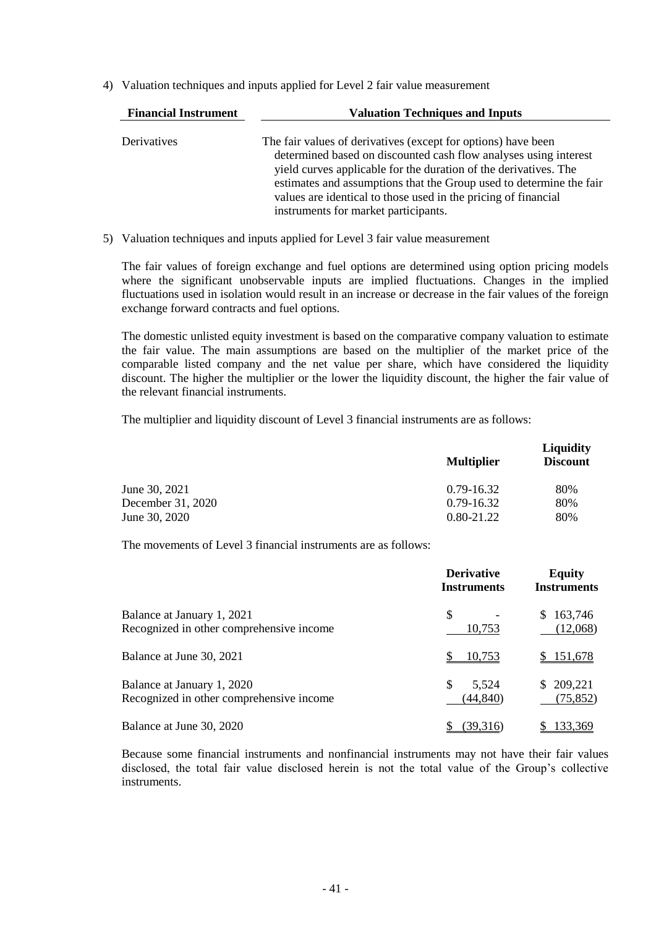4) Valuation techniques and inputs applied for Level 2 fair value measurement

| <b>Financial Instrument</b> | <b>Valuation Techniques and Inputs</b>                                                                                                                                                                                                                                                                                                                                                 |  |  |
|-----------------------------|----------------------------------------------------------------------------------------------------------------------------------------------------------------------------------------------------------------------------------------------------------------------------------------------------------------------------------------------------------------------------------------|--|--|
| Derivatives                 | The fair values of derivatives (except for options) have been<br>determined based on discounted cash flow analyses using interest<br>yield curves applicable for the duration of the derivatives. The<br>estimates and assumptions that the Group used to determine the fair<br>values are identical to those used in the pricing of financial<br>instruments for market participants. |  |  |

5) Valuation techniques and inputs applied for Level 3 fair value measurement

The fair values of foreign exchange and fuel options are determined using option pricing models where the significant unobservable inputs are implied fluctuations. Changes in the implied fluctuations used in isolation would result in an increase or decrease in the fair values of the foreign exchange forward contracts and fuel options.

The domestic unlisted equity investment is based on the comparative company valuation to estimate the fair value. The main assumptions are based on the multiplier of the market price of the comparable listed company and the net value per share, which have considered the liquidity discount. The higher the multiplier or the lower the liquidity discount, the higher the fair value of the relevant financial instruments.

The multiplier and liquidity discount of Level 3 financial instruments are as follows:

|                   | <b>Multiplier</b> | <b>Liquidity</b><br><b>Discount</b> |
|-------------------|-------------------|-------------------------------------|
| June 30, 2021     | 0.79-16.32        | 80%                                 |
| December 31, 2020 | $0.79 - 16.32$    | 80%                                 |
| June 30, 2020     | $0.80 - 21.22$    | 80%                                 |

The movements of Level 3 financial instruments are as follows:

|                                                                        | <b>Derivative</b><br><b>Instruments</b> | <b>Equity</b><br><b>Instruments</b> |  |
|------------------------------------------------------------------------|-----------------------------------------|-------------------------------------|--|
| Balance at January 1, 2021<br>Recognized in other comprehensive income | \$<br>10,753                            | \$163,746<br>(12,068)               |  |
| Balance at June 30, 2021                                               | <u>10,753</u>                           | <u>\$151,678</u>                    |  |
| Balance at January 1, 2020<br>Recognized in other comprehensive income | \$<br>5,524<br>(44, 840)                | \$209,221<br>(75, 852)              |  |
| Balance at June 30, 2020                                               | (39,316)                                | 133,369                             |  |

Because some financial instruments and nonfinancial instruments may not have their fair values disclosed, the total fair value disclosed herein is not the total value of the Group's collective instruments.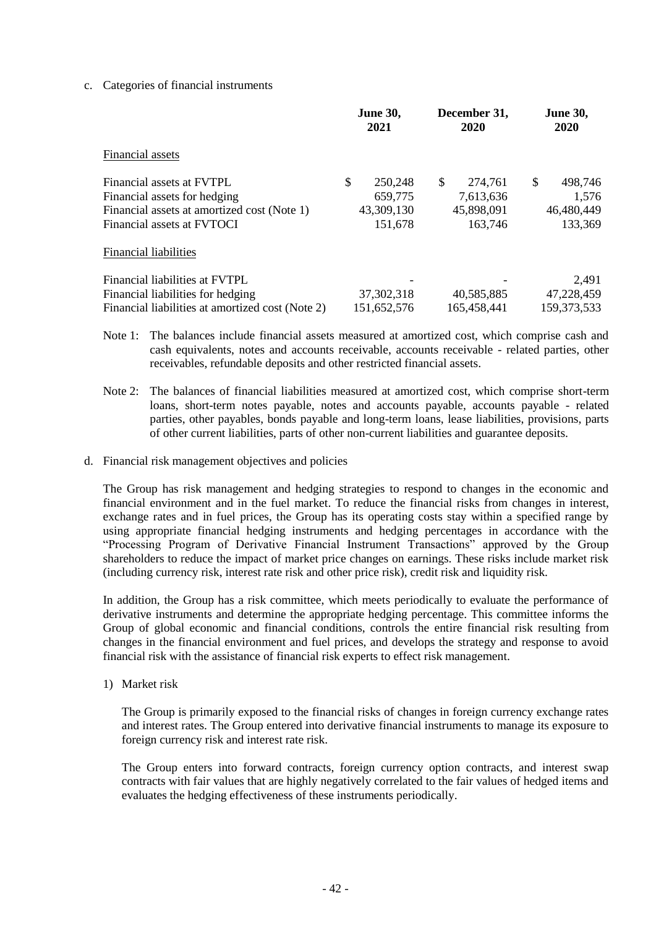### c. Categories of financial instruments

|                                                                                                                         | <b>June 30,</b><br>2021                | December 31,<br>2020                     | <b>June 30,</b><br>2020              |  |
|-------------------------------------------------------------------------------------------------------------------------|----------------------------------------|------------------------------------------|--------------------------------------|--|
| Financial assets                                                                                                        |                                        |                                          |                                      |  |
| Financial assets at FVTPL<br>Financial assets for hedging<br>Financial assets at amortized cost (Note 1)                | \$<br>250,248<br>659,775<br>43,309,130 | \$<br>274,761<br>7,613,636<br>45,898,091 | \$<br>498,746<br>1,576<br>46,480,449 |  |
| Financial assets at FVTOCI                                                                                              | 151,678                                | 163,746                                  | 133,369                              |  |
| <b>Financial liabilities</b>                                                                                            |                                        |                                          |                                      |  |
| Financial liabilities at FVTPL<br>Financial liabilities for hedging<br>Financial liabilities at amortized cost (Note 2) | 37, 302, 318<br>151,652,576            | 40,585,885<br>165,458,441                | 2,491<br>47,228,459<br>159, 373, 533 |  |

- Note 1: The balances include financial assets measured at amortized cost, which comprise cash and cash equivalents, notes and accounts receivable, accounts receivable - related parties, other receivables, refundable deposits and other restricted financial assets.
- Note 2: The balances of financial liabilities measured at amortized cost, which comprise short-term loans, short-term notes payable, notes and accounts payable, accounts payable - related parties, other payables, bonds payable and long-term loans, lease liabilities, provisions, parts of other current liabilities, parts of other non-current liabilities and guarantee deposits.
- d. Financial risk management objectives and policies

The Group has risk management and hedging strategies to respond to changes in the economic and financial environment and in the fuel market. To reduce the financial risks from changes in interest, exchange rates and in fuel prices, the Group has its operating costs stay within a specified range by using appropriate financial hedging instruments and hedging percentages in accordance with the "Processing Program of Derivative Financial Instrument Transactions" approved by the Group shareholders to reduce the impact of market price changes on earnings. These risks include market risk (including currency risk, interest rate risk and other price risk), credit risk and liquidity risk.

In addition, the Group has a risk committee, which meets periodically to evaluate the performance of derivative instruments and determine the appropriate hedging percentage. This committee informs the Group of global economic and financial conditions, controls the entire financial risk resulting from changes in the financial environment and fuel prices, and develops the strategy and response to avoid financial risk with the assistance of financial risk experts to effect risk management.

1) Market risk

The Group is primarily exposed to the financial risks of changes in foreign currency exchange rates and interest rates. The Group entered into derivative financial instruments to manage its exposure to foreign currency risk and interest rate risk.

The Group enters into forward contracts, foreign currency option contracts, and interest swap contracts with fair values that are highly negatively correlated to the fair values of hedged items and evaluates the hedging effectiveness of these instruments periodically.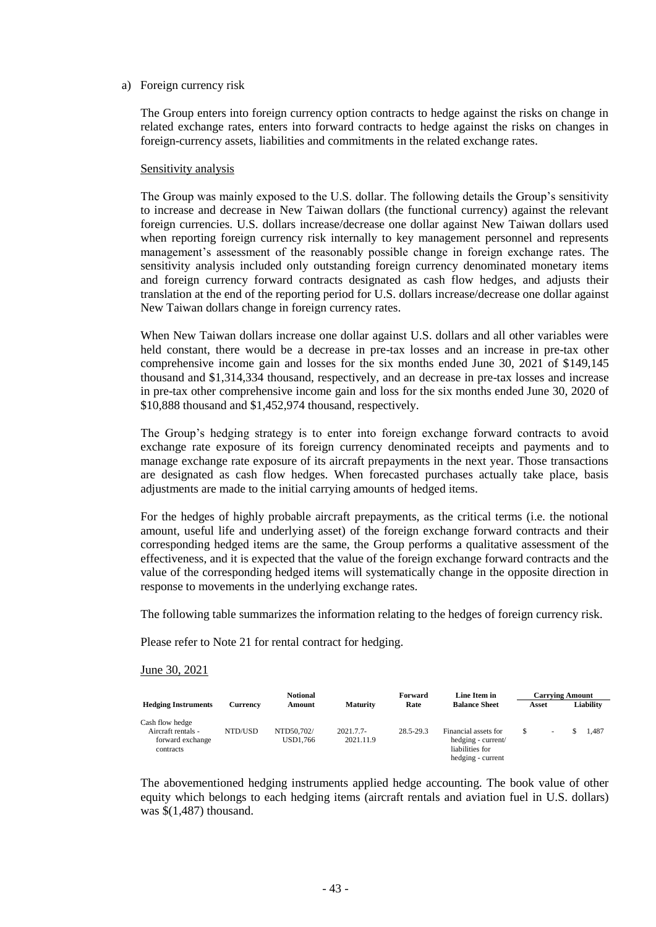#### a) Foreign currency risk

The Group enters into foreign currency option contracts to hedge against the risks on change in related exchange rates, enters into forward contracts to hedge against the risks on changes in foreign-currency assets, liabilities and commitments in the related exchange rates.

#### Sensitivity analysis

The Group was mainly exposed to the U.S. dollar. The following details the Group's sensitivity to increase and decrease in New Taiwan dollars (the functional currency) against the relevant foreign currencies. U.S. dollars increase/decrease one dollar against New Taiwan dollars used when reporting foreign currency risk internally to key management personnel and represents management's assessment of the reasonably possible change in foreign exchange rates. The sensitivity analysis included only outstanding foreign currency denominated monetary items and foreign currency forward contracts designated as cash flow hedges, and adjusts their translation at the end of the reporting period for U.S. dollars increase/decrease one dollar against New Taiwan dollars change in foreign currency rates.

When New Taiwan dollars increase one dollar against U.S. dollars and all other variables were held constant, there would be a decrease in pre-tax losses and an increase in pre-tax other comprehensive income gain and losses for the six months ended June 30, 2021 of \$149,145 thousand and \$1,314,334 thousand, respectively, and an decrease in pre-tax losses and increase in pre-tax other comprehensive income gain and loss for the six months ended June 30, 2020 of \$10,888 thousand and \$1,452,974 thousand, respectively.

The Group's hedging strategy is to enter into foreign exchange forward contracts to avoid exchange rate exposure of its foreign currency denominated receipts and payments and to manage exchange rate exposure of its aircraft prepayments in the next year. Those transactions are designated as cash flow hedges. When forecasted purchases actually take place, basis adjustments are made to the initial carrying amounts of hedged items.

For the hedges of highly probable aircraft prepayments, as the critical terms (i.e. the notional amount, useful life and underlying asset) of the foreign exchange forward contracts and their corresponding hedged items are the same, the Group performs a qualitative assessment of the effectiveness, and it is expected that the value of the foreign exchange forward contracts and the value of the corresponding hedged items will systematically change in the opposite direction in response to movements in the underlying exchange rates.

The following table summarizes the information relating to the hedges of foreign currency risk.

Please refer to Note 21 for rental contract for hedging.

June 30, 2021

|                                                                        |          | <b>Notional</b>        |                          | Forward   | Line Item in                                                                       | <b>Carrying Amount</b> |       |  |           |
|------------------------------------------------------------------------|----------|------------------------|--------------------------|-----------|------------------------------------------------------------------------------------|------------------------|-------|--|-----------|
| <b>Hedging Instruments</b>                                             | Currencv | Amount                 | <b>Maturity</b>          | Rate      | <b>Balance Sheet</b>                                                               |                        | Asset |  | Liability |
| Cash flow hedge<br>Aircraft rentals -<br>forward exchange<br>contracts | NTD/USD  | NTD50.702/<br>USD1.766 | $2021.7.7-$<br>2021.11.9 | 28.5-29.3 | Financial assets for<br>hedging - current/<br>liabilities for<br>hedging - current |                        |       |  | 1.487     |

The abovementioned hedging instruments applied hedge accounting. The book value of other equity which belongs to each hedging items (aircraft rentals and aviation fuel in U.S. dollars) was \$(1,487) thousand.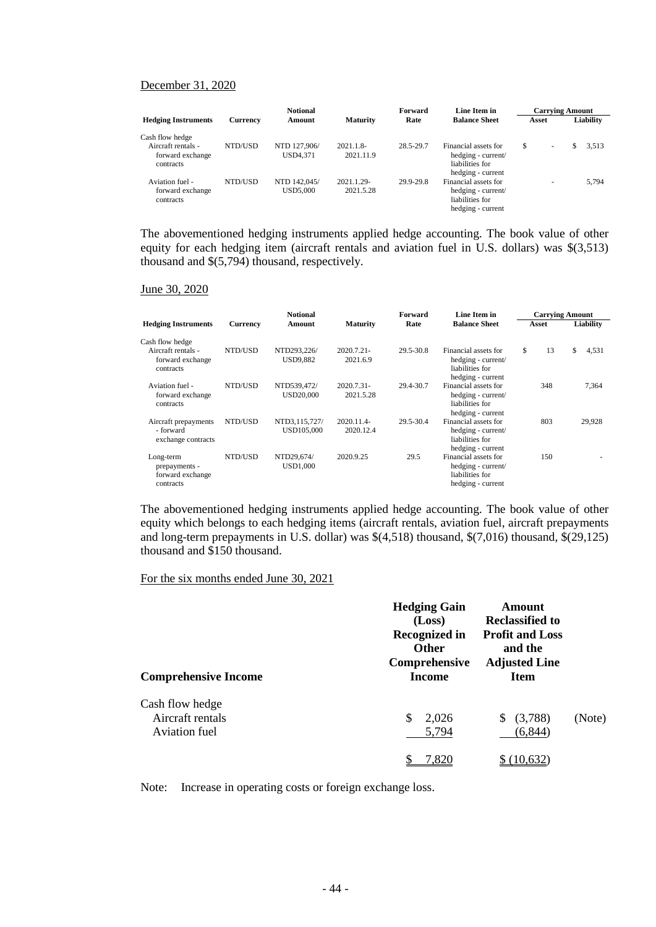### December 31, 2020

|                                                     |          | <b>Notional</b>                 |                          | Forward   | Line Item in                                                                       | <b>Carrying Amount</b> |   |    |           |
|-----------------------------------------------------|----------|---------------------------------|--------------------------|-----------|------------------------------------------------------------------------------------|------------------------|---|----|-----------|
| <b>Hedging Instruments</b>                          | Currency | Amount                          | <b>Maturity</b>          | Rate      | <b>Balance Sheet</b>                                                               | Asset                  |   |    | Liability |
| Cash flow hedge                                     |          |                                 |                          |           |                                                                                    |                        |   |    |           |
| Aircraft rentals -<br>forward exchange<br>contracts | NTD/USD  | NTD 127,906/<br>USD4.371        | $2021.1.8-$<br>2021.11.9 | 28.5-29.7 | Financial assets for<br>hedging - current/<br>liabilities for<br>hedging - current | \$                     | ۰ | S. | 3.513     |
| Aviation fuel -<br>forward exchange<br>contracts    | NTD/USD  | NTD 142,045/<br><b>USD5.000</b> | 2021.1.29-<br>2021.5.28  | 29.9-29.8 | Financial assets for<br>hedging - current/<br>liabilities for<br>hedging - current |                        | ۰ |    | 5.794     |

The abovementioned hedging instruments applied hedge accounting. The book value of other equity for each hedging item (aircraft rentals and aviation fuel in U.S. dollars) was \$(3,513) thousand and \$(5,794) thousand, respectively.

#### June 30, 2020

|                                                             | <b>Notional</b><br>Line Item in<br>Forward |                                 | <b>Carrying Amount</b>    |           |                                                                                    |          |             |
|-------------------------------------------------------------|--------------------------------------------|---------------------------------|---------------------------|-----------|------------------------------------------------------------------------------------|----------|-------------|
| <b>Hedging Instruments</b>                                  | Currency                                   | Amount                          | <b>Maturity</b>           | Rate      | <b>Balance Sheet</b>                                                               | Asset    | Liability   |
| Cash flow hedge                                             |                                            |                                 |                           |           |                                                                                    |          |             |
| Aircraft rentals -<br>forward exchange<br>contracts         | NTD/USD                                    | NTD293,226/<br><b>USD9.882</b>  | $2020.7.21 -$<br>2021.6.9 | 29.5-30.8 | Financial assets for<br>hedging - current/<br>liabilities for<br>hedging - current | \$<br>13 | \$<br>4,531 |
| Aviation fuel -<br>forward exchange<br>contracts            | NTD/USD                                    | NTD539.472/<br><b>USD20,000</b> | 2020.7.31-<br>2021.5.28   | 29.4-30.7 | Financial assets for<br>hedging - current/<br>liabilities for<br>hedging - current | 348      | 7,364       |
| Aircraft prepayments<br>- forward<br>exchange contracts     | NTD/USD                                    | NTD3,115,727/<br>USD105,000     | 2020.11.4-<br>2020.12.4   | 29.5-30.4 | Financial assets for<br>hedging - current/<br>liabilities for<br>hedging - current | 803      | 29,928      |
| Long-term<br>prepayments -<br>forward exchange<br>contracts | NTD/USD                                    | NTD29,674/<br><b>USD1.000</b>   | 2020.9.25                 | 29.5      | Financial assets for<br>hedging - current/<br>liabilities for<br>hedging - current | 150      |             |

The abovementioned hedging instruments applied hedge accounting. The book value of other equity which belongs to each hedging items (aircraft rentals, aviation fuel, aircraft prepayments and long-term prepayments in U.S. dollar) was \$(4,518) thousand, \$(7,016) thousand, \$(29,125) thousand and \$150 thousand.

### For the six months ended June 30, 2021

| <b>Comprehensive Income</b>                          | <b>Hedging Gain</b><br>(Loss)<br><b>Recognized in</b><br><b>Other</b><br>Comprehensive<br><b>Income</b> | Amount<br><b>Reclassified to</b><br><b>Profit and Loss</b><br>and the<br><b>Adjusted Line</b><br><b>Item</b> |        |
|------------------------------------------------------|---------------------------------------------------------------------------------------------------------|--------------------------------------------------------------------------------------------------------------|--------|
| Cash flow hedge<br>Aircraft rentals<br>Aviation fuel | S<br>2,026<br>5,794                                                                                     | (3,788)<br>\$.<br>(6, 844)                                                                                   | (Note) |
|                                                      | 7.820                                                                                                   |                                                                                                              |        |

Note: Increase in operating costs or foreign exchange loss.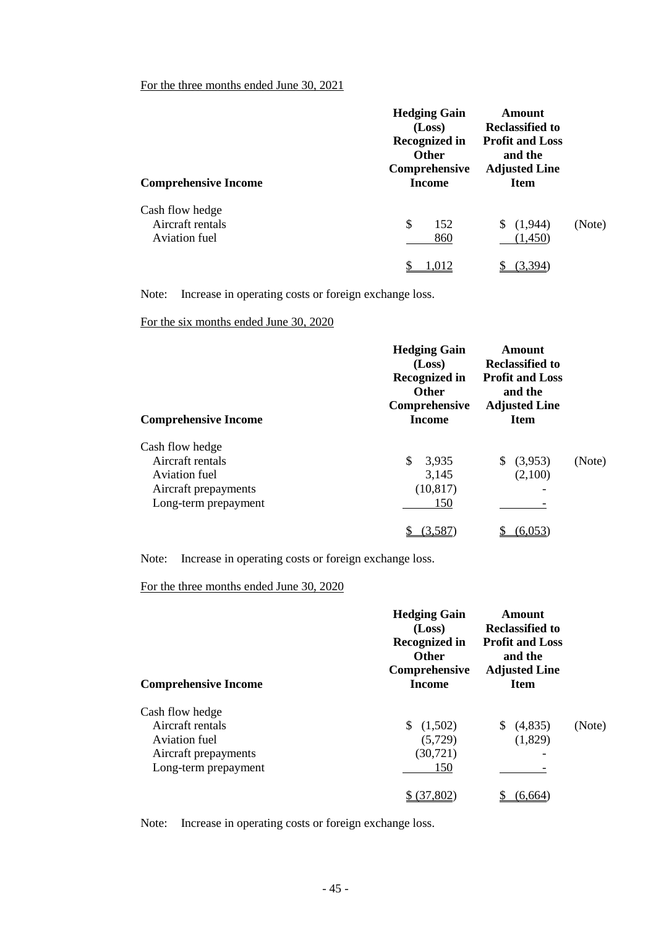## For the three months ended June 30, 2021

| <b>Comprehensive Income</b>                          | <b>Hedging Gain</b><br>(Loss)<br><b>Recognized in</b><br><b>Other</b><br>Comprehensive<br><b>Income</b> | Amount<br><b>Reclassified to</b><br><b>Profit and Loss</b><br>and the<br><b>Adjusted Line</b><br><b>Item</b> |        |
|------------------------------------------------------|---------------------------------------------------------------------------------------------------------|--------------------------------------------------------------------------------------------------------------|--------|
| Cash flow hedge<br>Aircraft rentals<br>Aviation fuel | \$<br>152<br>860                                                                                        | (1,944)<br>S.<br>(1,450)                                                                                     | (Note) |
|                                                      | 1,012                                                                                                   |                                                                                                              |        |

Note: Increase in operating costs or foreign exchange loss.

For the six months ended June 30, 2020

| <b>Comprehensive Income</b>                                                                          | <b>Hedging Gain</b><br>(Loss)<br><b>Recognized in</b><br><b>Other</b><br>Comprehensive<br>Income | Amount<br><b>Reclassified to</b><br><b>Profit and Loss</b><br>and the<br><b>Adjusted Line</b><br><b>Item</b> |        |
|------------------------------------------------------------------------------------------------------|--------------------------------------------------------------------------------------------------|--------------------------------------------------------------------------------------------------------------|--------|
| Cash flow hedge<br>Aircraft rentals<br>Aviation fuel<br>Aircraft prepayments<br>Long-term prepayment | \$.<br>3,935<br>3,145<br>(10, 817)<br>150                                                        | (3,953)<br>(2,100)                                                                                           | (Note) |
|                                                                                                      | 3 58°                                                                                            |                                                                                                              |        |

Note: Increase in operating costs or foreign exchange loss.

## For the three months ended June 30, 2020

| <b>Comprehensive Income</b> | <b>Hedging Gain</b><br>(Loss)<br>Recognized in<br><b>Other</b><br>Comprehensive<br><b>Income</b> | Amount<br><b>Reclassified to</b><br><b>Profit and Loss</b><br>and the<br><b>Adjusted Line</b><br><b>Item</b> |        |
|-----------------------------|--------------------------------------------------------------------------------------------------|--------------------------------------------------------------------------------------------------------------|--------|
| Cash flow hedge             |                                                                                                  |                                                                                                              |        |
| Aircraft rentals            | (1,502)                                                                                          | (4,835)<br><sup>S</sup>                                                                                      | (Note) |
| Aviation fuel               | (5,729)                                                                                          | (1,829)                                                                                                      |        |
| Aircraft prepayments        | (30, 721)                                                                                        | ۰                                                                                                            |        |
| Long-term prepayment        | 150                                                                                              |                                                                                                              |        |
|                             | 37.802                                                                                           | (6.664                                                                                                       |        |

Note: Increase in operating costs or foreign exchange loss.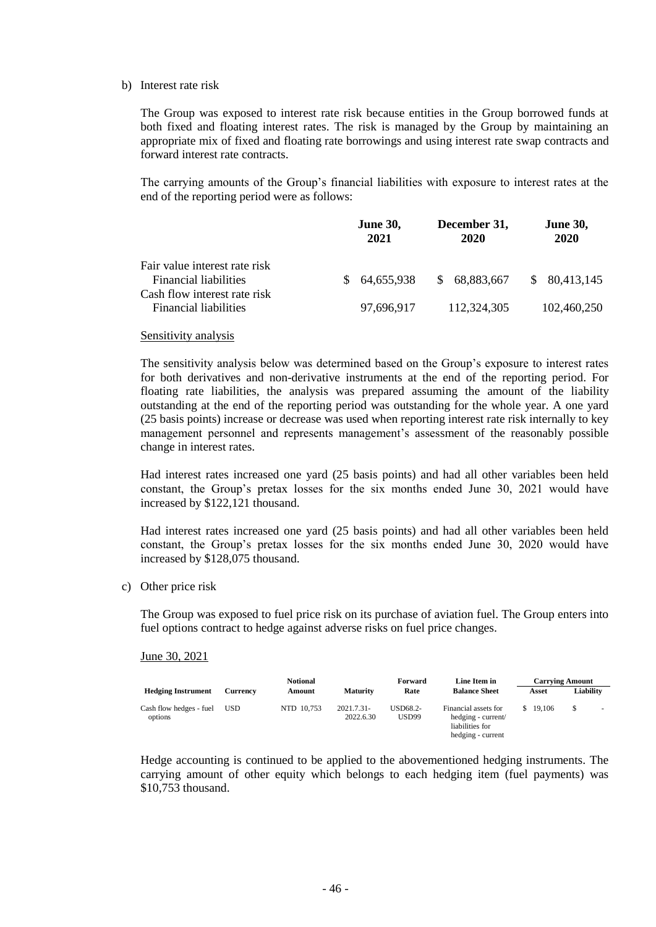#### b) Interest rate risk

The Group was exposed to interest rate risk because entities in the Group borrowed funds at both fixed and floating interest rates. The risk is managed by the Group by maintaining an appropriate mix of fixed and floating rate borrowings and using interest rate swap contracts and forward interest rate contracts.

The carrying amounts of the Group's financial liabilities with exposure to interest rates at the end of the reporting period were as follows:

|                                                              | <b>June 30,</b> | December 31, | <b>June 30,</b> |
|--------------------------------------------------------------|-----------------|--------------|-----------------|
|                                                              | 2021            | 2020         | 2020            |
| Fair value interest rate risk                                | 64,655,938      | 68,883,667   | \$80,413,145    |
| <b>Financial liabilities</b>                                 | SS.             | S.           |                 |
| Cash flow interest rate risk<br><b>Financial liabilities</b> | 97.696.917      | 112,324,305  | 102,460,250     |

#### Sensitivity analysis

The sensitivity analysis below was determined based on the Group's exposure to interest rates for both derivatives and non-derivative instruments at the end of the reporting period. For floating rate liabilities, the analysis was prepared assuming the amount of the liability outstanding at the end of the reporting period was outstanding for the whole year. A one yard (25 basis points) increase or decrease was used when reporting interest rate risk internally to key management personnel and represents management's assessment of the reasonably possible change in interest rates.

Had interest rates increased one yard (25 basis points) and had all other variables been held constant, the Group's pretax losses for the six months ended June 30, 2021 would have increased by \$122,121 thousand.

Had interest rates increased one yard (25 basis points) and had all other variables been held constant, the Group's pretax losses for the six months ended June 30, 2020 would have increased by \$128,075 thousand.

c) Other price risk

The Group was exposed to fuel price risk on its purchase of aviation fuel. The Group enters into fuel options contract to hedge against adverse risks on fuel price changes.

#### June 30, 2021

|                                    | <b>Notional</b> |            |                           | Forward                  | Line Item in                                                                       | <b>Carrying Amount</b> |           |  |
|------------------------------------|-----------------|------------|---------------------------|--------------------------|------------------------------------------------------------------------------------|------------------------|-----------|--|
| <b>Hedging Instrument</b>          | Currency        | Amount     | <b>Maturity</b>           | Rate                     | <b>Balance Sheet</b>                                                               | Asset                  | Liabilitv |  |
| Cash flow hedges - fuel<br>options | <b>USD</b>      | NTD 10.753 | $2021.7.31-$<br>2022.6.30 | USD68.2-<br><b>USD99</b> | Financial assets for<br>hedging - current/<br>liabilities for<br>hedging - current | \$19,106               | S         |  |

Hedge accounting is continued to be applied to the abovementioned hedging instruments. The carrying amount of other equity which belongs to each hedging item (fuel payments) was \$10,753 thousand.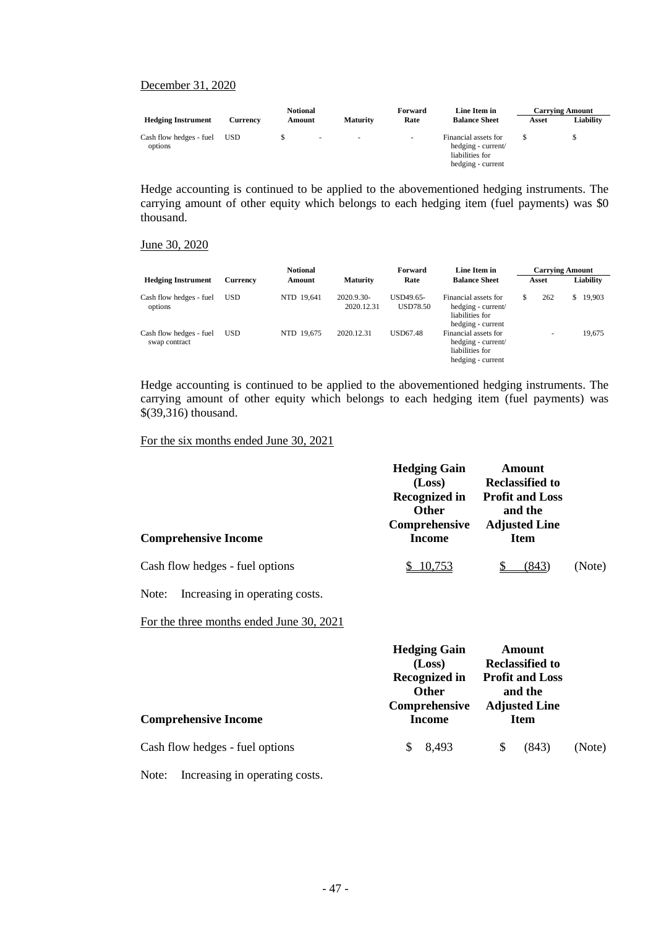#### December 31, 2020

|                                    |            | <b>Notional</b> |        | Forward         | Line Item in             | <b>Carrying Amount</b>                                                             |       |           |
|------------------------------------|------------|-----------------|--------|-----------------|--------------------------|------------------------------------------------------------------------------------|-------|-----------|
| <b>Hedging Instrument</b>          | Currency   | Amount          |        | <b>Maturity</b> | Rate                     | <b>Balance Sheet</b>                                                               | Asset | Liabilitv |
| Cash flow hedges - fuel<br>options | <b>USD</b> |                 | $\sim$ | ۰               | $\overline{\phantom{a}}$ | Financial assets for<br>hedging - current/<br>liabilities for<br>hedging - current |       |           |

Hedge accounting is continued to be applied to the abovementioned hedging instruments. The carrying amount of other equity which belongs to each hedging item (fuel payments) was \$0 thousand.

#### June 30, 2020

|                                          | <b>Notional</b><br>Forward |            | Line Item in             | <b>Carrying Amount</b> |                                                                                    |   |       |    |           |
|------------------------------------------|----------------------------|------------|--------------------------|------------------------|------------------------------------------------------------------------------------|---|-------|----|-----------|
| <b>Hedging Instrument</b>                | Currency                   | Amount     | <b>Maturity</b>          | Rate                   | <b>Balance Sheet</b>                                                               |   | Asset |    | Liability |
| Cash flow hedges - fuel<br>options       | <b>USD</b>                 | NTD 19.641 | 2020.9.30-<br>2020.12.31 | USD49.65-<br>USD78.50  | Financial assets for<br>hedging - current/<br>liabilities for<br>hedging - current | S | 262   | S. | 19,903    |
| Cash flow hedges - fuel<br>swap contract | <b>USD</b>                 | NTD 19.675 | 2020.12.31               | <b>USD67.48</b>        | Financial assets for<br>hedging - current/<br>liabilities for<br>hedging - current |   |       |    | 19.675    |

Hedge accounting is continued to be applied to the abovementioned hedging instruments. The carrying amount of other equity which belongs to each hedging item (fuel payments) was \$(39,316) thousand.

For the six months ended June 30, 2021

|                                 | <b>Hedging Gain</b><br>(Loss)<br><b>Recognized in</b><br><b>Other</b><br>Comprehensive | Amount<br><b>Reclassified to</b><br><b>Profit and Loss</b><br>and the<br><b>Adjusted Line</b> |        |
|---------------------------------|----------------------------------------------------------------------------------------|-----------------------------------------------------------------------------------------------|--------|
| <b>Comprehensive Income</b>     | Income                                                                                 | <b>Item</b>                                                                                   |        |
| Cash flow hedges - fuel options | 10,753                                                                                 | (843                                                                                          | (Note) |

Note: Increasing in operating costs.

For the three months ended June 30, 2021

|                                 | <b>Hedging Gain</b><br>(Loss)<br><b>Recognized in</b><br><b>Other</b> | Amount<br><b>Reclassified to</b><br><b>Profit and Loss</b><br>and the<br><b>Adjusted Line</b> |             |        |
|---------------------------------|-----------------------------------------------------------------------|-----------------------------------------------------------------------------------------------|-------------|--------|
| <b>Comprehensive Income</b>     | Comprehensive<br>Income                                               |                                                                                               | <b>Item</b> |        |
| Cash flow hedges - fuel options | 8,493<br>S                                                            | S                                                                                             | (843)       | (Note) |

Note: Increasing in operating costs.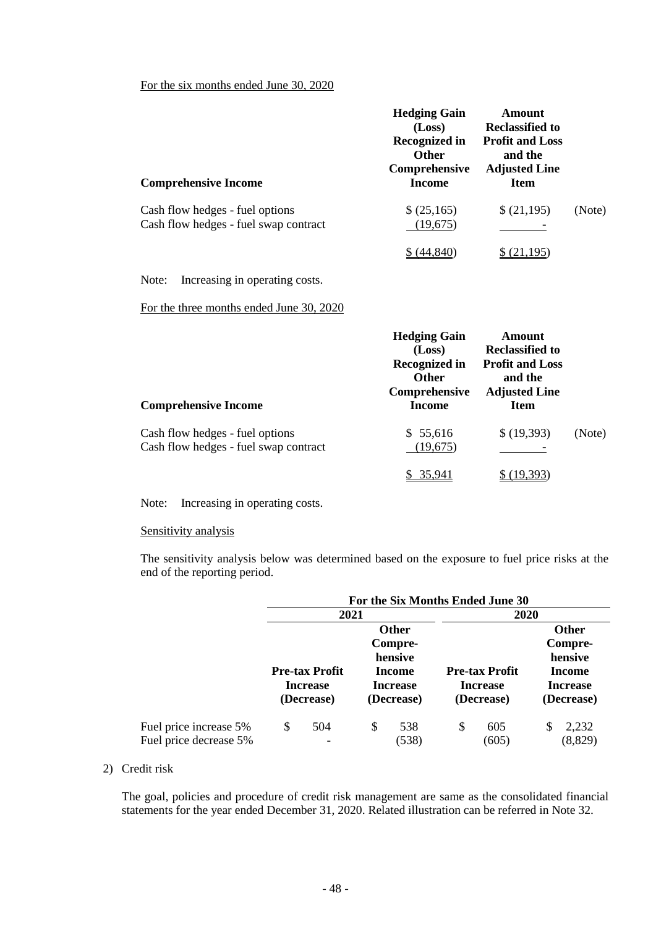## For the six months ended June 30, 2020

| <b>Comprehensive Income</b>                                              | <b>Hedging Gain</b><br>(Loss)<br><b>Recognized in</b><br><b>Other</b><br>Comprehensive<br>Income | Amount<br><b>Reclassified to</b><br><b>Profit and Loss</b><br>and the<br><b>Adjusted Line</b><br><b>Item</b> |        |
|--------------------------------------------------------------------------|--------------------------------------------------------------------------------------------------|--------------------------------------------------------------------------------------------------------------|--------|
| Cash flow hedges - fuel options<br>Cash flow hedges - fuel swap contract | \$(25,165)<br>(19, 675)                                                                          | \$(21,195)                                                                                                   | (Note) |
|                                                                          |                                                                                                  |                                                                                                              |        |

Note: Increasing in operating costs.

For the three months ended June 30, 2020

| <b>Comprehensive Income</b>                                              | <b>Hedging Gain</b><br>(Loss)<br><b>Recognized in</b><br><b>Other</b><br>Comprehensive<br>Income | Amount<br><b>Reclassified to</b><br><b>Profit and Loss</b><br>and the<br><b>Adjusted Line</b><br><b>Item</b> |        |
|--------------------------------------------------------------------------|--------------------------------------------------------------------------------------------------|--------------------------------------------------------------------------------------------------------------|--------|
| Cash flow hedges - fuel options<br>Cash flow hedges - fuel swap contract | \$55,616<br>(19,675)                                                                             | \$(19,393)                                                                                                   | (Note) |
|                                                                          | 35.941                                                                                           |                                                                                                              |        |

Note: Increasing in operating costs.

## Sensitivity analysis

The sensitivity analysis below was determined based on the exposure to fuel price risks at the end of the reporting period.

|                                                  | For the Six Months Ended June 30                       |                                 |                                                |              |                                                        |              |                           |                   |  |
|--------------------------------------------------|--------------------------------------------------------|---------------------------------|------------------------------------------------|--------------|--------------------------------------------------------|--------------|---------------------------|-------------------|--|
|                                                  |                                                        | 2021                            |                                                |              |                                                        | 2020         |                           |                   |  |
|                                                  | <b>Other</b>                                           |                                 |                                                |              |                                                        | <b>Other</b> |                           |                   |  |
|                                                  |                                                        |                                 |                                                | Compre-      |                                                        |              |                           | Compre-           |  |
|                                                  |                                                        |                                 |                                                | hensive      |                                                        |              |                           | hensive           |  |
|                                                  | <b>Pre-tax Profit</b><br><b>Increase</b><br>(Decrease) |                                 | <b>Income</b><br><b>Increase</b><br>(Decrease) |              | <b>Pre-tax Profit</b><br><b>Increase</b><br>(Decrease) |              | Income<br><b>Increase</b> |                   |  |
|                                                  |                                                        |                                 |                                                |              |                                                        |              |                           |                   |  |
|                                                  |                                                        |                                 |                                                |              |                                                        |              |                           | (Decrease)        |  |
| Fuel price increase 5%<br>Fuel price decrease 5% | \$                                                     | 504<br>$\overline{\phantom{a}}$ | S                                              | 538<br>(538) | \$                                                     | 605<br>(605) |                           | 2,232<br>(8, 829) |  |

## 2) Credit risk

The goal, policies and procedure of credit risk management are same as the consolidated financial statements for the year ended December 31, 2020. Related illustration can be referred in Note 32.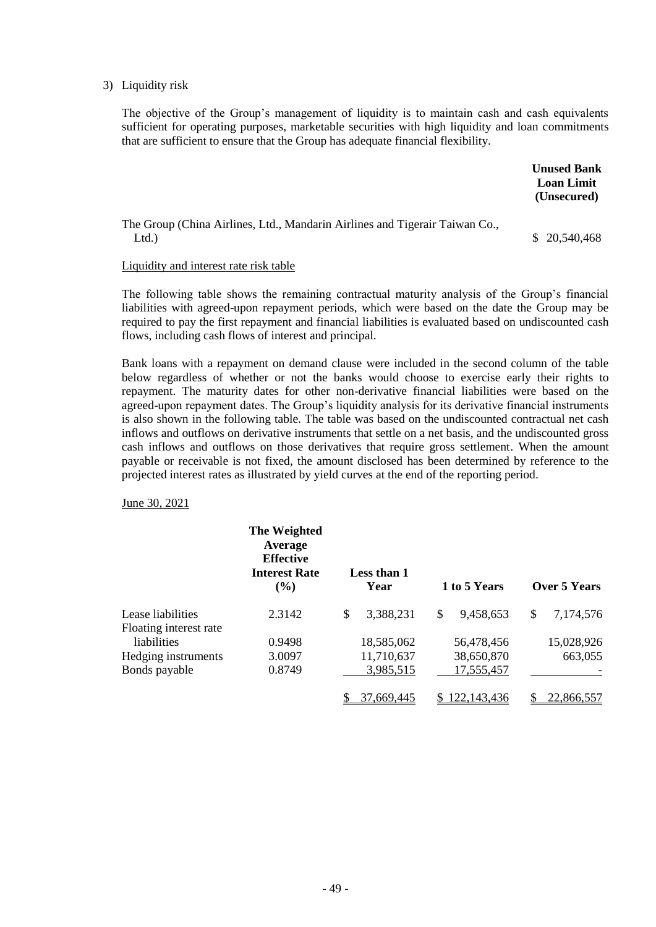#### 3) Liquidity risk

The objective of the Group's management of liquidity is to maintain cash and cash equivalents sufficient for operating purposes, marketable securities with high liquidity and loan commitments that are sufficient to ensure that the Group has adequate financial flexibility.

|                                                                                     | <b>Unused Bank</b><br><b>Loan Limit</b><br>(Unsecured) |
|-------------------------------------------------------------------------------------|--------------------------------------------------------|
| The Group (China Airlines, Ltd., Mandarin Airlines and Tigerair Taiwan Co.,<br>Ltd. | \$ 20,540,468                                          |

#### Liquidity and interest rate risk table

The following table shows the remaining contractual maturity analysis of the Group's financial liabilities with agreed-upon repayment periods, which were based on the date the Group may be required to pay the first repayment and financial liabilities is evaluated based on undiscounted cash flows, including cash flows of interest and principal.

Bank loans with a repayment on demand clause were included in the second column of the table below regardless of whether or not the banks would choose to exercise early their rights to repayment. The maturity dates for other non-derivative financial liabilities were based on the agreed-upon repayment dates. The Group's liquidity analysis for its derivative financial instruments is also shown in the following table. The table was based on the undiscounted contractual net cash inflows and outflows on derivative instruments that settle on a net basis, and the undiscounted gross cash inflows and outflows on those derivatives that require gross settlement. When the amount payable or receivable is not fixed, the amount disclosed has been determined by reference to the projected interest rates as illustrated by yield curves at the end of the reporting period.

June 30, 2021

|                        | The Weighted<br>Average<br><b>Effective</b><br><b>Interest Rate</b><br>$($ %) | Less than 1<br>Year | 1 to 5 Years    | Over 5 Years    |
|------------------------|-------------------------------------------------------------------------------|---------------------|-----------------|-----------------|
| Lease liabilities      | 2.3142                                                                        | \$<br>3,388,231     | \$<br>9,458,653 | \$<br>7,174,576 |
| Floating interest rate |                                                                               |                     |                 |                 |
| liabilities            | 0.9498                                                                        | 18,585,062          | 56,478,456      | 15,028,926      |
| Hedging instruments    | 3.0097                                                                        | 11,710,637          | 38,650,870      | 663,055         |
| Bonds payable          | 0.8749                                                                        | 3,985,515           | 17,555,457      |                 |
|                        |                                                                               | 37,669,445          | 122,143,436     | 22,866,557      |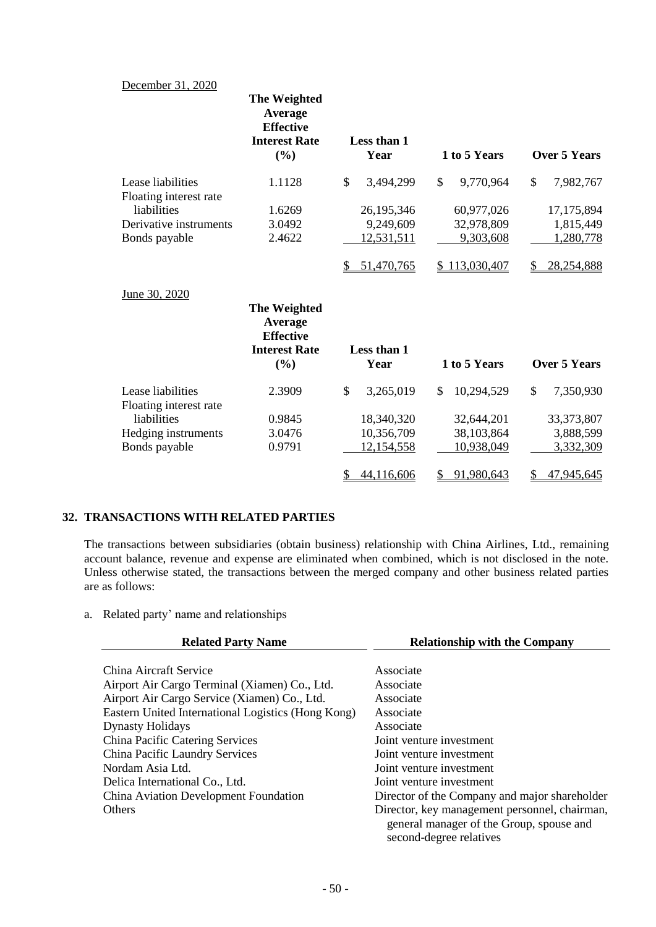## December 31, 2020

|                                             | The Weighted<br>Average<br><b>Effective</b><br><b>Interest Rate</b><br>$(\%)$ | Less than 1<br>Year |    | 1 to 5 Years  | Over 5 Years        |
|---------------------------------------------|-------------------------------------------------------------------------------|---------------------|----|---------------|---------------------|
| Lease liabilities                           | 1.1128                                                                        | \$<br>3,494,299     | \$ | 9,770,964     | \$<br>7,982,767     |
| Floating interest rate                      |                                                                               |                     |    |               |                     |
| liabilities                                 | 1.6269                                                                        | 26,195,346          |    | 60,977,026    | 17, 175, 894        |
| Derivative instruments                      | 3.0492                                                                        | 9,249,609           |    | 32,978,809    | 1,815,449           |
| Bonds payable                               | 2.4622                                                                        | 12,531,511          |    | 9,303,608     | 1,280,778           |
|                                             |                                                                               | 51,470,765          |    | \$113,030,407 | 28,254,888          |
| June 30, 2020                               | The Weighted<br>Average<br><b>Effective</b>                                   |                     |    |               |                     |
|                                             | <b>Interest Rate</b><br>$(\%)$                                                | Less than 1<br>Year |    | 1 to 5 Years  | <b>Over 5 Years</b> |
| Lease liabilities<br>Floating interest rate | 2.3909                                                                        | \$<br>3,265,019     | \$ | 10,294,529    | \$<br>7,350,930     |
| liabilities                                 | 0.9845                                                                        | 18,340,320          |    | 32,644,201    | 33, 373, 807        |
| Hedging instruments                         | 3.0476                                                                        | 10,356,709          |    | 38,103,864    | 3,888,599           |
| Bonds payable                               | 0.9791                                                                        | <u>12,154,558</u>   |    | 10,938,049    | 3,332,309           |
|                                             |                                                                               | \$<br>44,116,606    | S  | 91,980,643    | \$<br>47,945,645    |

## **32. TRANSACTIONS WITH RELATED PARTIES**

The transactions between subsidiaries (obtain business) relationship with China Airlines, Ltd., remaining account balance, revenue and expense are eliminated when combined, which is not disclosed in the note. Unless otherwise stated, the transactions between the merged company and other business related parties are as follows:

a. Related party' name and relationships

| <b>Related Party Name</b>                          | <b>Relationship with the Company</b>                                                                                 |  |  |
|----------------------------------------------------|----------------------------------------------------------------------------------------------------------------------|--|--|
|                                                    |                                                                                                                      |  |  |
| China Aircraft Service                             | Associate                                                                                                            |  |  |
| Airport Air Cargo Terminal (Xiamen) Co., Ltd.      | Associate                                                                                                            |  |  |
| Airport Air Cargo Service (Xiamen) Co., Ltd.       | Associate                                                                                                            |  |  |
| Eastern United International Logistics (Hong Kong) | Associate                                                                                                            |  |  |
| <b>Dynasty Holidays</b>                            | Associate                                                                                                            |  |  |
| China Pacific Catering Services                    | Joint venture investment                                                                                             |  |  |
| China Pacific Laundry Services                     | Joint venture investment                                                                                             |  |  |
| Nordam Asia Ltd.                                   | Joint venture investment                                                                                             |  |  |
| Delica International Co., Ltd.                     | Joint venture investment                                                                                             |  |  |
| China Aviation Development Foundation              | Director of the Company and major shareholder                                                                        |  |  |
| <b>Others</b>                                      | Director, key management personnel, chairman,<br>general manager of the Group, spouse and<br>second-degree relatives |  |  |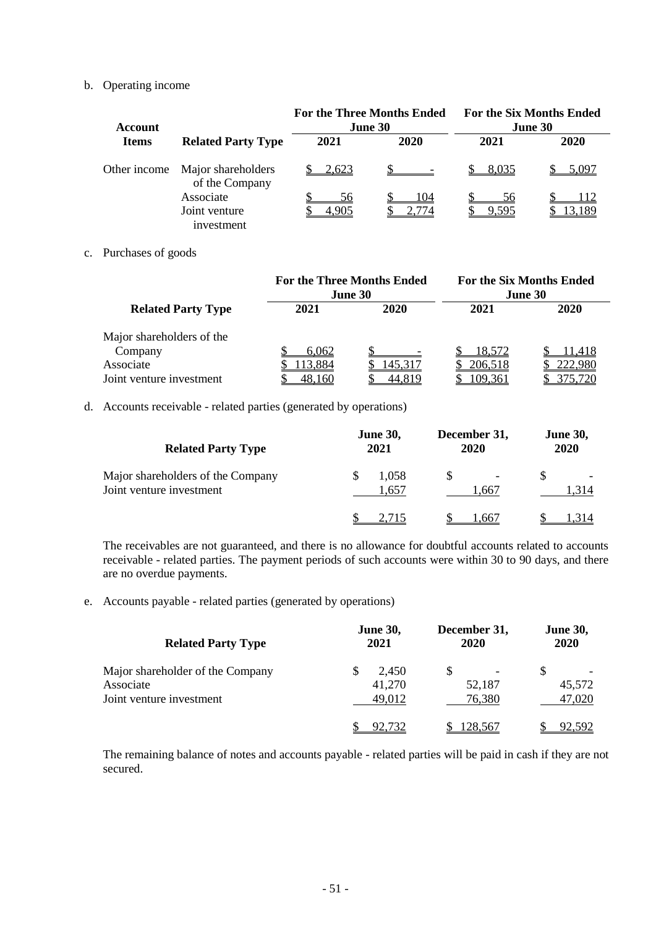### b. Operating income

| <b>Account</b> |                                      |       | <b>For the Three Months Ended</b><br>June 30 | <b>For the Six Months Ended</b><br>June 30 |        |  |
|----------------|--------------------------------------|-------|----------------------------------------------|--------------------------------------------|--------|--|
| <b>Items</b>   | <b>Related Party Type</b>            | 2021  | 2020                                         | 2021                                       | 2020   |  |
| Other income   | Major shareholders<br>of the Company | 2,623 |                                              | 8,035                                      | 5.097  |  |
|                | Associate                            | 56    | 104                                          | 56                                         | 112    |  |
|                | Joint venture<br>investment          |       |                                              | 9.595                                      | 13.189 |  |

### c. Purchases of goods

|                           | <b>For the Three Months Ended</b><br><b>June 30</b> |         | <b>For the Six Months Ended</b><br>June 30 |       |  |
|---------------------------|-----------------------------------------------------|---------|--------------------------------------------|-------|--|
| <b>Related Party Type</b> | 2021                                                | 2020    | 2021                                       | 2020  |  |
| Major shareholders of the |                                                     |         |                                            |       |  |
| Company                   | 6.062                                               |         | 18.572                                     | 1.418 |  |
| Associate                 | 13,884                                              | 145.317 | 206,518                                    |       |  |
| Joint venture investment  | 48.160                                              |         | 109,361                                    |       |  |

## d. Accounts receivable - related parties (generated by operations)

| <b>Related Party Type</b>                                     | <b>June 30,</b><br>2021 | December 31,<br><b>2020</b> | <b>June 30,</b><br>2020 |
|---------------------------------------------------------------|-------------------------|-----------------------------|-------------------------|
| Major shareholders of the Company<br>Joint venture investment | 1,058<br>.,657          | l.667                       | 314                     |
|                                                               |                         | .667                        |                         |

The receivables are not guaranteed, and there is no allowance for doubtful accounts related to accounts receivable - related parties. The payment periods of such accounts were within 30 to 90 days, and there are no overdue payments.

e. Accounts payable - related parties (generated by operations)

| <b>Related Party Type</b>        | <b>June 30,</b><br>2021 | December 31,<br>2020 | <b>June 30,</b><br>2020 |
|----------------------------------|-------------------------|----------------------|-------------------------|
| Major shareholder of the Company | 2,450<br>S              | S                    | S                       |
| Associate                        | 41,270                  | 52,187               | 45,572                  |
| Joint venture investment         | 49.012                  | 76,380               | 47,020                  |
|                                  |                         | 128,567              |                         |

The remaining balance of notes and accounts payable - related parties will be paid in cash if they are not secured.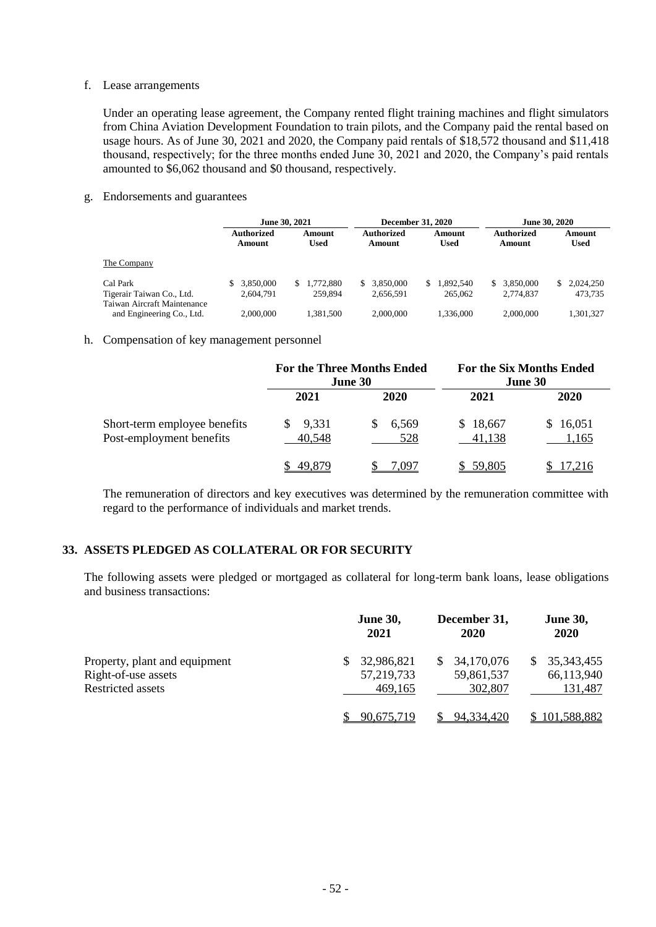### f. Lease arrangements

Under an operating lease agreement, the Company rented flight training machines and flight simulators from China Aviation Development Foundation to train pilots, and the Company paid the rental based on usage hours. As of June 30, 2021 and 2020, the Company paid rentals of \$18,572 thousand and \$11,418 thousand, respectively; for the three months ended June 30, 2021 and 2020, the Company's paid rentals amounted to \$6,062 thousand and \$0 thousand, respectively.

g. Endorsements and guarantees

|                             | June 30, 2021        |                 | <b>December 31, 2020</b> |                       | June 30, 2020        |                       |
|-----------------------------|----------------------|-----------------|--------------------------|-----------------------|----------------------|-----------------------|
|                             | Authorized<br>Amount | Amount<br>Used  | Authorized<br>Amount     | Amount<br><b>Used</b> | Authorized<br>Amount | Amount<br><b>Used</b> |
| The Company                 |                      |                 |                          |                       |                      |                       |
| Cal Park                    | 3.850,000            | 1.772.880<br>S. | 3.850,000                | .892.540<br>S.        | \$ 3.850,000         | 2,024,250             |
| Tigerair Taiwan Co., Ltd.   | 2.604.791            | 259,894         | 2.656.591                | 265,062               | 2.774.837            | 473.735               |
| Taiwan Aircraft Maintenance |                      |                 |                          |                       |                      |                       |
| and Engineering Co., Ltd.   | 2,000,000            | 1.381.500       | 2,000,000                | 1.336.000             | 2,000,000            | 1.301.327             |

#### h. Compensation of key management personnel

|                                                          | <b>For the Three Months Ended</b><br>June 30 |                   | <b>For the Six Months Ended</b><br>June 30 |                   |
|----------------------------------------------------------|----------------------------------------------|-------------------|--------------------------------------------|-------------------|
|                                                          | 2021                                         | 2020              | 2021                                       | 2020              |
| Short-term employee benefits<br>Post-employment benefits | 9,331<br>S.<br>40,548                        | 6,569<br>S<br>528 | \$18,667<br>41,138                         | \$16,051<br>1,165 |
|                                                          | 49.879                                       | 7 (197            | 59.805                                     |                   |

The remuneration of directors and key executives was determined by the remuneration committee with regard to the performance of individuals and market trends.

## **33. ASSETS PLEDGED AS COLLATERAL OR FOR SECURITY**

The following assets were pledged or mortgaged as collateral for long-term bank loans, lease obligations and business transactions:

|                               | <b>June 30,</b><br>2021 | December 31,<br>2020 | <b>June 30,</b><br><b>2020</b> |
|-------------------------------|-------------------------|----------------------|--------------------------------|
| Property, plant and equipment | 32,986,821              | 34,170,076           | 35, 343, 455<br>S              |
| Right-of-use assets           | 57,219,733              | 59,861,537           | 66,113,940                     |
| Restricted assets             | 469.165                 | 302,807              | 131,487                        |
|                               | 90.675.719              | <u>94,334,420</u>    | 101,588,882                    |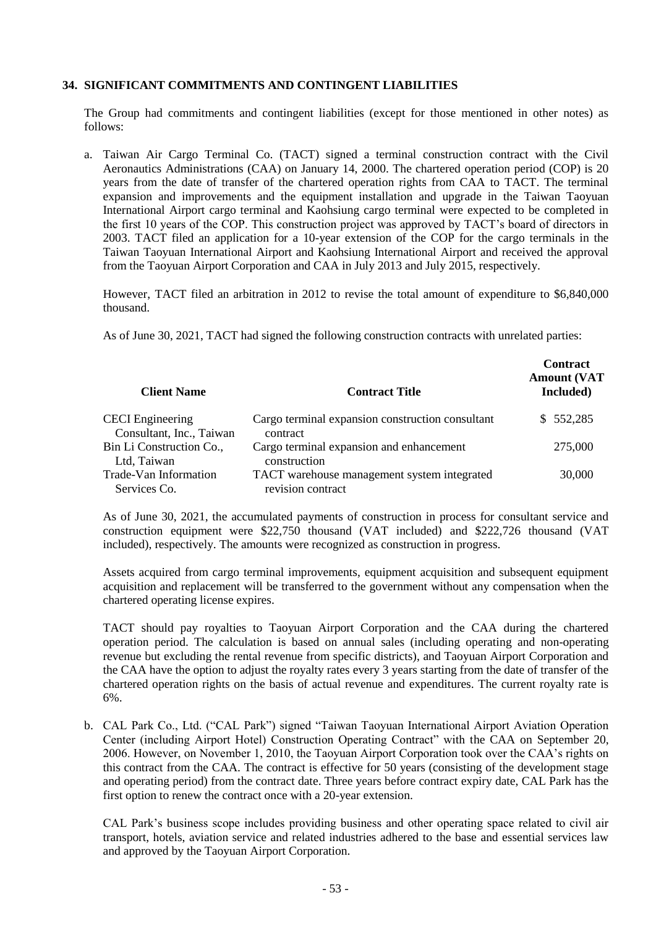## **34. SIGNIFICANT COMMITMENTS AND CONTINGENT LIABILITIES**

The Group had commitments and contingent liabilities (except for those mentioned in other notes) as follows:

a. Taiwan Air Cargo Terminal Co. (TACT) signed a terminal construction contract with the Civil Aeronautics Administrations (CAA) on January 14, 2000. The chartered operation period (COP) is 20 years from the date of transfer of the chartered operation rights from CAA to TACT. The terminal expansion and improvements and the equipment installation and upgrade in the Taiwan Taoyuan International Airport cargo terminal and Kaohsiung cargo terminal were expected to be completed in the first 10 years of the COP. This construction project was approved by TACT's board of directors in 2003. TACT filed an application for a 10-year extension of the COP for the cargo terminals in the Taiwan Taoyuan International Airport and Kaohsiung International Airport and received the approval from the Taoyuan Airport Corporation and CAA in July 2013 and July 2015, respectively.

However, TACT filed an arbitration in 2012 to revise the total amount of expenditure to \$6,840,000 thousand.

As of June 30, 2021, TACT had signed the following construction contracts with unrelated parties:

| <b>Client Name</b>                                  | <b>Contract Title</b>                                            | <b>Contract</b><br><b>Amount (VAT</b><br>Included) |
|-----------------------------------------------------|------------------------------------------------------------------|----------------------------------------------------|
| <b>CECI</b> Engineering<br>Consultant, Inc., Taiwan | Cargo terminal expansion construction consultant<br>contract     | \$552,285                                          |
| Bin Li Construction Co.,<br>Ltd, Taiwan             | Cargo terminal expansion and enhancement<br>construction         | 275,000                                            |
| Trade-Van Information<br>Services Co.               | TACT warehouse management system integrated<br>revision contract | 30,000                                             |

As of June 30, 2021, the accumulated payments of construction in process for consultant service and construction equipment were \$22,750 thousand (VAT included) and \$222,726 thousand (VAT included), respectively. The amounts were recognized as construction in progress.

Assets acquired from cargo terminal improvements, equipment acquisition and subsequent equipment acquisition and replacement will be transferred to the government without any compensation when the chartered operating license expires.

TACT should pay royalties to Taoyuan Airport Corporation and the CAA during the chartered operation period. The calculation is based on annual sales (including operating and non-operating revenue but excluding the rental revenue from specific districts), and Taoyuan Airport Corporation and the CAA have the option to adjust the royalty rates every 3 years starting from the date of transfer of the chartered operation rights on the basis of actual revenue and expenditures. The current royalty rate is 6%.

b. CAL Park Co., Ltd. ("CAL Park") signed "Taiwan Taoyuan International Airport Aviation Operation Center (including Airport Hotel) Construction Operating Contract" with the CAA on September 20, 2006. However, on November 1, 2010, the Taoyuan Airport Corporation took over the CAA's rights on this contract from the CAA. The contract is effective for 50 years (consisting of the development stage and operating period) from the contract date. Three years before contract expiry date, CAL Park has the first option to renew the contract once with a 20-year extension.

CAL Park's business scope includes providing business and other operating space related to civil air transport, hotels, aviation service and related industries adhered to the base and essential services law and approved by the Taoyuan Airport Corporation.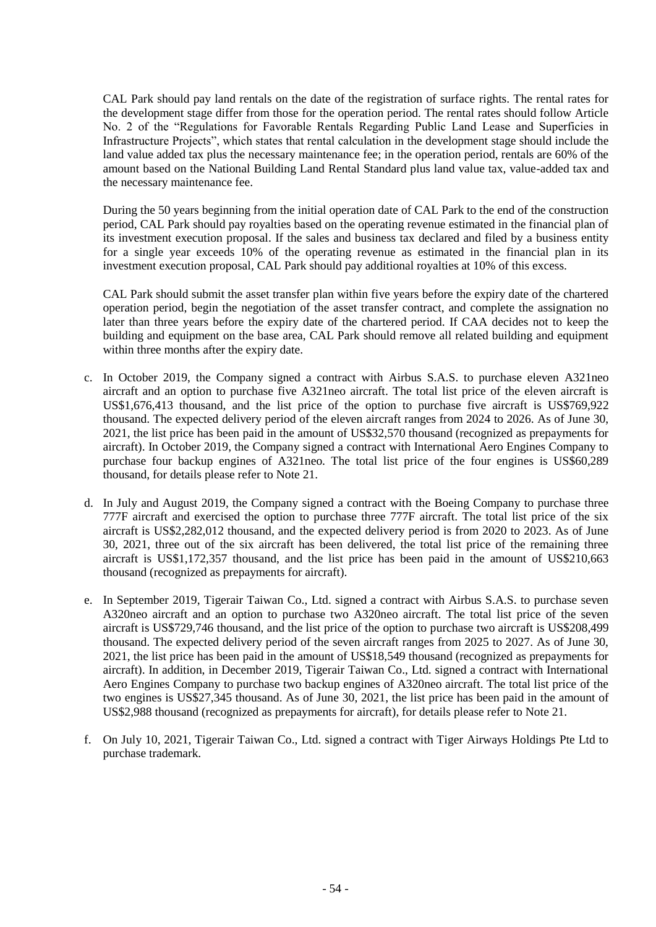CAL Park should pay land rentals on the date of the registration of surface rights. The rental rates for the development stage differ from those for the operation period. The rental rates should follow Article No. 2 of the "Regulations for Favorable Rentals Regarding Public Land Lease and Superficies in Infrastructure Projects", which states that rental calculation in the development stage should include the land value added tax plus the necessary maintenance fee; in the operation period, rentals are 60% of the amount based on the National Building Land Rental Standard plus land value tax, value-added tax and the necessary maintenance fee.

During the 50 years beginning from the initial operation date of CAL Park to the end of the construction period, CAL Park should pay royalties based on the operating revenue estimated in the financial plan of its investment execution proposal. If the sales and business tax declared and filed by a business entity for a single year exceeds 10% of the operating revenue as estimated in the financial plan in its investment execution proposal, CAL Park should pay additional royalties at 10% of this excess.

CAL Park should submit the asset transfer plan within five years before the expiry date of the chartered operation period, begin the negotiation of the asset transfer contract, and complete the assignation no later than three years before the expiry date of the chartered period. If CAA decides not to keep the building and equipment on the base area, CAL Park should remove all related building and equipment within three months after the expiry date.

- c. In October 2019, the Company signed a contract with Airbus S.A.S. to purchase eleven A321neo aircraft and an option to purchase five A321neo aircraft. The total list price of the eleven aircraft is US\$1,676,413 thousand, and the list price of the option to purchase five aircraft is US\$769,922 thousand. The expected delivery period of the eleven aircraft ranges from 2024 to 2026. As of June 30, 2021, the list price has been paid in the amount of US\$32,570 thousand (recognized as prepayments for aircraft). In October 2019, the Company signed a contract with International Aero Engines Company to purchase four backup engines of A321neo. The total list price of the four engines is US\$60,289 thousand, for details please refer to Note 21.
- d. In July and August 2019, the Company signed a contract with the Boeing Company to purchase three 777F aircraft and exercised the option to purchase three 777F aircraft. The total list price of the six aircraft is US\$2,282,012 thousand, and the expected delivery period is from 2020 to 2023. As of June 30, 2021, three out of the six aircraft has been delivered, the total list price of the remaining three aircraft is US\$1,172,357 thousand, and the list price has been paid in the amount of US\$210,663 thousand (recognized as prepayments for aircraft).
- e. In September 2019, Tigerair Taiwan Co., Ltd. signed a contract with Airbus S.A.S. to purchase seven A320neo aircraft and an option to purchase two A320neo aircraft. The total list price of the seven aircraft is US\$729,746 thousand, and the list price of the option to purchase two aircraft is US\$208,499 thousand. The expected delivery period of the seven aircraft ranges from 2025 to 2027. As of June 30, 2021, the list price has been paid in the amount of US\$18,549 thousand (recognized as prepayments for aircraft). In addition, in December 2019, Tigerair Taiwan Co., Ltd. signed a contract with International Aero Engines Company to purchase two backup engines of A320neo aircraft. The total list price of the two engines is US\$27,345 thousand. As of June 30, 2021, the list price has been paid in the amount of US\$2,988 thousand (recognized as prepayments for aircraft), for details please refer to Note 21.
- f. On July 10, 2021, Tigerair Taiwan Co., Ltd. signed a contract with Tiger Airways Holdings Pte Ltd to purchase trademark.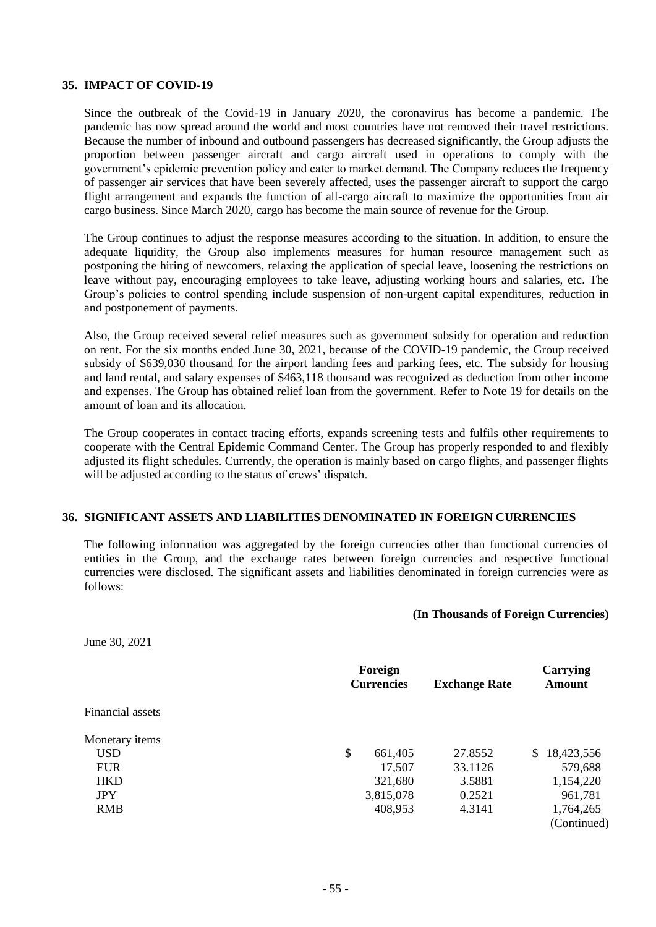#### **35. IMPACT OF COVID-19**

Since the outbreak of the Covid-19 in January 2020, the coronavirus has become a pandemic. The pandemic has now spread around the world and most countries have not removed their travel restrictions. Because the number of inbound and outbound passengers has decreased significantly, the Group adjusts the proportion between passenger aircraft and cargo aircraft used in operations to comply with the government's epidemic prevention policy and cater to market demand. The Company reduces the frequency of passenger air services that have been severely affected, uses the passenger aircraft to support the cargo flight arrangement and expands the function of all-cargo aircraft to maximize the opportunities from air cargo business. Since March 2020, cargo has become the main source of revenue for the Group.

The Group continues to adjust the response measures according to the situation. In addition, to ensure the adequate liquidity, the Group also implements measures for human resource management such as postponing the hiring of newcomers, relaxing the application of special leave, loosening the restrictions on leave without pay, encouraging employees to take leave, adjusting working hours and salaries, etc. The Group's policies to control spending include suspension of non-urgent capital expenditures, reduction in and postponement of payments.

Also, the Group received several relief measures such as government subsidy for operation and reduction on rent. For the six months ended June 30, 2021, because of the COVID-19 pandemic, the Group received subsidy of \$639,030 thousand for the airport landing fees and parking fees, etc. The subsidy for housing and land rental, and salary expenses of \$463,118 thousand was recognized as deduction from other income and expenses. The Group has obtained relief loan from the government. Refer to Note 19 for details on the amount of loan and its allocation.

The Group cooperates in contact tracing efforts, expands screening tests and fulfils other requirements to cooperate with the Central Epidemic Command Center. The Group has properly responded to and flexibly adjusted its flight schedules. Currently, the operation is mainly based on cargo flights, and passenger flights will be adjusted according to the status of crews' dispatch.

#### **36. SIGNIFICANT ASSETS AND LIABILITIES DENOMINATED IN FOREIGN CURRENCIES**

The following information was aggregated by the foreign currencies other than functional currencies of entities in the Group, and the exchange rates between foreign currencies and respective functional currencies were disclosed. The significant assets and liabilities denominated in foreign currencies were as follows:

#### **(In Thousands of Foreign Currencies)**

June 30, 2021

|                  | Foreign<br><b>Currencies</b> | <b>Exchange Rate</b> | Carrying<br><b>Amount</b> |
|------------------|------------------------------|----------------------|---------------------------|
| Financial assets |                              |                      |                           |
| Monetary items   |                              |                      |                           |
| <b>USD</b>       | \$<br>661,405                | 27.8552              | 18,423,556<br>S.          |
| <b>EUR</b>       | 17,507                       | 33.1126              | 579,688                   |
| <b>HKD</b>       | 321,680                      | 3.5881               | 1,154,220                 |
| <b>JPY</b>       | 3,815,078                    | 0.2521               | 961,781                   |
| <b>RMB</b>       | 408,953                      | 4.3141               | 1,764,265                 |
|                  |                              |                      | (Continued)               |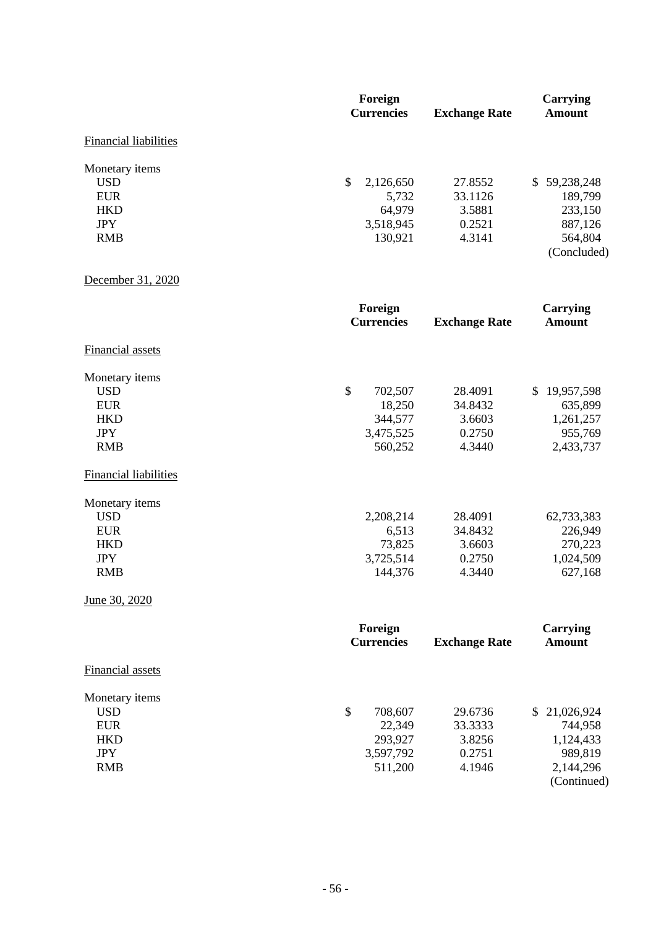|                                                                                      | Foreign<br><b>Currencies</b>                                          | <b>Exchange Rate</b>                             | Carrying<br><b>Amount</b>                                               |
|--------------------------------------------------------------------------------------|-----------------------------------------------------------------------|--------------------------------------------------|-------------------------------------------------------------------------|
| <b>Financial liabilities</b>                                                         |                                                                       |                                                  |                                                                         |
| Monetary items<br><b>USD</b><br><b>EUR</b><br><b>HKD</b><br><b>JPY</b><br><b>RMB</b> | $\mathcal{S}$<br>2,126,650<br>5,732<br>64,979<br>3,518,945<br>130,921 | 27.8552<br>33.1126<br>3.5881<br>0.2521<br>4.3141 | \$59,238,248<br>189,799<br>233,150<br>887,126<br>564,804<br>(Concluded) |
| December 31, 2020                                                                    |                                                                       |                                                  |                                                                         |
|                                                                                      | Foreign<br><b>Currencies</b>                                          | <b>Exchange Rate</b>                             | <b>Carrying</b><br><b>Amount</b>                                        |
| Financial assets                                                                     |                                                                       |                                                  |                                                                         |
| Monetary items<br><b>USD</b><br><b>EUR</b><br><b>HKD</b><br><b>JPY</b><br><b>RMB</b> | $\mathcal{S}$<br>702,507<br>18,250<br>344,577<br>3,475,525<br>560,252 | 28.4091<br>34.8432<br>3.6603<br>0.2750<br>4.3440 | \$19,957,598<br>635,899<br>1,261,257<br>955,769<br>2,433,737            |
| <b>Financial liabilities</b>                                                         |                                                                       |                                                  |                                                                         |
| Monetary items<br><b>USD</b><br><b>EUR</b><br><b>HKD</b><br><b>JPY</b><br><b>RMB</b> | 2,208,214<br>6,513<br>73,825<br>3,725,514<br>144,376                  | 28.4091<br>34.8432<br>3.6603<br>0.2750<br>4.3440 | 62,733,383<br>226,949<br>270,223<br>1,024,509<br>627,168                |
| June 30, 2020                                                                        |                                                                       |                                                  |                                                                         |

|                  | Foreign<br><b>Currencies</b><br><b>Exchange Rate</b> |         | Carrying<br>Amount |
|------------------|------------------------------------------------------|---------|--------------------|
| Financial assets |                                                      |         |                    |
| Monetary items   |                                                      |         |                    |
| <b>USD</b>       | \$<br>708,607                                        | 29.6736 | \$21,026,924       |
| <b>EUR</b>       | 22,349                                               | 33.3333 | 744,958            |
| <b>HKD</b>       | 293,927                                              | 3.8256  | 1,124,433          |
| <b>JPY</b>       | 3,597,792                                            | 0.2751  | 989,819            |
| <b>RMB</b>       | 511,200                                              | 4.1946  | 2,144,296          |
|                  |                                                      |         | (Continued)        |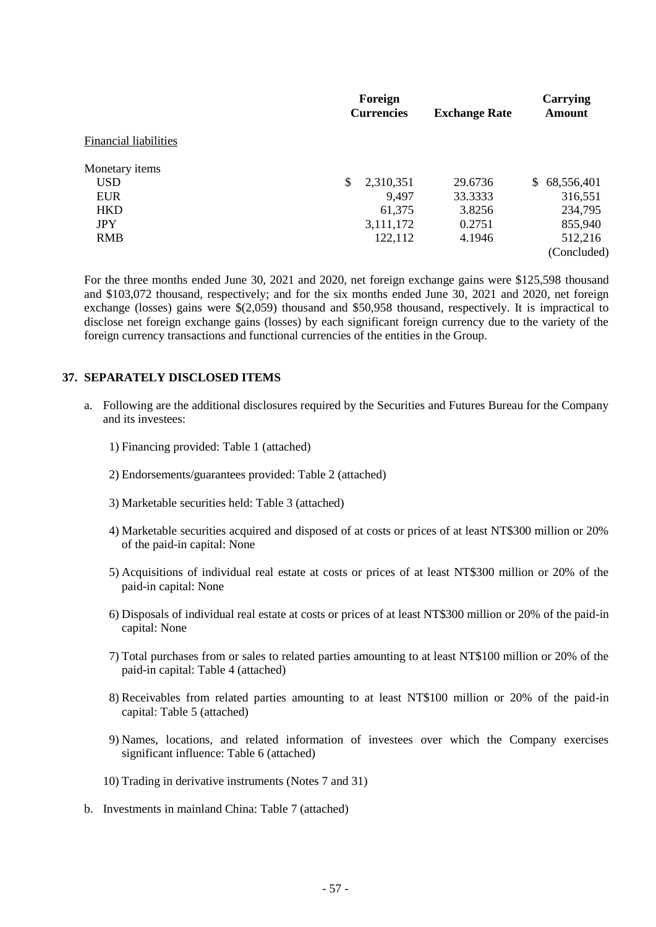|                              | Foreign           |                      |                  |
|------------------------------|-------------------|----------------------|------------------|
|                              | <b>Currencies</b> | <b>Exchange Rate</b> | Amount           |
| <b>Financial liabilities</b> |                   |                      |                  |
| Monetary items               |                   |                      |                  |
| <b>USD</b>                   | \$<br>2,310,351   | 29.6736              | 68,556,401<br>S. |
| <b>EUR</b>                   | 9,497             | 33.3333              | 316,551          |
| <b>HKD</b>                   | 61,375            | 3.8256               | 234,795          |
| <b>JPY</b>                   | 3,111,172         | 0.2751               | 855,940          |
| <b>RMB</b>                   | 122,112           | 4.1946               | 512,216          |
|                              |                   |                      | (Concluded)      |

For the three months ended June 30, 2021 and 2020, net foreign exchange gains were \$125,598 thousand and \$103,072 thousand, respectively; and for the six months ended June 30, 2021 and 2020, net foreign exchange (losses) gains were \$(2,059) thousand and \$50,958 thousand, respectively. It is impractical to disclose net foreign exchange gains (losses) by each significant foreign currency due to the variety of the foreign currency transactions and functional currencies of the entities in the Group.

### **37. SEPARATELY DISCLOSED ITEMS**

- a. Following are the additional disclosures required by the Securities and Futures Bureau for the Company and its investees:
	- 1) Financing provided: Table 1 (attached)
	- 2) Endorsements/guarantees provided: Table 2 (attached)
	- 3) Marketable securities held: Table 3 (attached)
	- 4) Marketable securities acquired and disposed of at costs or prices of at least NT\$300 million or 20% of the paid-in capital: None
	- 5) Acquisitions of individual real estate at costs or prices of at least NT\$300 million or 20% of the paid-in capital: None
	- 6) Disposals of individual real estate at costs or prices of at least NT\$300 million or 20% of the paid-in capital: None
	- 7) Total purchases from or sales to related parties amounting to at least NT\$100 million or 20% of the paid-in capital: Table 4 (attached)
	- 8) Receivables from related parties amounting to at least NT\$100 million or 20% of the paid-in capital: Table 5 (attached)
	- 9) Names, locations, and related information of investees over which the Company exercises significant influence: Table 6 (attached)
	- 10) Trading in derivative instruments (Notes 7 and 31)
- b. Investments in mainland China: Table 7 (attached)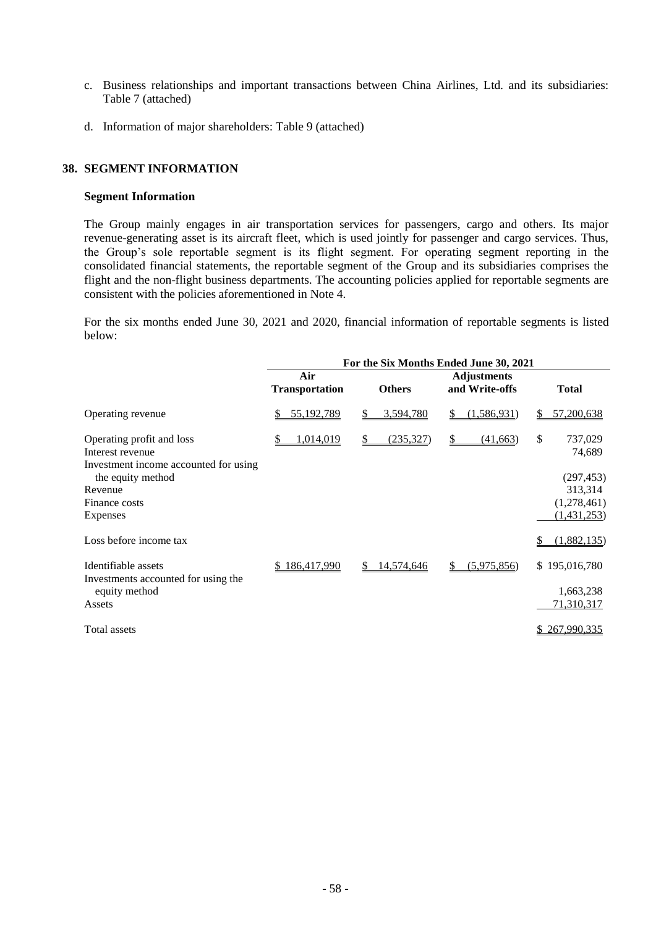- c. Business relationships and important transactions between China Airlines, Ltd. and its subsidiaries: Table 7 (attached)
- d. Information of major shareholders: Table 9 (attached)

## **38. SEGMENT INFORMATION**

#### **Segment Information**

The Group mainly engages in air transportation services for passengers, cargo and others. Its major revenue-generating asset is its aircraft fleet, which is used jointly for passenger and cargo services. Thus, the Group's sole reportable segment is its flight segment. For operating segment reporting in the consolidated financial statements, the reportable segment of the Group and its subsidiaries comprises the flight and the non-flight business departments. The accounting policies applied for reportable segments are consistent with the policies aforementioned in Note 4.

For the six months ended June 30, 2021 and 2020, financial information of reportable segments is listed below:

|                                                                                        | For the Six Months Ended June 30, 2021 |                        |                                      |                         |  |
|----------------------------------------------------------------------------------------|----------------------------------------|------------------------|--------------------------------------|-------------------------|--|
|                                                                                        | Air<br><b>Transportation</b>           | <b>Others</b>          | <b>Adjustments</b><br>and Write-offs | <b>Total</b>            |  |
| Operating revenue                                                                      | 55,192,789                             | 3,594,780              | (1,586,931)<br>S.                    | 57,200,638              |  |
| Operating profit and loss<br>Interest revenue<br>Investment income accounted for using | 1,014,019                              | <u>(235,327)</u><br>\$ | (41,663)<br>\$                       | \$<br>737,029<br>74,689 |  |
| the equity method                                                                      |                                        |                        |                                      | (297, 453)              |  |
| Revenue                                                                                |                                        |                        |                                      | 313,314                 |  |
| Finance costs                                                                          |                                        |                        |                                      | (1,278,461)             |  |
| Expenses                                                                               |                                        |                        |                                      | (1,431,253)             |  |
| Loss before income tax                                                                 |                                        |                        |                                      | (1,882,135)             |  |
| Identifiable assets                                                                    | 186,417,990                            | 14,574,646<br>S.       | (5,975,856)<br>S                     | \$195,016,780           |  |
| Investments accounted for using the<br>equity method                                   |                                        |                        |                                      | 1,663,238               |  |
| Assets                                                                                 |                                        |                        |                                      | 71,310,317              |  |
| Total assets                                                                           |                                        |                        |                                      | 267,990,335             |  |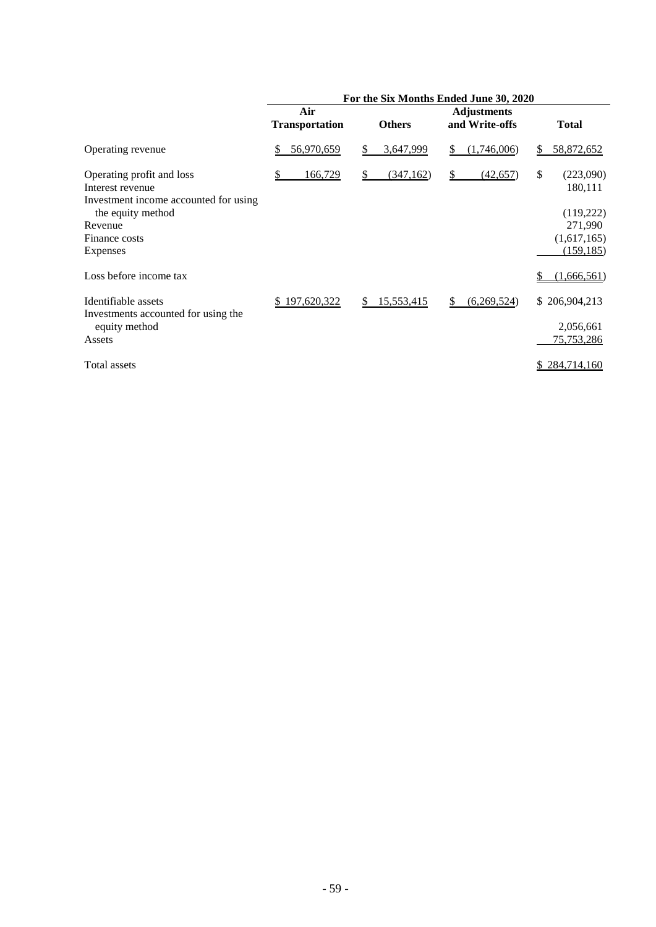|                                                                                                             | For the Six Months Ended June 30, 2020 |                  |                                      |                                         |  |
|-------------------------------------------------------------------------------------------------------------|----------------------------------------|------------------|--------------------------------------|-----------------------------------------|--|
|                                                                                                             | Air<br><b>Transportation</b>           | <b>Others</b>    | <b>Adjustments</b><br>and Write-offs | <b>Total</b>                            |  |
| Operating revenue                                                                                           | 56,970,659<br>\$                       | 3,647,999<br>\$  | (1,746,006)<br>S                     | 58,872,652<br>\$                        |  |
| Operating profit and loss<br>Interest revenue<br>Investment income accounted for using<br>the equity method | 166,729                                | (347,162)<br>S   | (42, 657)<br>S.                      | \$<br>(223,090)<br>180,111<br>(119,222) |  |
| Revenue<br>Finance costs<br><b>Expenses</b>                                                                 |                                        |                  |                                      | 271,990<br>(1,617,165)<br>(159, 185)    |  |
| Loss before income tax                                                                                      |                                        |                  |                                      | (1,666,561)                             |  |
| Identifiable assets<br>Investments accounted for using the<br>equity method                                 | \$197,620,322                          | 15,553,415<br>\$ | (6,269,524)<br>S                     | \$206,904,213<br>2,056,661              |  |
| Assets                                                                                                      |                                        |                  |                                      | 75,753,286                              |  |
| Total assets                                                                                                |                                        |                  |                                      | \$284,714,160                           |  |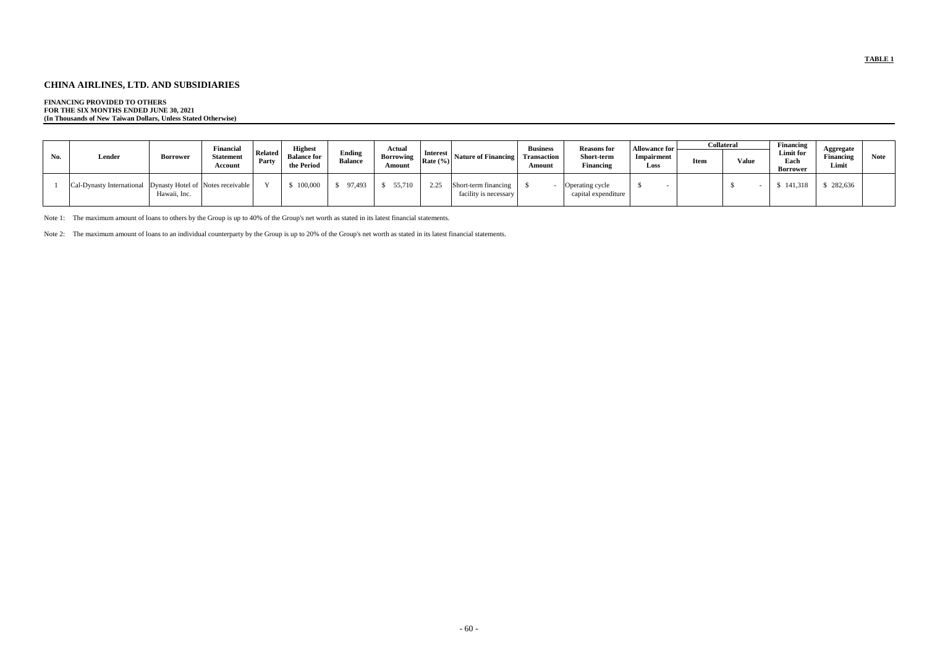## **CHINA AIRLINES, LTD. AND SUBSIDIARIES**

## **FINANCING PROVIDED TO OTHERS**

**FOR THE SIX MONTHS ENDED JUNE 30, 2021 (In Thousands of New Taiwan Dollars, Unless Stated Otherwise)**

|     |                                                             |              | Financial                   |                    | <b>Highest</b>                   |                                 | Actual                                                                                        |          |                                               | <b>Business</b>       | <b>Reasons</b> for                     | <b>Allowance for</b> |      | <b>Collateral</b> | <b>Financing</b>              | Aggregate                 |             |
|-----|-------------------------------------------------------------|--------------|-----------------------------|--------------------|----------------------------------|---------------------------------|-----------------------------------------------------------------------------------------------|----------|-----------------------------------------------|-----------------------|----------------------------------------|----------------------|------|-------------------|-------------------------------|---------------------------|-------------|
| No. | Lender                                                      | Borrower     | <b>Statement</b><br>Account | Related  <br>Party | <b>Balance for</b><br>the Period | <b>Ending</b><br><b>Balance</b> | Borrowing $\begin{bmatrix} \text{meters} \\ \text{Rate } (\%) \end{bmatrix}$<br><b>Amount</b> | Interest | Nature of Financing                           | Transaction<br>Amount | <b>Short-term</b><br>Financing         | Impairment<br>Loss   | Item | Value             | Limit for<br>Each<br>Borrower | <b>Financing</b><br>Limit | <b>Note</b> |
|     | Cal-Dynasty International Dynasty Hotel of Notes receivable | Hawaii, Inc. |                             |                    | 100,000                          | 97,493                          | 55,710                                                                                        | 2.25     | Short-term financing<br>facility is necessary |                       | Operating cycle<br>capital expenditure |                      |      |                   | 141,318                       | \$282,636                 |             |

Note 1: The maximum amount of loans to others by the Group is up to 40% of the Group's net worth as stated in its latest financial statements.

Note 2: The maximum amount of loans to an individual counterparty by the Group is up to 20% of the Group's net worth as stated in its latest financial statements.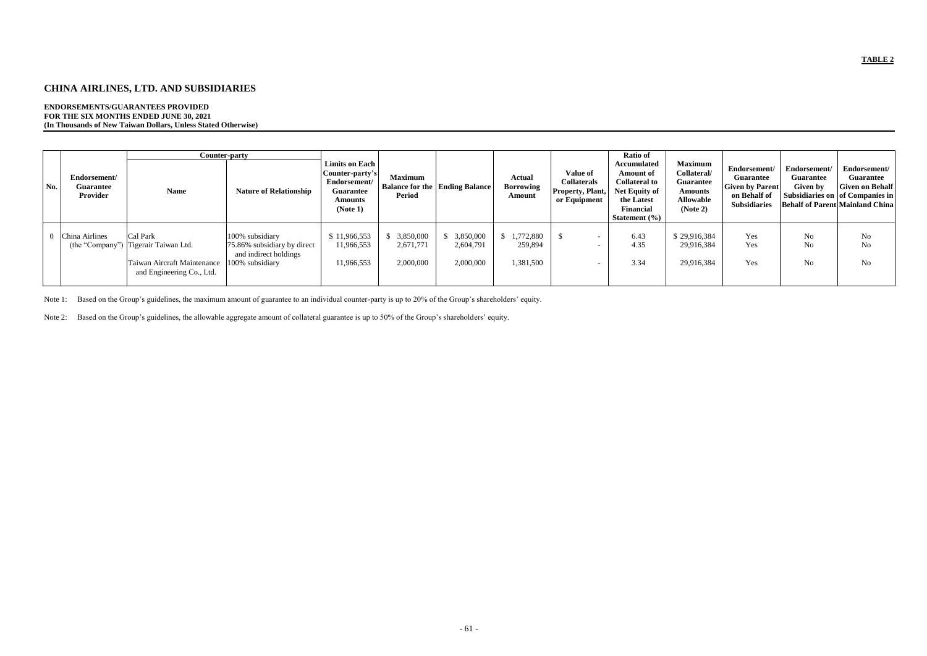## **CHINA AIRLINES, LTD. AND SUBSIDIARIES**

## **ENDORSEMENTS/GUARANTEES PROVIDED FOR THE SIX MONTHS ENDED JUNE 30, 2021 (In Thousands of New Taiwan Dollars, Unless Stated Otherwise)**

|     |                                              | Counter-party                                                                                                |                                                                                            |                                                                                                       |                                     |                                           |                                             |                                                                           | <b>Ratio of</b>                                                                                                                        |                                                                                                     |                                                                                                   |                                              |                                                                                                                                         |
|-----|----------------------------------------------|--------------------------------------------------------------------------------------------------------------|--------------------------------------------------------------------------------------------|-------------------------------------------------------------------------------------------------------|-------------------------------------|-------------------------------------------|---------------------------------------------|---------------------------------------------------------------------------|----------------------------------------------------------------------------------------------------------------------------------------|-----------------------------------------------------------------------------------------------------|---------------------------------------------------------------------------------------------------|----------------------------------------------|-----------------------------------------------------------------------------------------------------------------------------------------|
| No. | Endorsement/<br><b>Guarantee</b><br>Provider | <b>Name</b>                                                                                                  | <b>Nature of Relationship</b>                                                              | Limits on Each  <br>Counter-party's<br>Endorsement/<br><b>Guarantee</b><br><b>Amounts</b><br>(Note 1) | <b>Maximum</b><br><b>Period</b>     | <b>Balance for the   Ending Balance  </b> | <b>Actual</b><br><b>Borrowing</b><br>Amount | <b>Value of</b><br><b>Collaterals</b><br>Property, Plant,<br>or Equipment | <b>Accumulated</b><br><b>Amount of</b><br><b>Collateral to</b><br>Net Equity of<br>the Latest<br><b>Financial</b><br>Statement $(\% )$ | <b>Maximum</b><br>Collateral/<br><b>Guarantee</b><br><b>Amounts</b><br><b>Allowable</b><br>(Note 2) | Endorsement/<br><b>Guarantee</b><br><b>Given by Parent</b><br>on Behalf of<br><b>Subsidiaries</b> | Endorsement/<br><b>Guarantee</b><br>Given by | Endorsement/<br><b>Guarantee</b><br><b>Given on Behalf</b><br>Subsidiaries on of Companies in<br><b>Behalf of Parent Mainland China</b> |
|     | China Airlines                               | Cal Park<br>(the "Company") Tigerair Taiwan Ltd.<br>Taiwan Aircraft Maintenance<br>and Engineering Co., Ltd. | 100% subsidiary<br>75.86% subsidiary by direct<br>and indirect holdings<br>100% subsidiary | \$11,966,553<br>11,966,553<br>11,966,553                                                              | 3,850,000<br>2,671,771<br>2,000,000 | 3,850,000<br>2,604,791<br>2,000,000       | 1,772,880<br>259,894<br>1,381,500           |                                                                           | 6.43<br>4.35<br>3.34                                                                                                                   | \$29,916,384<br>29,916,384<br>29,916,384                                                            | Yes<br>Yes<br>Yes                                                                                 | N <sub>o</sub><br>No<br>N <sub>o</sub>       | N <sub>0</sub><br>No<br>No                                                                                                              |

Note 1: Based on the Group's guidelines, the maximum amount of guarantee to an individual counter-party is up to 20% of the Group's shareholders' equity.

Note 2: Based on the Group's guidelines, the allowable aggregate amount of collateral guarantee is up to 50% of the Group's shareholders' equity.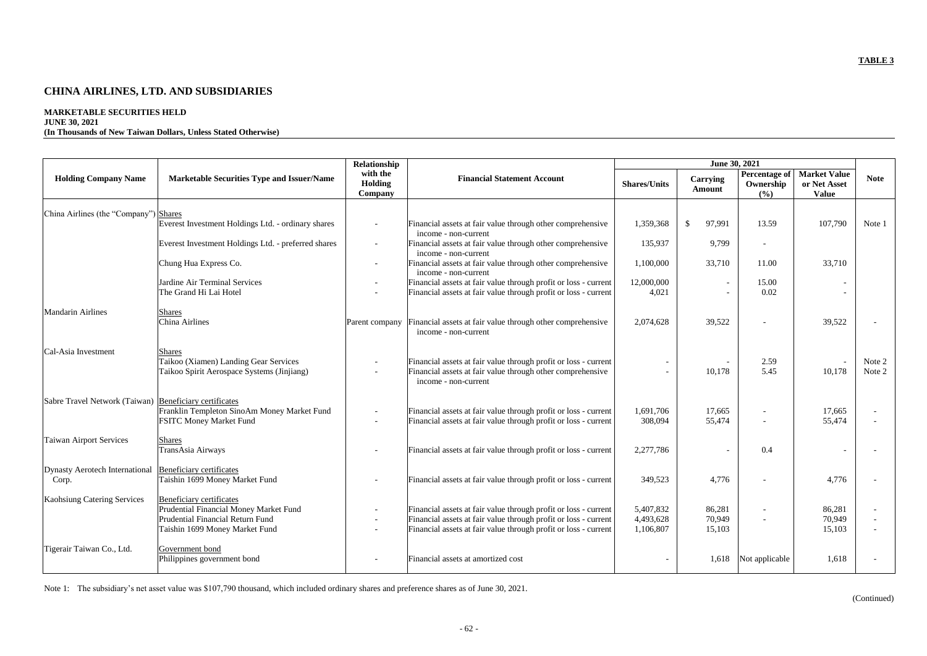# **CHINA AIRLINES, LTD. AND SUBSIDIARIES**

## **MARKETABLE SECURITIES HELD**

## **JUNE 30, 2021**

## **(In Thousands of New Taiwan Dollars, Unless Stated Otherwise)**

|                                                        |                                                                                                                                                 | Relationship                   |                                                                                                                                                                                                       |                                     | June 30, 2021              |                                             |                                                     |                  |
|--------------------------------------------------------|-------------------------------------------------------------------------------------------------------------------------------------------------|--------------------------------|-------------------------------------------------------------------------------------------------------------------------------------------------------------------------------------------------------|-------------------------------------|----------------------------|---------------------------------------------|-----------------------------------------------------|------------------|
| <b>Holding Company Name</b>                            | <b>Marketable Securities Type and Issuer/Name</b>                                                                                               | with the<br>Holding<br>Company | <b>Financial Statement Account</b>                                                                                                                                                                    | <b>Shares/Units</b>                 | <b>Carrying</b><br>Amount  | <b>Percentage of</b><br>Ownership<br>$(\%)$ | <b>Market Value</b><br>or Net Asset<br><b>Value</b> | <b>Note</b>      |
|                                                        |                                                                                                                                                 |                                |                                                                                                                                                                                                       |                                     |                            |                                             |                                                     |                  |
| China Airlines (the "Company") Shares                  | Everest Investment Holdings Ltd. - ordinary shares                                                                                              |                                | Financial assets at fair value through other comprehensive<br>income - non-current                                                                                                                    | 1,359,368                           | 97,991<br>$\mathcal{S}$    | 13.59                                       | 107,790                                             | Note 1           |
|                                                        | Everest Investment Holdings Ltd. - preferred shares                                                                                             |                                | Financial assets at fair value through other comprehensive<br>income - non-current                                                                                                                    | 135,937                             | 9,799                      | $\overline{\phantom{a}}$                    |                                                     |                  |
|                                                        | Chung Hua Express Co.                                                                                                                           |                                | Financial assets at fair value through other comprehensive<br>income - non-current                                                                                                                    | 1,100,000                           | 33,710                     | 11.00                                       | 33,710                                              |                  |
|                                                        | Jardine Air Terminal Services<br>The Grand Hi Lai Hotel                                                                                         |                                | Financial assets at fair value through profit or loss - current<br>Financial assets at fair value through profit or loss - current                                                                    | 12,000,000<br>4,021                 |                            | 15.00<br>0.02                               |                                                     |                  |
| <b>Mandarin Airlines</b>                               | <b>Shares</b><br>China Airlines                                                                                                                 | Parent company                 | Financial assets at fair value through other comprehensive<br>income - non-current                                                                                                                    | 2,074,628                           | 39,522                     |                                             | 39,522                                              |                  |
| Cal-Asia Investment                                    | <b>Shares</b><br>Taikoo (Xiamen) Landing Gear Services<br>Taikoo Spirit Aerospace Systems (Jinjiang)                                            |                                | Financial assets at fair value through profit or loss - current<br>Financial assets at fair value through other comprehensive<br>income - non-current                                                 |                                     | 10,178                     | 2.59<br>5.45                                | 10,178                                              | Note 2<br>Note 2 |
| Sabre Travel Network (Taiwan) Beneficiary certificates | Franklin Templeton SinoAm Money Market Fund<br><b>FSITC Money Market Fund</b>                                                                   |                                | Financial assets at fair value through profit or loss - current<br>Financial assets at fair value through profit or loss - current                                                                    | 1,691,706<br>308,094                | 17,665<br>55,474           |                                             | 17,665<br>55,474                                    |                  |
| Taiwan Airport Services                                | <b>Shares</b><br>TransAsia Airways                                                                                                              |                                | Financial assets at fair value through profit or loss - current                                                                                                                                       | 2,277,786                           |                            | 0.4                                         |                                                     |                  |
| <b>Dynasty Aerotech International</b><br>Corp.         | Beneficiary certificates<br>Taishin 1699 Money Market Fund                                                                                      |                                | Financial assets at fair value through profit or loss - current                                                                                                                                       | 349,523                             | 4,776                      |                                             | 4,776                                               |                  |
| Kaohsiung Catering Services                            | Beneficiary certificates<br>Prudential Financial Money Market Fund<br><b>Prudential Financial Return Fund</b><br>Taishin 1699 Money Market Fund |                                | Financial assets at fair value through profit or loss - current<br>Financial assets at fair value through profit or loss - current<br>Financial assets at fair value through profit or loss - current | 5,407,832<br>4,493,628<br>1,106,807 | 86,281<br>70,949<br>15,103 |                                             | 86,281<br>70,949<br>15,103                          |                  |
| Tigerair Taiwan Co., Ltd.                              | Government bond<br>Philippines government bond                                                                                                  |                                | Financial assets at amortized cost                                                                                                                                                                    |                                     |                            | 1,618 Not applicable                        | 1,618                                               |                  |

Note 1: The subsidiary's net asset value was \$107,790 thousand, which included ordinary shares and preference shares as of June 30, 2021.

(Continued)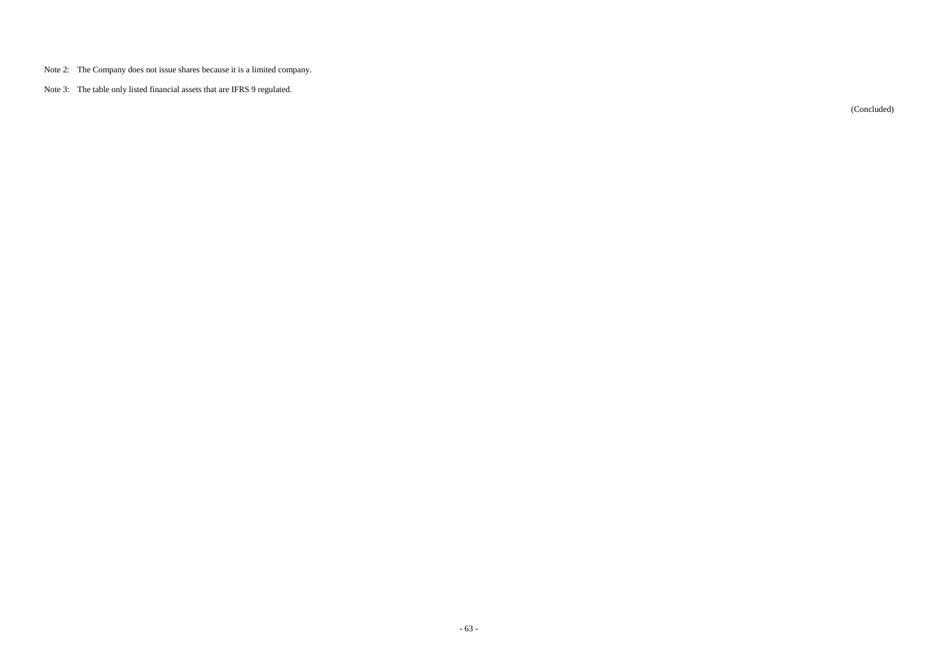- Note 2: The Company does not issue shares because it is a limited company.
- Note 3: The table only listed financial assets that are IFRS 9 regulated.

(Concluded)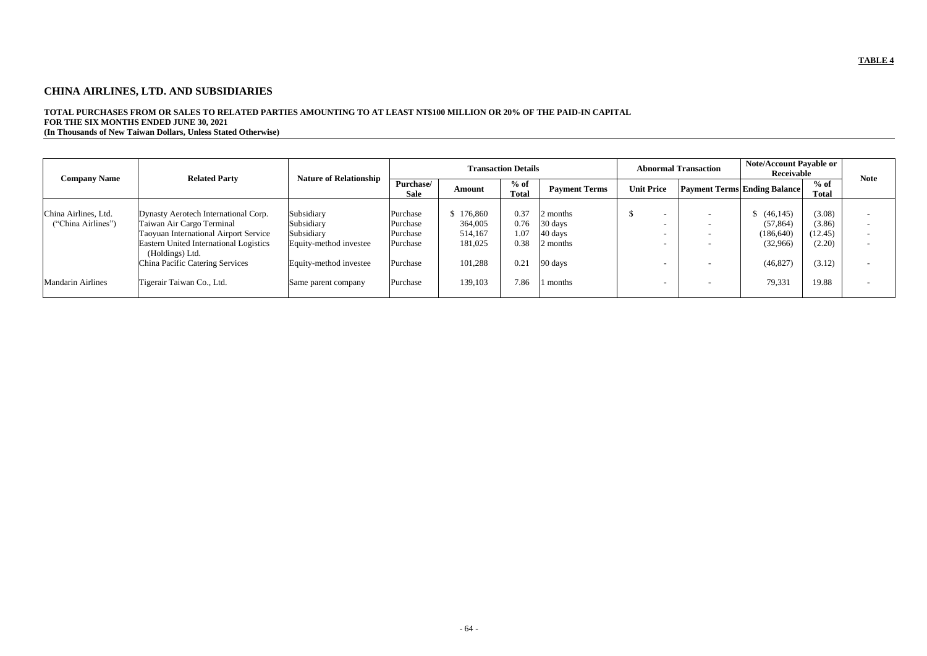# **CHINA AIRLINES, LTD. AND SUBSIDIARIES**

# **TOTAL PURCHASES FROM OR SALES TO RELATED PARTIES AMOUNTING TO AT LEAST NT\$100 MILLION OR 20% OF THE PAID-IN CAPITAL FOR THE SIX MONTHS ENDED JUNE 30, 2021**

**(In Thousands of New Taiwan Dollars, Unless Stated Otherwise)**

|                          |                                                                  |                               |                          |               | <b>Transaction Details</b> |                      |                   | <b>Abnormal Transaction</b>         | <b>Note/Account Payable or</b><br>Receivable |                        | <b>Note</b>              |
|--------------------------|------------------------------------------------------------------|-------------------------------|--------------------------|---------------|----------------------------|----------------------|-------------------|-------------------------------------|----------------------------------------------|------------------------|--------------------------|
| <b>Company Name</b>      | <b>Related Party</b>                                             | <b>Nature of Relationship</b> | Purchase/<br><b>Sale</b> | <b>Amount</b> | $%$ of<br><b>Total</b>     | <b>Payment Terms</b> | <b>Unit Price</b> | <b>Payment Terms Ending Balance</b> |                                              | $%$ of<br><b>Total</b> |                          |
| China Airlines, Ltd.     | Dynasty Aerotech International Corp.                             | Subsidiary                    | Purchase                 | 176,860       | 0.37                       | 2 months             |                   |                                     | (46, 145)                                    | (3.08)                 |                          |
| ("China Airlines")       | Taiwan Air Cargo Terminal                                        | Subsidiary                    | Purchase                 | 364,005       | 0.76                       | 30 days              |                   | $\overline{\phantom{0}}$            | (57, 864)                                    | (3.86)                 | $\overline{\phantom{0}}$ |
|                          | <b>Taoyuan International Airport Service</b>                     | Subsidiary                    | Purchase                 | 514,167       | .07                        | $40 \text{ days}$    |                   |                                     | (186, 640)                                   | (12.45)                | $\overline{\phantom{0}}$ |
|                          | <b>Eastern United International Logistics</b><br>(Holdings) Ltd. | Equity-method investee        | Purchase                 | 181,025       | 0.38                       | 2 months             |                   |                                     | (32,966)                                     | (2.20)                 |                          |
|                          | China Pacific Catering Services                                  | Equity-method investee        | Purchase                 | 101,288       | 0.21                       | 90 days              |                   |                                     | (46, 827)                                    | (3.12)                 |                          |
| <b>Mandarin Airlines</b> | Tigerair Taiwan Co., Ltd.                                        | Same parent company           | Purchase                 | 139,103       | 7.86                       | months               |                   |                                     | 79,331                                       | 19.88                  |                          |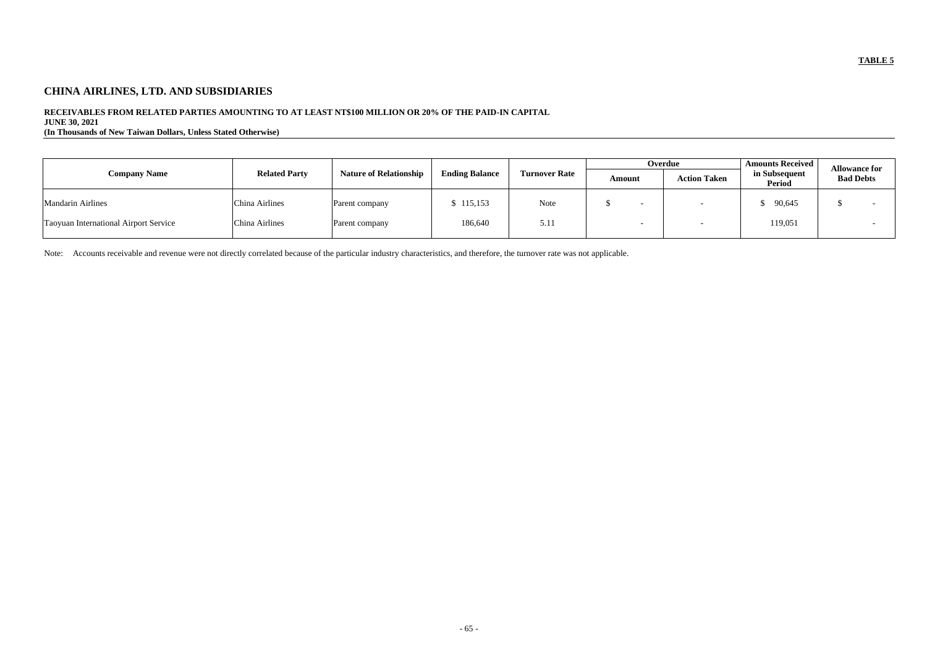# **CHINA AIRLINES, LTD. AND SUBSIDIARIES**

## **RECEIVABLES FROM RELATED PARTIES AMOUNTING TO AT LEAST NT\$100 MILLION OR 20% OF THE PAID-IN CAPITAL**

**JUNE 30, 2021**

**(In Thousands of New Taiwan Dollars, Unless Stated Otherwise)**

|                                              |                      |                               |                       |                      |        | Overdue |                     | <b>Amounts Received</b> | <b>Allowance for</b> |  |
|----------------------------------------------|----------------------|-------------------------------|-----------------------|----------------------|--------|---------|---------------------|-------------------------|----------------------|--|
| <b>Company Name</b>                          | <b>Related Party</b> | <b>Nature of Relationship</b> | <b>Ending Balance</b> | <b>Turnover Rate</b> | Amount |         | <b>Action Taken</b> | in Subsequent<br>Period | <b>Bad Debts</b>     |  |
| <b>Mandarin Airlines</b>                     | China Airlines       | Parent company                | 115,153               | Note                 |        |         |                     | 90,645                  |                      |  |
| <b>Taoyuan International Airport Service</b> | China Airlines       | Parent company                | 186,640               | 5.11                 |        |         |                     | 119,051                 |                      |  |

Note: Accounts receivable and revenue were not directly correlated because of the particular industry characteristics, and therefore, the turnover rate was not applicable.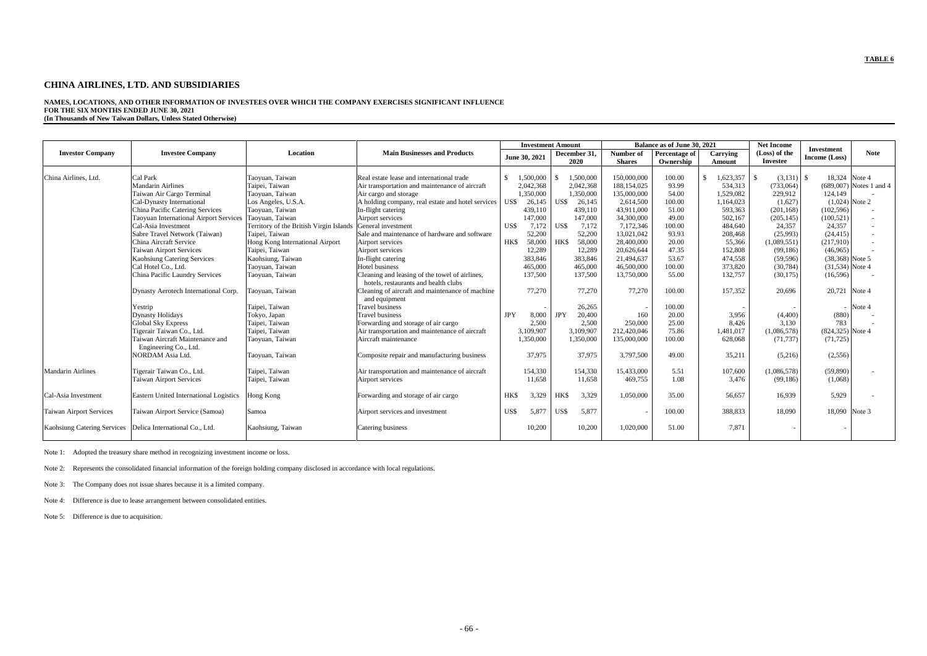## **CHINA AIRLINES, LTD. AND SUBSIDIARIES**

**NAMES, LOCATIONS, AND OTHER INFORMATION OF INVESTEES OVER WHICH THE COMPANY EXERCISES SIGNIFICANT INFLUENCE FOR THE SIX MONTHS ENDED JUNE 30, 2021 (In Thousands of New Taiwan Dollars, Unless Stated Otherwise)**

|                                    |                                                        |                                         |                                                   |            | <b>Investment Amount</b> |            |              |               | Balance as of June 30, 2021 |              | <b>Net Income</b> | <b>Investment</b>  |                           |
|------------------------------------|--------------------------------------------------------|-----------------------------------------|---------------------------------------------------|------------|--------------------------|------------|--------------|---------------|-----------------------------|--------------|-------------------|--------------------|---------------------------|
| <b>Investor Company</b>            | <b>Investee Company</b>                                | Location                                | <b>Main Businesses and Products</b>               |            | June 30, 2021            |            | December 31, | Number of     | Percentage of               | Carrying     | (Loss) of the     | Income (Loss)      | <b>Note</b>               |
|                                    |                                                        |                                         |                                                   |            |                          |            | 2020         | <b>Shares</b> | Ownership                   | Amount       | <b>Investee</b>   |                    |                           |
|                                    |                                                        |                                         |                                                   |            |                          |            |              |               |                             |              |                   |                    |                           |
| China Airlines, Ltd.               | Cal Park                                               | Taoyuan, Taiwan                         | Real estate lease and international trade         | -\$        | 1,500,000                |            | 1,500,000    | 150,000,000   | 100.00                      | $\mathbb{S}$ | $(3,131)$ \$      | 18,324 Note 4      |                           |
|                                    | <b>Mandarin Airlines</b>                               | Taipei, Taiwan                          | Air transportation and maintenance of aircraft    |            | 2,042,368                |            | 2,042,368    | 188, 154, 025 | 93.99                       | 534,313      | (733,064)         |                    | $(689,007)$ Notes 1 and 4 |
|                                    | Taiwan Air Cargo Terminal                              | Taoyuan, Taiwan                         | Air cargo and storage                             |            | 1,350,000                |            | 1,350,000    | 135,000,000   | 54.00                       | 1,529,082    | 229,912           | 124,149            |                           |
|                                    | Cal-Dynasty International                              | Los Angeles, U.S.A.                     | A holding company, real estate and hotel services | US\$       | 26,145                   | US\$       | 26,145       | 2,614,500     | 100.00                      | 1,164,023    | (1,627)           | $(1,024)$ Note 2   |                           |
|                                    | China Pacific Catering Services                        | Taoyuan, Taiwan                         | In-flight catering                                |            | 439,110                  |            | 439,110      | 43,911,000    | 51.00                       | 593,363      | (201, 168)        | (102, 596)         |                           |
|                                    | Taoyuan International Airport Services Taoyuan, Taiwan |                                         | Airport services                                  |            | 147,000                  |            | 147,000      | 34,300,000    | 49.00                       | 502,167      | (205, 145)        | (100, 521)         |                           |
|                                    | Cal-Asia Investment                                    | Territory of the British Virgin Islands | General investment                                | US\$       | 7,172                    | US\$       | 7,172        | 7,172,346     | 100.00                      | 484,640      | 24,357            | 24.357             |                           |
|                                    | Sabre Travel Network (Taiwan)                          | Taipei, Taiwan                          | Sale and maintenance of hardware and software     |            | 52,200                   |            | 52,200       | 13,021,042    | 93.93                       | 208,468      | (25,993)          | (24, 415)          |                           |
|                                    | China Aircraft Service                                 | Hong Kong International Airport         | Airport services                                  | HK\$       | 58,000                   | HK\$       | 58,000       | 28,400,000    | 20.00                       | 55,366       | (1,089,551)       | (217,910)          |                           |
|                                    | Taiwan Airport Services                                | Taipei, Taiwan                          | Airport services                                  |            | 12,289                   |            | 12,289       | 20,626,644    | 47.35                       | 152,808      | (99,186)          | (46,965)           |                           |
|                                    | <b>Kaohsiung Catering Services</b>                     | Kaohsiung, Taiwan                       | In-flight catering                                |            | 383,846                  |            | 383,846      | 21,494,637    | 53.67                       | 474,558      | (59, 596)         | (38,368) Note 5    |                           |
|                                    | Cal Hotel Co., Ltd.                                    | Taoyuan, Taiwan                         | Hotel business                                    |            | 465,000                  |            | 465,000      | 46,500,000    | 100.00                      | 373,820      | (30, 784)         | $(31,534)$ Note 4  |                           |
|                                    | China Pacific Laundry Services                         | Taoyuan, Taiwan                         | Cleaning and leasing of the towel of airlines,    |            | 137,500                  |            | 137,500      | 13,750,000    | 55.00                       | 132,757      | (30,175)          | (16,596)           |                           |
|                                    |                                                        |                                         | hotels, restaurants and health clubs              |            |                          |            |              |               |                             |              |                   |                    |                           |
|                                    | Dynasty Aerotech International Corp.                   | Taoyuan, Taiwan                         | Cleaning of aircraft and maintenance of machine   |            | 77,270                   |            | 77,270       | 77,270        | 100.00                      | 157,352      | 20,696            | 20,721 Note 4      |                           |
|                                    |                                                        |                                         | and equipment                                     |            |                          |            |              |               |                             |              |                   |                    |                           |
|                                    | Yestrip                                                | Taipei, Taiwan                          | <b>Travel business</b>                            |            |                          |            | 26,265       |               | 100.00                      |              |                   |                    | $-$ Note 4                |
|                                    | <b>Dynasty Holidays</b>                                | Tokyo, Japan                            | <b>Travel business</b>                            | <b>JPY</b> | 8,000                    | <b>JPY</b> | 20,400       | 160           | 20.00                       | 3,956        | (4,400)           | (880)              |                           |
|                                    | <b>Global Sky Express</b>                              | Taipei, Taiwan                          | Forwarding and storage of air cargo               |            | 2,500                    |            | 2,500        | 250,000       | 25.00                       | 8,426        | 3,130             | 783                |                           |
|                                    | Tigerair Taiwan Co., Ltd.                              | Taipei, Taiwan                          | Air transportation and maintenance of aircraft    |            | 3,109,907                |            | 3,109,907    | 212,420,046   | 75.86                       | 1,481,017    | (1,086,578)       | $(824,325)$ Note 4 |                           |
|                                    | Taiwan Aircraft Maintenance and                        | Taoyuan, Taiwan                         | Aircraft maintenance                              |            | 1,350,000                |            | 1,350,000    | 135,000,000   | 100.00                      | 628,068      | (71, 737)         | (71, 725)          |                           |
|                                    | Engineering Co., Ltd.                                  |                                         |                                                   |            |                          |            |              |               |                             |              |                   |                    |                           |
|                                    | NORDAM Asia Ltd.                                       | Taoyuan, Taiwan                         | Composite repair and manufacturing business       |            | 37,975                   |            | 37,975       | 3,797,500     | 49.00                       | 35,211       | (5,216)           | (2,556)            |                           |
|                                    |                                                        |                                         |                                                   |            |                          |            |              |               |                             |              |                   |                    |                           |
| Mandarin Airlines                  | Tigerair Taiwan Co., Ltd.                              | Taipei, Taiwan                          | Air transportation and maintenance of aircraft    |            | 154,330                  |            | 154,330      | 15,433,000    | 5.51                        | 107,600      | (1,086,578)       | (59,890)           |                           |
|                                    | <b>Taiwan Airport Services</b>                         | Taipei, Taiwan                          | Airport services                                  |            | 11,658                   |            | 11,658       | 469,755       | 1.08                        | 3,476        | (99,186)          | (1,068)            |                           |
|                                    |                                                        |                                         |                                                   |            |                          |            |              |               |                             |              |                   |                    |                           |
| Cal-Asia Investment                | Eastern United International Logistics                 | Hong Kong                               | Forwarding and storage of air cargo               | <b>HKS</b> | 3,329                    | HK\$       | 3,329        | 1,050,000     | 35.00                       | 56,657       | 16,939            | 5,929              |                           |
|                                    |                                                        |                                         |                                                   |            |                          |            |              |               |                             |              |                   |                    |                           |
| Taiwan Airport Services            | Taiwan Airport Service (Samoa)                         | Samoa                                   | Airport services and investment                   | US\$       | 5,877                    | US\$       | 5,877        |               | 100.00                      | 388,833      | 18,090            | 18,090 Note 3      |                           |
|                                    |                                                        |                                         |                                                   |            |                          |            |              |               |                             |              |                   |                    |                           |
| <b>Kaohsiung Catering Services</b> | Delica International Co., Ltd.                         | Kaohsiung, Taiwan                       | Catering business                                 |            | 10,200                   |            | 10,200       | 1,020,000     | 51.00                       | 7.871        |                   |                    |                           |
|                                    |                                                        |                                         |                                                   |            |                          |            |              |               |                             |              |                   |                    |                           |

Note 1: Adopted the treasury share method in recognizing investment income or loss.

Note 2: Represents the consolidated financial information of the foreign holding company disclosed in accordance with local regulations.

Note 3: The Company does not issue shares because it is a limited company.

Note 4: Difference is due to lease arrangement between consolidated entities.

Note 5: Difference is due to acquisition.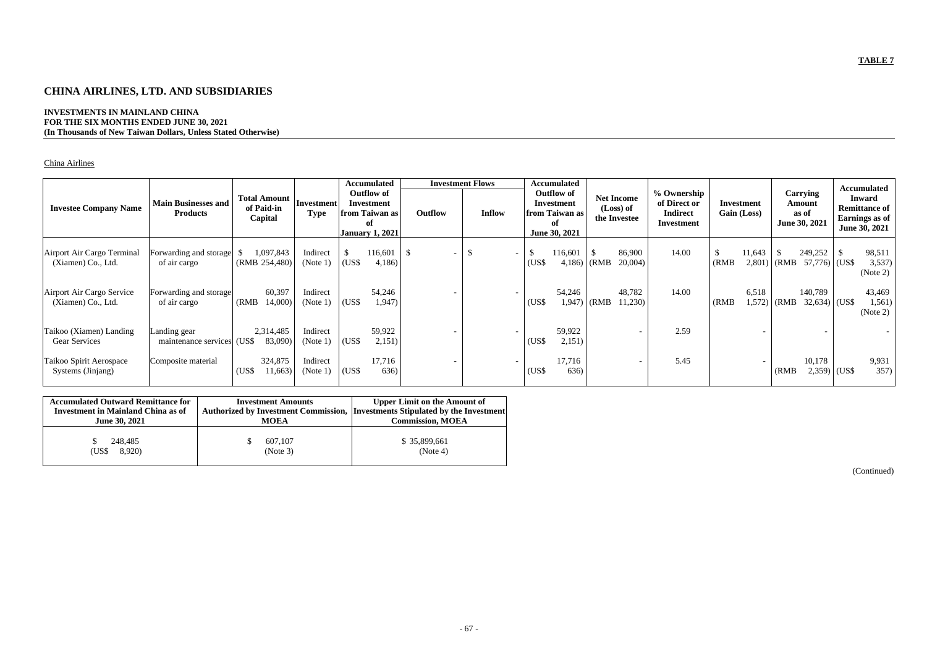# **CHINA AIRLINES, LTD. AND SUBSIDIARIES**

## **INVESTMENTS IN MAINLAND CHINA FOR THE SIX MONTHS ENDED JUNE 30, 2021 (In Thousands of New Taiwan Dollars, Unless Stated Otherwise)**

## China Airlines

| <b>Investee Company Name</b>                     | <b>Main Businesses and</b><br><b>Products</b> | <b>Total Amount</b><br>of Paid-in<br>Capital | Investment <br><b>Type</b> |       | Accumulated<br><b>Outflow of</b><br><b>Investment</b><br>from Taiwan as<br>оf<br><b>January 1, 2021</b> | <b>Investment Flows</b><br>Outflow | <b>Inflow</b>            |              | <b>Accumulated</b><br><b>Outflow of</b><br>Investment<br>from Taiwan as<br>of<br>June 30, 2021 |       | <b>Net Income</b><br>(Loss) of<br>the Investee | % Ownership<br>of Direct or<br><b>Indirect</b><br>Investment |                       | Investment<br>Gain (Loss) |       | Carrying<br>Amount<br>as of<br>June 30, 2021 |              | <b>Accumulated</b><br><b>Inward</b><br><b>Remittance of</b><br>Earnings as of<br>June 30, 2021 |
|--------------------------------------------------|-----------------------------------------------|----------------------------------------------|----------------------------|-------|---------------------------------------------------------------------------------------------------------|------------------------------------|--------------------------|--------------|------------------------------------------------------------------------------------------------|-------|------------------------------------------------|--------------------------------------------------------------|-----------------------|---------------------------|-------|----------------------------------------------|--------------|------------------------------------------------------------------------------------------------|
| Airport Air Cargo Terminal<br>(Xiamen) Co., Ltd. | Forwarding and storage<br>of air cargo        | 1,097,843<br>(RMB 254,480)                   | Indirect<br>(Note 1)       | (US\$ | 16,601<br>4,186                                                                                         | - \$                               | $\overline{\phantom{a}}$ | -\$<br>(US\$ | 116,601<br>4,186                                                                               | (RMB) | 86,900<br>20,004)                              | 14.00                                                        | $\mathbb{S}$<br>(RMB) | 11,643<br>2,801)          | (RMB) | 249,252<br>$57,776$ (US\$                    | $\mathbb{S}$ | 98,511<br>3,537)<br>(Note 2)                                                                   |
| Airport Air Cargo Service<br>(Xiamen) Co., Ltd.  | Forwarding and storage<br>of air cargo        | 60,397<br>14,000)<br>(RMB)                   | Indirect<br>(Note 1)       | (US\$ | 54,246<br>1,947)                                                                                        |                                    |                          | $(US\$       | 54,246<br>1,947)                                                                               | (RMB) | 48,782<br>11,230)                              | 14.00                                                        | (RMB)                 | 6,518<br>1,572            | (RMB) | 140,789<br>$32,634$ (US\$)                   |              | 43,469<br>1,561)<br>(Note 2)                                                                   |
| Taikoo (Xiamen) Landing<br>Gear Services         | Landing gear<br>maintenance services (US\$    | 2,314,485<br>83,090)                         | Indirect<br>(Note 1)       | (US\$ | 59,922<br>2,151)                                                                                        |                                    |                          | (US\$        | 59,922<br>2,151)                                                                               |       |                                                | 2.59                                                         |                       |                           |       |                                              |              |                                                                                                |
| Taikoo Spirit Aerospace<br>Systems (Jinjang)     | Composite material                            | 324,875<br>(US\$<br>1,663)                   | Indirect<br>(Note 1)       | (US\$ | 17,716<br>636)                                                                                          |                                    |                          | (US\$        | 17,716<br>636)                                                                                 |       | $\overline{\phantom{a}}$                       | 5.45                                                         |                       |                           | (RMB) | 10,178<br>$2,359$ (US\$)                     |              | 9,931<br>357)                                                                                  |

| <b>Accumulated Outward Remittance for</b><br><b>Investment in Mainland China as of</b><br><b>June 30, 2021</b> | <b>Investment Amounts</b><br><b>MOEA</b> | <b>Upper Limit on the Amount of</b><br>Authorized by Investment Commission, Investments Stipulated by the Investment<br><b>Commission, MOEA</b> |
|----------------------------------------------------------------------------------------------------------------|------------------------------------------|-------------------------------------------------------------------------------------------------------------------------------------------------|
| 248,485<br>8,920)<br>(US\$                                                                                     | 607,107<br>(Note 3)                      | \$35,899,661<br>(Note 4)                                                                                                                        |

(Continued)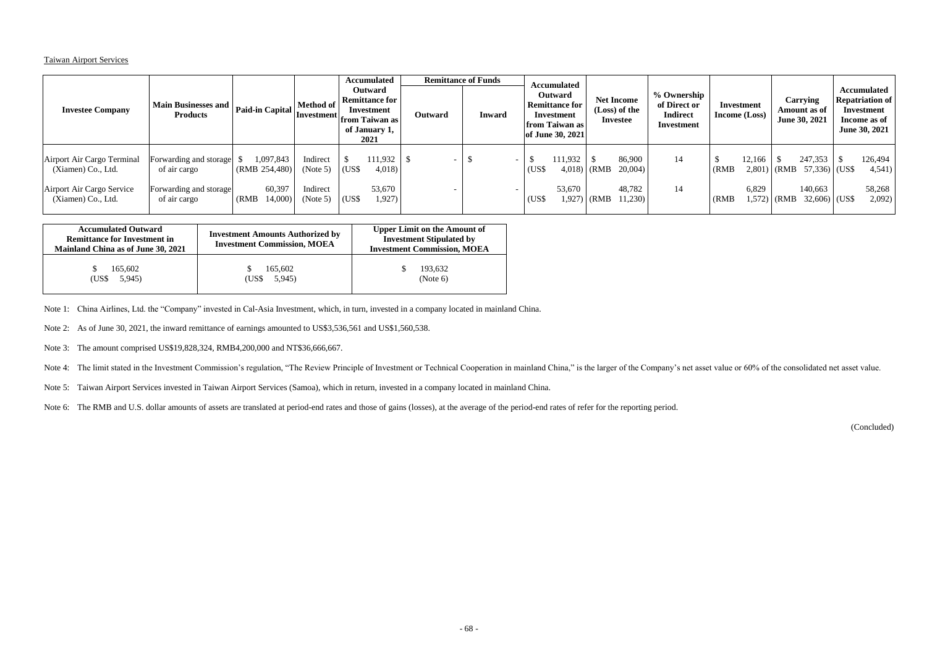## Taiwan Airport Services

| <b>Investee Company</b>                                                                             | Main Businesses and   Paid-in Capital   ''<br><b>Products</b>                    |                                                          | <b>Method of</b><br> Investment <br> from Taiwan as |                                  | <b>Accumulated</b><br><b>Outward</b><br><b>Remittance for</b><br>Investment<br>of January 1,<br>2021 | Outward | <b>Remittance of Funds</b><br><b>Inward</b> |                | <b>Accumulated</b><br><b>Outward</b><br><b>Remittance for</b><br>Investment<br>from Taiwan as<br>of June 30, 2021 |                              | <b>Net Income</b><br>(Loss) of the<br>Investee | % Ownership<br>of Direct or<br><b>Indirect</b><br>Investment |                | Investment<br><b>Income</b> (Loss) |       | Carrying<br>Amount as of<br>June 30, 2021                           | Accumulated<br><b>Repatriation of</b><br>Investment<br>Income as of<br>June 30, 2021 |
|-----------------------------------------------------------------------------------------------------|----------------------------------------------------------------------------------|----------------------------------------------------------|-----------------------------------------------------|----------------------------------|------------------------------------------------------------------------------------------------------|---------|---------------------------------------------|----------------|-------------------------------------------------------------------------------------------------------------------|------------------------------|------------------------------------------------|--------------------------------------------------------------|----------------|------------------------------------|-------|---------------------------------------------------------------------|--------------------------------------------------------------------------------------|
| Airport Air Cargo Terminal<br>(Xiamen) Co., Ltd.<br>Airport Air Cargo Service<br>(Xiamen) Co., Ltd. | Forwarding and storage<br>of air cargo<br>Forwarding and storage<br>of air cargo | 1,097,843<br>(RMB 254,480)<br>60,397<br>14,000)<br>(RMB) | Indirect<br>(Note 5)<br>Indirect<br>(Note 5)        | $\overline{\text{USS}}$<br>(US\$ | 111,932<br>4,018)<br>53,670<br>1,927)                                                                |         |                                             | (US\$<br>(US\$ | 111,932<br>53,670                                                                                                 | $4,018$ (RMB<br>$1,927$ (RMB | 86,900<br>$20,004$ )<br>48,782<br>11,230)      | 14<br>14                                                     | (RMB)<br>(RMB) | 12,166<br>6,829<br>1,572           | (RMB) | 247,353<br>$2,801$ (RMB 57,336) (US\$<br>140,663<br>$32,606$ (US\$) | 126,494<br>4,541)<br>58,268<br>2,092)                                                |

| <b>Accumulated Outward</b><br><b>Remittance for Investment in</b><br>Mainland China as of June 30, 2021 | <b>Investment Amounts Authorized by</b><br><b>Investment Commission, MOEA</b> | <b>Upper Limit on the Amount of</b><br><b>Investment Stipulated by</b><br><b>Investment Commission, MOEA</b> |
|---------------------------------------------------------------------------------------------------------|-------------------------------------------------------------------------------|--------------------------------------------------------------------------------------------------------------|
| 165,602<br>5,945<br>(US\$                                                                               | 165,602<br>5,945)<br>(US\$-                                                   | 193,632<br>(Note 6)                                                                                          |

Note 1: China Airlines, Ltd. the "Company" invested in Cal-Asia Investment, which, in turn, invested in a company located in mainland China.

Note 2: As of June 30, 2021, the inward remittance of earnings amounted to US\$3,536,561 and US\$1,560,538.

Note 3: The amount comprised US\$19,828,324, RMB4,200,000 and NT\$36,666,667.

Note 4: The limit stated in the Investment Commission's regulation, "The Review Principle of Investment or Technical Cooperation in mainland China," is the larger of the Company's net asset value or 60% of the consolidated

Note 5: Taiwan Airport Services invested in Taiwan Airport Services (Samoa), which in return, invested in a company located in mainland China.

Note 6: The RMB and U.S. dollar amounts of assets are translated at period-end rates and those of gains (losses), at the average of the period-end rates of refer for the reporting period.

(Concluded)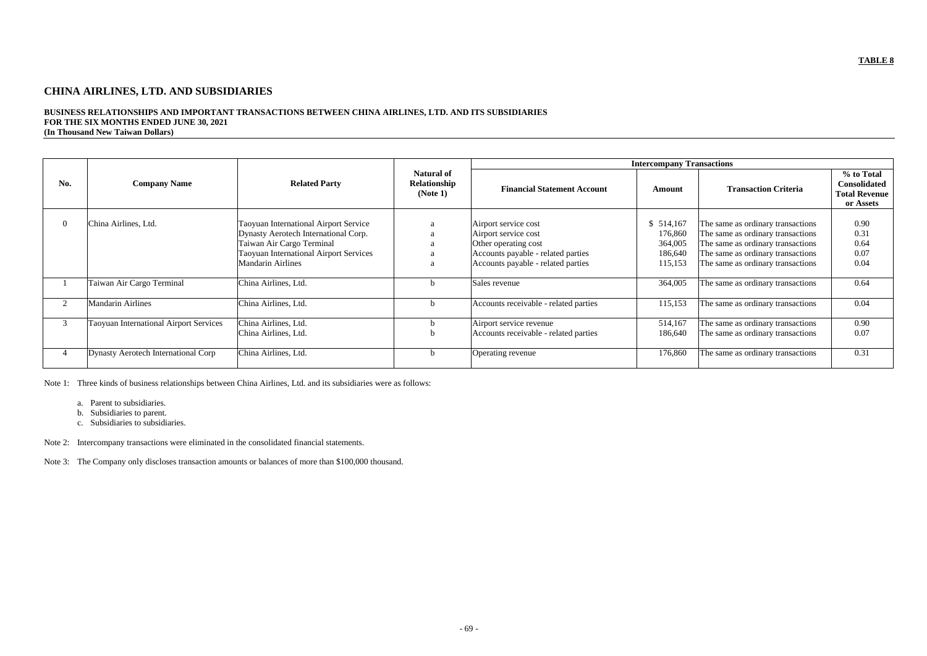# **CHINA AIRLINES, LTD. AND SUBSIDIARIES**

## **BUSINESS RELATIONSHIPS AND IMPORTANT TRANSACTIONS BETWEEN CHINA AIRLINES, LTD. AND ITS SUBSIDIARIES FOR THE SIX MONTHS ENDED JUNE 30, 2021 (In Thousand New Taiwan Dollars)**

|     |                                        |                                                                                                                                                                                         |                                               |                                                                                                                                                  | <b>Intercompany Transactions</b>                    |                                                                                                                                                                                       |                                                                        |
|-----|----------------------------------------|-----------------------------------------------------------------------------------------------------------------------------------------------------------------------------------------|-----------------------------------------------|--------------------------------------------------------------------------------------------------------------------------------------------------|-----------------------------------------------------|---------------------------------------------------------------------------------------------------------------------------------------------------------------------------------------|------------------------------------------------------------------------|
| No. | <b>Company Name</b>                    | <b>Related Party</b>                                                                                                                                                                    | <b>Natural of</b><br>Relationship<br>(Note 1) | <b>Financial Statement Account</b>                                                                                                               | <b>Amount</b>                                       | <b>Transaction Criteria</b>                                                                                                                                                           | % to Total<br><b>Consolidated</b><br><b>Total Revenue</b><br>or Assets |
|     | China Airlines, Ltd.                   | <b>Taoyuan International Airport Service</b><br>Dynasty Aerotech International Corp.<br>Taiwan Air Cargo Terminal<br>Taoyuan International Airport Services<br><b>Mandarin Airlines</b> | a<br>a<br>a<br>a<br>a                         | Airport service cost<br>Airport service cost<br>Other operating cost<br>Accounts payable - related parties<br>Accounts payable - related parties | 514,167<br>176,860<br>364,005<br>186,640<br>115,153 | The same as ordinary transactions<br>The same as ordinary transactions<br>The same as ordinary transactions<br>The same as ordinary transactions<br>The same as ordinary transactions | 0.90<br>0.31<br>0.64<br>0.07<br>0.04                                   |
|     | Taiwan Air Cargo Terminal              | China Airlines, Ltd.                                                                                                                                                                    | D                                             | Sales revenue                                                                                                                                    | 364,005                                             | The same as ordinary transactions                                                                                                                                                     | 0.64                                                                   |
|     | <b>Mandarin Airlines</b>               | China Airlines, Ltd.                                                                                                                                                                    | b                                             | Accounts receivable - related parties                                                                                                            | 115,153                                             | The same as ordinary transactions                                                                                                                                                     | 0.04                                                                   |
| 3   | Taoyuan International Airport Services | China Airlines, Ltd.<br>China Airlines, Ltd.                                                                                                                                            | D                                             | Airport service revenue<br>Accounts receivable - related parties                                                                                 | 514,167<br>186,640                                  | The same as ordinary transactions<br>The same as ordinary transactions                                                                                                                | 0.90<br>0.07                                                           |
|     | Dynasty Aerotech International Corp    | China Airlines, Ltd.                                                                                                                                                                    | D                                             | Operating revenue                                                                                                                                | 176,860                                             | The same as ordinary transactions                                                                                                                                                     | 0.31                                                                   |

Note 1: Three kinds of business relationships between China Airlines, Ltd. and its subsidiaries were as follows:

- a. Parent to subsidiaries.
- b. Subsidiaries to parent.
- c. Subsidiaries to subsidiaries.

Note 2: Intercompany transactions were eliminated in the consolidated financial statements.

Note 3: The Company only discloses transaction amounts or balances of more than \$100,000 thousand.